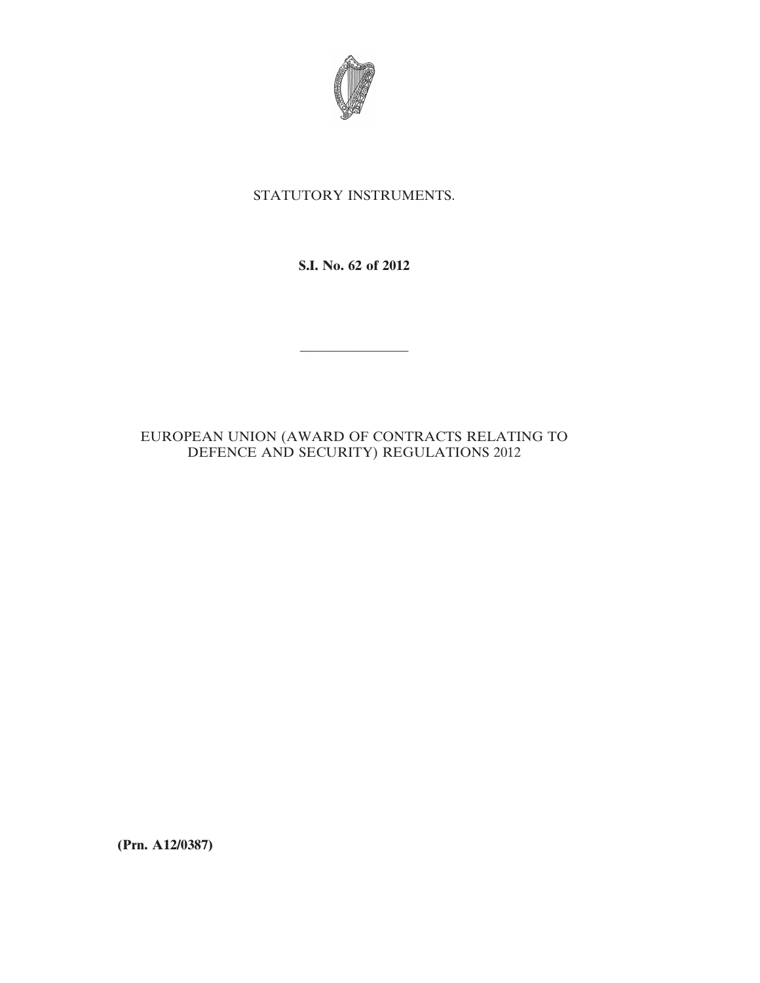

# STATUTORY INSTRUMENTS.

**S.I. No. 62 of 2012**

————————

# EUROPEAN UNION (AWARD OF CONTRACTS RELATING TO DEFENCE AND SECURITY) REGULATIONS 2012

**(Prn. A12/0387)**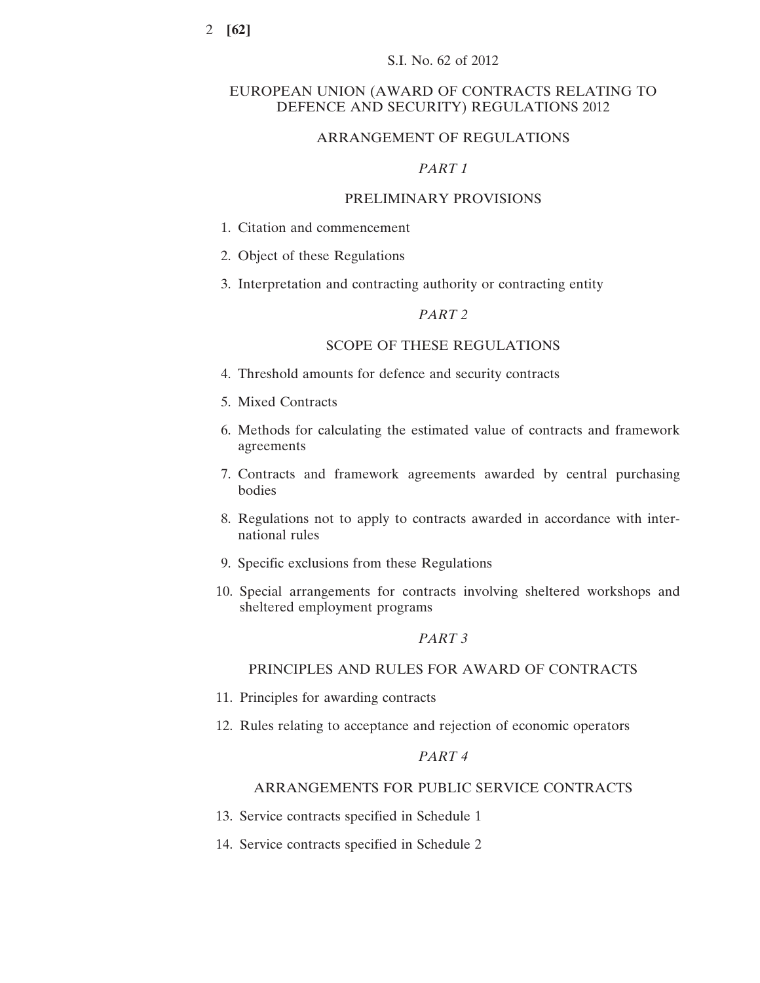## EUROPEAN UNION (AWARD OF CONTRACTS RELATING TO DEFENCE AND SECURITY) REGULATIONS 2012

### ARRANGEMENT OF REGULATIONS

### *PART 1*

## PRELIMINARY PROVISIONS

- 1. Citation and commencement
- 2. Object of these Regulations
- 3. Interpretation and contracting authority or contracting entity

## *PART 2*

## SCOPE OF THESE REGULATIONS

- 4. Threshold amounts for defence and security contracts
- 5. Mixed Contracts
- 6. Methods for calculating the estimated value of contracts and framework agreements
- 7. Contracts and framework agreements awarded by central purchasing bodies
- 8. Regulations not to apply to contracts awarded in accordance with international rules
- 9. Specific exclusions from these Regulations
- 10. Special arrangements for contracts involving sheltered workshops and sheltered employment programs

## *PART 3*

## PRINCIPLES AND RULES FOR AWARD OF CONTRACTS

- 11. Principles for awarding contracts
- 12. Rules relating to acceptance and rejection of economic operators

## *PART 4*

### ARRANGEMENTS FOR PUBLIC SERVICE CONTRACTS

- 13. Service contracts specified in Schedule 1
- 14. Service contracts specified in Schedule 2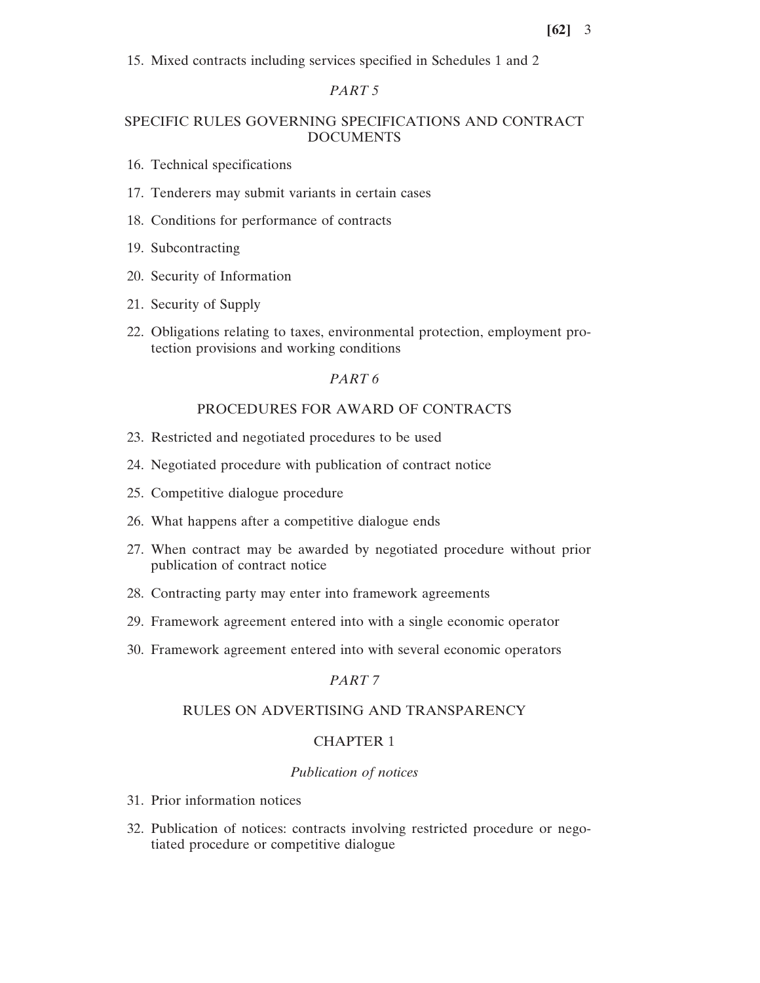15. Mixed contracts including services specified in Schedules 1 and 2

## *PART 5*

## SPECIFIC RULES GOVERNING SPECIFICATIONS AND CONTRACT DOCUMENTS

- 16. Technical specifications
- 17. Tenderers may submit variants in certain cases
- 18. Conditions for performance of contracts
- 19. Subcontracting
- 20. Security of Information
- 21. Security of Supply
- 22. Obligations relating to taxes, environmental protection, employment protection provisions and working conditions

## *PART 6*

## PROCEDURES FOR AWARD OF CONTRACTS

- 23. Restricted and negotiated procedures to be used
- 24. Negotiated procedure with publication of contract notice
- 25. Competitive dialogue procedure
- 26. What happens after a competitive dialogue ends
- 27. When contract may be awarded by negotiated procedure without prior publication of contract notice
- 28. Contracting party may enter into framework agreements
- 29. Framework agreement entered into with a single economic operator
- 30. Framework agreement entered into with several economic operators

## *PART 7*

### RULES ON ADVERTISING AND TRANSPARENCY

#### CHAPTER 1

#### *Publication of notices*

- 31. Prior information notices
- 32. Publication of notices: contracts involving restricted procedure or negotiated procedure or competitive dialogue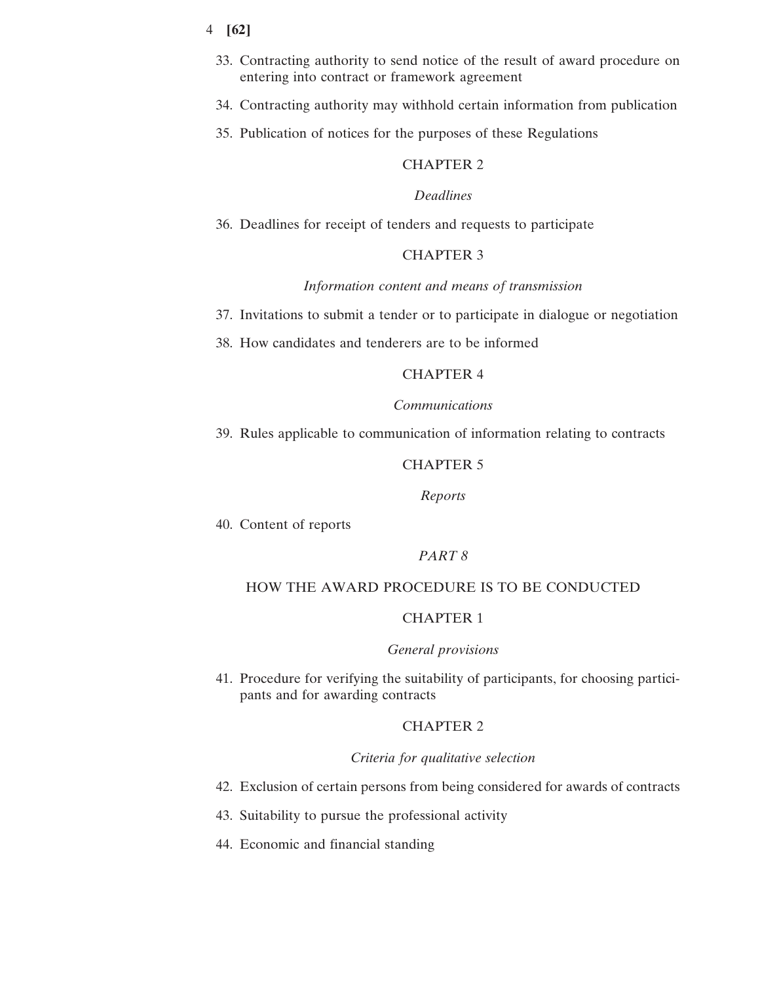- 4 **[62]**
	- 33. Contracting authority to send notice of the result of award procedure on entering into contract or framework agreement
	- 34. Contracting authority may withhold certain information from publication
	- 35. Publication of notices for the purposes of these Regulations

# CHAPTER 2

## *Deadlines*

36. Deadlines for receipt of tenders and requests to participate

## CHAPTER 3

## *Information content and means of transmission*

- 37. Invitations to submit a tender or to participate in dialogue or negotiation
- 38. How candidates and tenderers are to be informed

### CHAPTER 4

### *Communications*

39. Rules applicable to communication of information relating to contracts

## CHAPTER 5

#### *Reports*

40. Content of reports

## *PART 8*

### HOW THE AWARD PROCEDURE IS TO BE CONDUCTED

## CHAPTER 1

#### *General provisions*

41. Procedure for verifying the suitability of participants, for choosing participants and for awarding contracts

## CHAPTER 2

### *Criteria for qualitative selection*

- 42. Exclusion of certain persons from being considered for awards of contracts
- 43. Suitability to pursue the professional activity
- 44. Economic and financial standing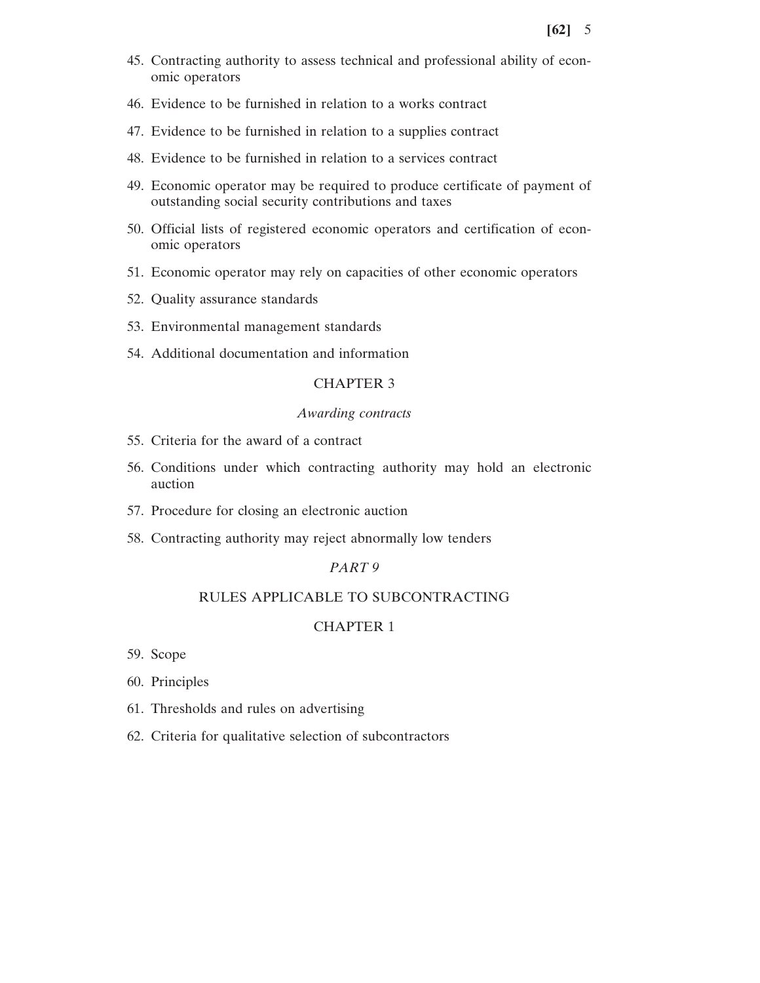- 45. Contracting authority to assess technical and professional ability of economic operators
- 46. Evidence to be furnished in relation to a works contract
- 47. Evidence to be furnished in relation to a supplies contract
- 48. Evidence to be furnished in relation to a services contract
- 49. Economic operator may be required to produce certificate of payment of outstanding social security contributions and taxes
- 50. Official lists of registered economic operators and certification of economic operators
- 51. Economic operator may rely on capacities of other economic operators
- 52. Quality assurance standards
- 53. Environmental management standards
- 54. Additional documentation and information

### CHAPTER 3

#### *Awarding contracts*

- 55. Criteria for the award of a contract
- 56. Conditions under which contracting authority may hold an electronic auction
- 57. Procedure for closing an electronic auction
- 58. Contracting authority may reject abnormally low tenders

### *PART 9*

### RULES APPLICABLE TO SUBCONTRACTING

## CHAPTER 1

- 59. Scope
- 60. Principles
- 61. Thresholds and rules on advertising
- 62. Criteria for qualitative selection of subcontractors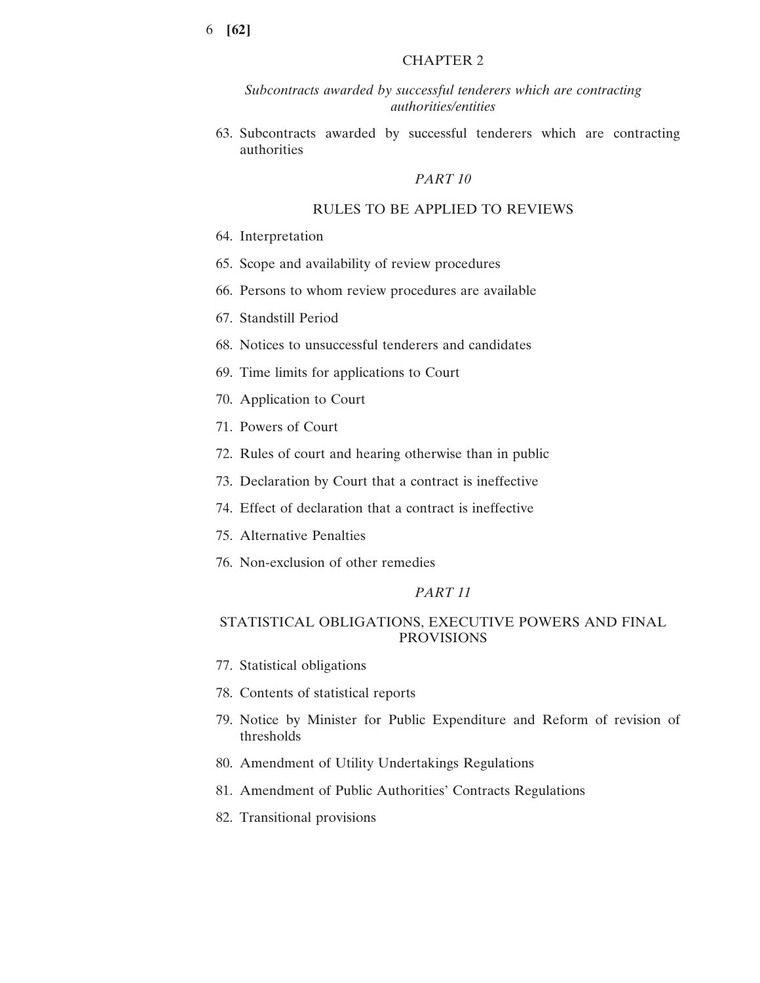## CHAPTER 2

*Subcontracts awarded by successful tenderers which are contracting authorities/entities*

63. Subcontracts awarded by successful tenderers which are contracting authorities

### *PART 10*

### RULES TO BE APPLIED TO REVIEWS

- 64. Interpretation
- 65. Scope and availability of review procedures
- 66. Persons to whom review procedures are available
- 67. Standstill Period
- 68. Notices to unsuccessful tenderers and candidates
- 69. Time limits for applications to Court
- 70. Application to Court
- 71. Powers of Court
- 72. Rules of court and hearing otherwise than in public
- 73. Declaration by Court that a contract is ineffective
- 74. Effect of declaration that a contract is ineffective
- 75. Alternative Penalties
- 76. Non-exclusion of other remedies

#### *PART 11*

## STATISTICAL OBLIGATIONS, EXECUTIVE POWERS AND FINAL PROVISIONS

- 77. Statistical obligations
- 78. Contents of statistical reports
- 79. Notice by Minister for Public Expenditure and Reform of revision of thresholds
- 80. Amendment of Utility Undertakings Regulations
- 81. Amendment of Public Authorities' Contracts Regulations
- 82. Transitional provisions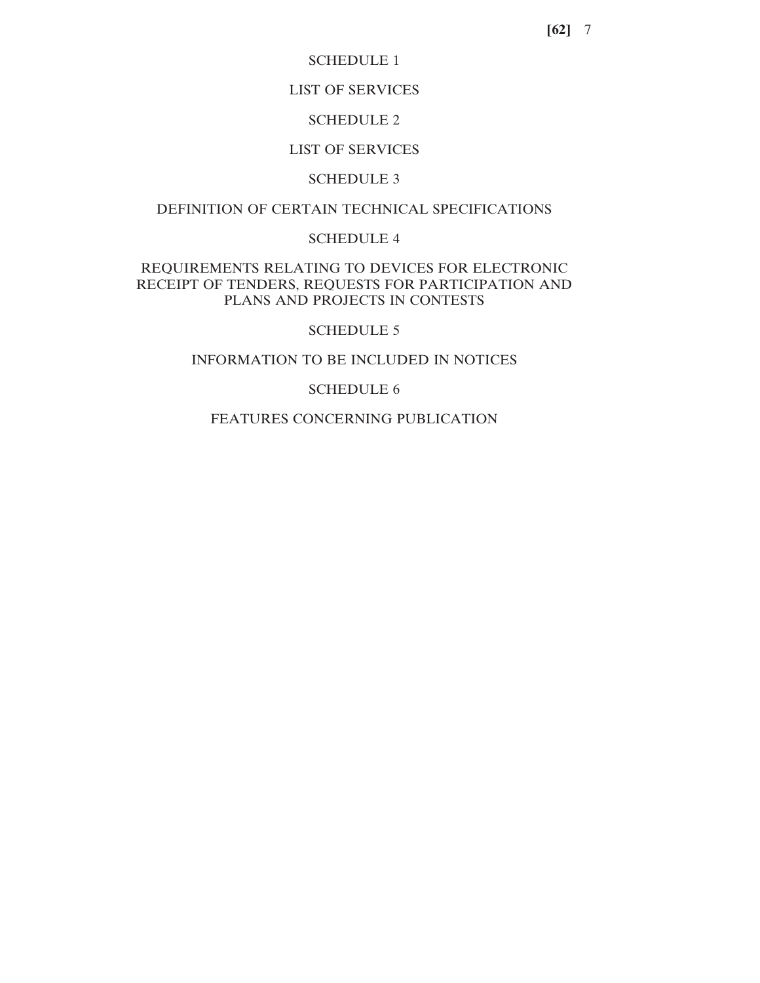### SCHEDULE 1

## LIST OF SERVICES

### SCHEDULE 2

## LIST OF SERVICES

### SCHEDULE 3

## DEFINITION OF CERTAIN TECHNICAL SPECIFICATIONS

## SCHEDULE 4

## REQUIREMENTS RELATING TO DEVICES FOR ELECTRONIC RECEIPT OF TENDERS, REQUESTS FOR PARTICIPATION AND PLANS AND PROJECTS IN CONTESTS

## SCHEDULE 5

### INFORMATION TO BE INCLUDED IN NOTICES

## SCHEDULE 6

## FEATURES CONCERNING PUBLICATION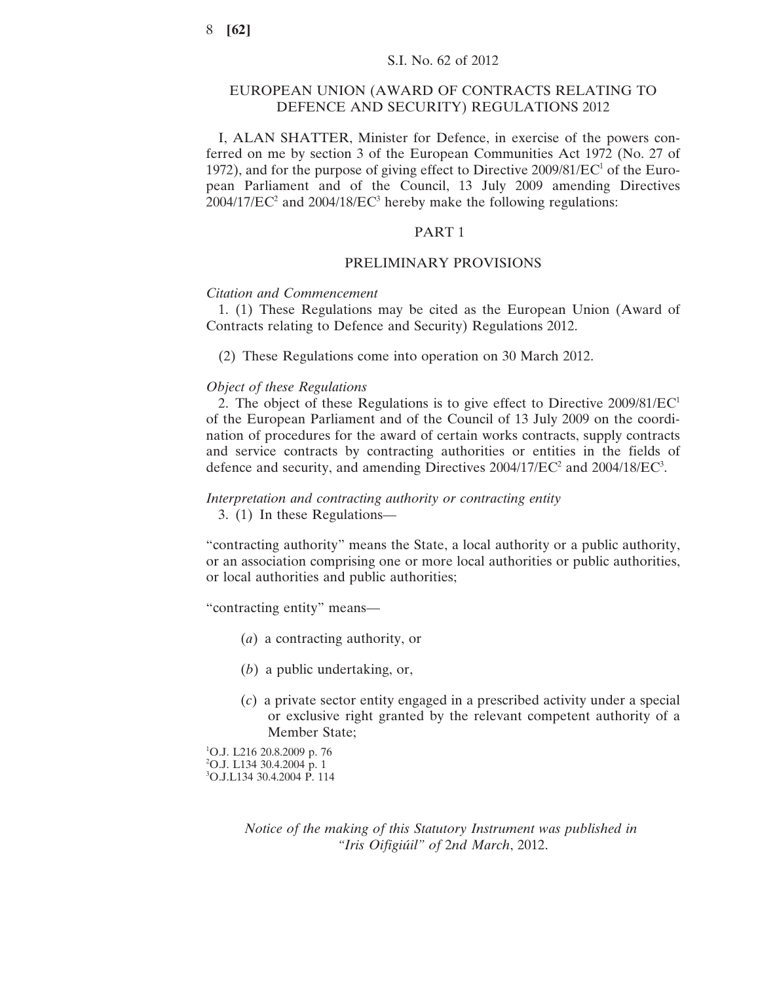### EUROPEAN UNION (AWARD OF CONTRACTS RELATING TO DEFENCE AND SECURITY) REGULATIONS 2012

I, ALAN SHATTER, Minister for Defence, in exercise of the powers conferred on me by section 3 of the European Communities Act 1972 (No. 27 of 1972), and for the purpose of giving effect to Directive  $2009/81/EC^{1}$  of the European Parliament and of the Council, 13 July 2009 amending Directives  $2004/17/EC^2$  and  $2004/18/EC^3$  hereby make the following regulations:

#### PART 1

#### PRELIMINARY PROVISIONS

#### *Citation and Commencement*

1. (1) These Regulations may be cited as the European Union (Award of Contracts relating to Defence and Security) Regulations 2012.

(2) These Regulations come into operation on 30 March 2012.

#### *Object of these Regulations*

2. The object of these Regulations is to give effect to Directive  $2009/81/EC<sup>1</sup>$ of the European Parliament and of the Council of 13 July 2009 on the coordination of procedures for the award of certain works contracts, supply contracts and service contracts by contracting authorities or entities in the fields of defence and security, and amending Directives  $2004/17/EC^2$  and  $2004/18/EC^3$ .

## *Interpretation and contracting authority or contracting entity*

3. (1) In these Regulations—

"contracting authority" means the State, a local authority or a public authority, or an association comprising one or more local authorities or public authorities, or local authorities and public authorities;

"contracting entity" means—

- (*a*) a contracting authority, or
- (*b*) a public undertaking, or,
- (*c*) a private sector entity engaged in a prescribed activity under a special or exclusive right granted by the relevant competent authority of a Member State;

1 O.J. L216 20.8.2009 p. 76 2 O.J. L134 30.4.2004 p. 1 3 O.J.L134 30.4.2004 P. 114

> *Notice of the making of this Statutory Instrument was published in "Iris Oifigiúil" of* 2*nd March*, 2012.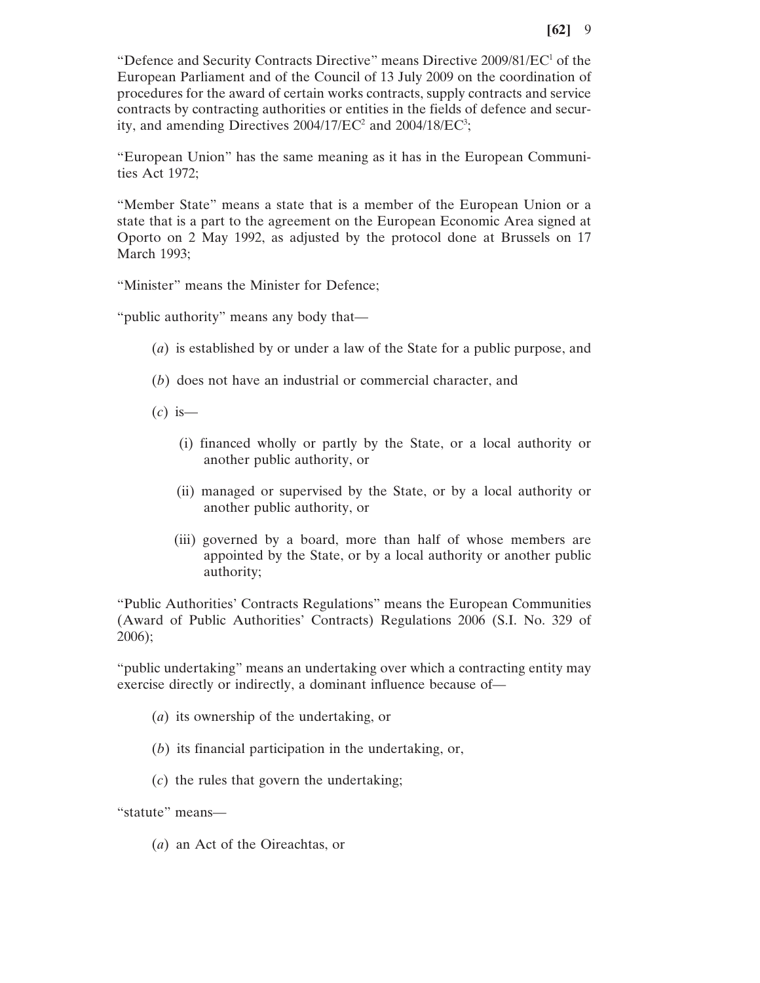"Defence and Security Contracts Directive" means Directive 2009/81/EC<sup>1</sup> of the European Parliament and of the Council of 13 July 2009 on the coordination of procedures for the award of certain works contracts, supply contracts and service contracts by contracting authorities or entities in the fields of defence and security, and amending Directives  $2004/17/EC^2$  and  $2004/18/EC^3$ ;

"European Union" has the same meaning as it has in the European Communities Act 1972;

"Member State" means a state that is a member of the European Union or a state that is a part to the agreement on the European Economic Area signed at Oporto on 2 May 1992, as adjusted by the protocol done at Brussels on 17 March 1993;

"Minister" means the Minister for Defence;

"public authority" means any body that—

- (*a*) is established by or under a law of the State for a public purpose, and
- (*b*) does not have an industrial or commercial character, and
- (*c*) is—
	- (i) financed wholly or partly by the State, or a local authority or another public authority, or
	- (ii) managed or supervised by the State, or by a local authority or another public authority, or
	- (iii) governed by a board, more than half of whose members are appointed by the State, or by a local authority or another public authority;

"Public Authorities' Contracts Regulations" means the European Communities (Award of Public Authorities' Contracts) Regulations 2006 (S.I. No. 329 of 2006);

"public undertaking" means an undertaking over which a contracting entity may exercise directly or indirectly, a dominant influence because of—

- (*a*) its ownership of the undertaking, or
- (*b*) its financial participation in the undertaking, or,
- (*c*) the rules that govern the undertaking;

"statute" means—

(*a*) an Act of the Oireachtas, or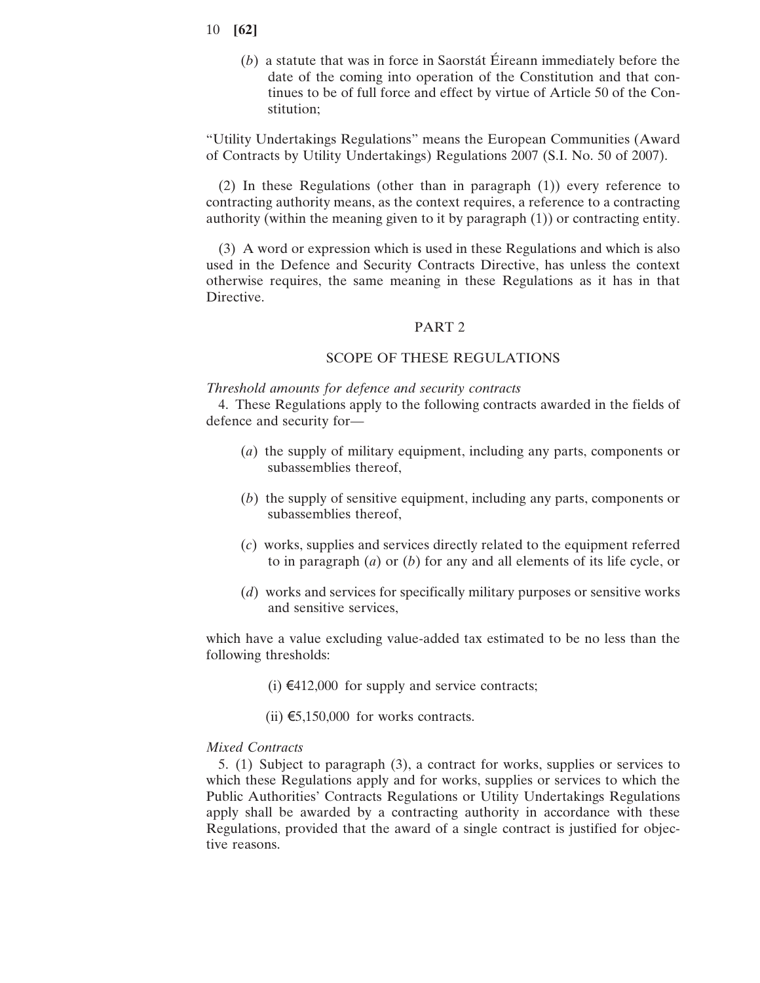- 10 **[62]**
	- (*b*) a statute that was in force in Saorstát Éireann immediately before the date of the coming into operation of the Constitution and that continues to be of full force and effect by virtue of Article 50 of the Constitution;

"Utility Undertakings Regulations" means the European Communities (Award of Contracts by Utility Undertakings) Regulations 2007 (S.I. No. 50 of 2007).

(2) In these Regulations (other than in paragraph (1)) every reference to contracting authority means, as the context requires, a reference to a contracting authority (within the meaning given to it by paragraph (1)) or contracting entity.

(3) A word or expression which is used in these Regulations and which is also used in the Defence and Security Contracts Directive, has unless the context otherwise requires, the same meaning in these Regulations as it has in that Directive.

#### PART 2

#### SCOPE OF THESE REGULATIONS

### *Threshold amounts for defence and security contracts*

4. These Regulations apply to the following contracts awarded in the fields of defence and security for—

- (*a*) the supply of military equipment, including any parts, components or subassemblies thereof,
- (*b*) the supply of sensitive equipment, including any parts, components or subassemblies thereof,
- (*c*) works, supplies and services directly related to the equipment referred to in paragraph (*a*) or (*b*) for any and all elements of its life cycle, or
- (*d*) works and services for specifically military purposes or sensitive works and sensitive services,

which have a value excluding value-added tax estimated to be no less than the following thresholds:

(i)  $€412,000$  for supply and service contracts;

(ii)  $€5,150,000$  for works contracts.

### *Mixed Contracts*

5. (1) Subject to paragraph (3), a contract for works, supplies or services to which these Regulations apply and for works, supplies or services to which the Public Authorities' Contracts Regulations or Utility Undertakings Regulations apply shall be awarded by a contracting authority in accordance with these Regulations, provided that the award of a single contract is justified for objective reasons.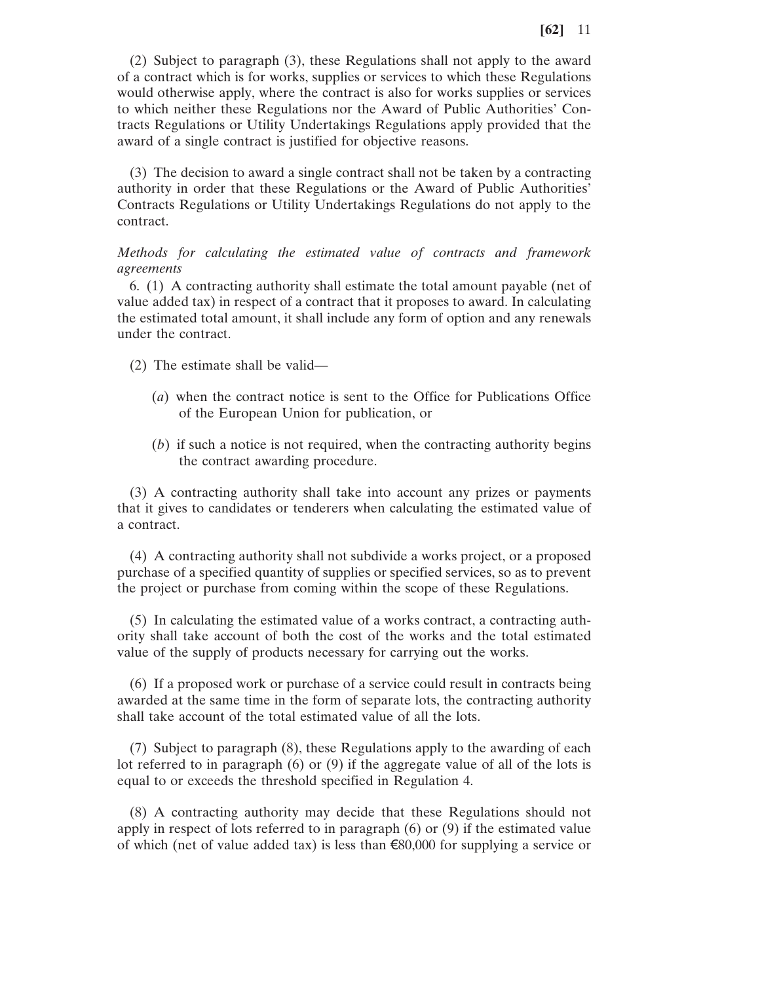(2) Subject to paragraph (3), these Regulations shall not apply to the award of a contract which is for works, supplies or services to which these Regulations would otherwise apply, where the contract is also for works supplies or services to which neither these Regulations nor the Award of Public Authorities' Contracts Regulations or Utility Undertakings Regulations apply provided that the award of a single contract is justified for objective reasons.

(3) The decision to award a single contract shall not be taken by a contracting authority in order that these Regulations or the Award of Public Authorities' Contracts Regulations or Utility Undertakings Regulations do not apply to the contract.

*Methods for calculating the estimated value of contracts and framework agreements*

6. (1) A contracting authority shall estimate the total amount payable (net of value added tax) in respect of a contract that it proposes to award. In calculating the estimated total amount, it shall include any form of option and any renewals under the contract.

- (2) The estimate shall be valid—
	- (*a*) when the contract notice is sent to the Office for Publications Office of the European Union for publication, or
	- (*b*) if such a notice is not required, when the contracting authority begins the contract awarding procedure.

(3) A contracting authority shall take into account any prizes or payments that it gives to candidates or tenderers when calculating the estimated value of a contract.

(4) A contracting authority shall not subdivide a works project, or a proposed purchase of a specified quantity of supplies or specified services, so as to prevent the project or purchase from coming within the scope of these Regulations.

(5) In calculating the estimated value of a works contract, a contracting authority shall take account of both the cost of the works and the total estimated value of the supply of products necessary for carrying out the works.

(6) If a proposed work or purchase of a service could result in contracts being awarded at the same time in the form of separate lots, the contracting authority shall take account of the total estimated value of all the lots.

(7) Subject to paragraph (8), these Regulations apply to the awarding of each lot referred to in paragraph (6) or (9) if the aggregate value of all of the lots is equal to or exceeds the threshold specified in Regulation 4.

(8) A contracting authority may decide that these Regulations should not apply in respect of lots referred to in paragraph (6) or (9) if the estimated value of which (net of value added tax) is less than  $\epsilon$ 80,000 for supplying a service or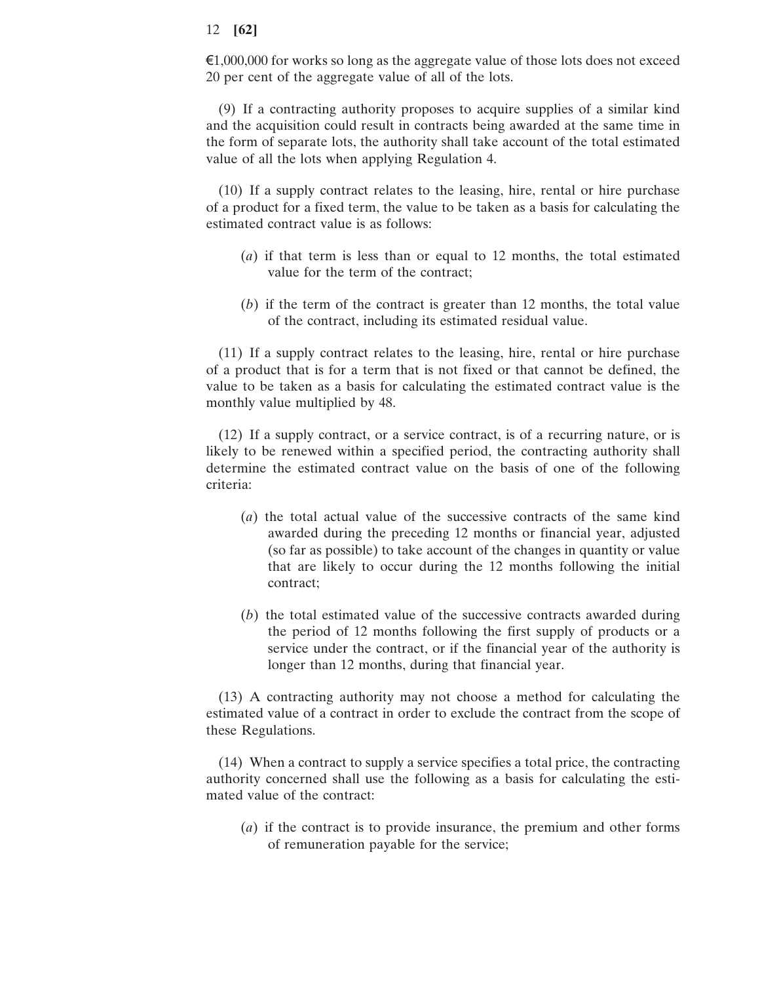€1,000,000 for works so long as the aggregate value of those lots does not exceed 20 per cent of the aggregate value of all of the lots.

(9) If a contracting authority proposes to acquire supplies of a similar kind and the acquisition could result in contracts being awarded at the same time in the form of separate lots, the authority shall take account of the total estimated value of all the lots when applying Regulation 4.

(10) If a supply contract relates to the leasing, hire, rental or hire purchase of a product for a fixed term, the value to be taken as a basis for calculating the estimated contract value is as follows:

- (*a*) if that term is less than or equal to 12 months, the total estimated value for the term of the contract;
- (*b*) if the term of the contract is greater than 12 months, the total value of the contract, including its estimated residual value.

(11) If a supply contract relates to the leasing, hire, rental or hire purchase of a product that is for a term that is not fixed or that cannot be defined, the value to be taken as a basis for calculating the estimated contract value is the monthly value multiplied by 48.

(12) If a supply contract, or a service contract, is of a recurring nature, or is likely to be renewed within a specified period, the contracting authority shall determine the estimated contract value on the basis of one of the following criteria:

- (*a*) the total actual value of the successive contracts of the same kind awarded during the preceding 12 months or financial year, adjusted (so far as possible) to take account of the changes in quantity or value that are likely to occur during the 12 months following the initial contract;
- (*b*) the total estimated value of the successive contracts awarded during the period of 12 months following the first supply of products or a service under the contract, or if the financial year of the authority is longer than 12 months, during that financial year.

(13) A contracting authority may not choose a method for calculating the estimated value of a contract in order to exclude the contract from the scope of these Regulations.

(14) When a contract to supply a service specifies a total price, the contracting authority concerned shall use the following as a basis for calculating the estimated value of the contract:

(*a*) if the contract is to provide insurance, the premium and other forms of remuneration payable for the service;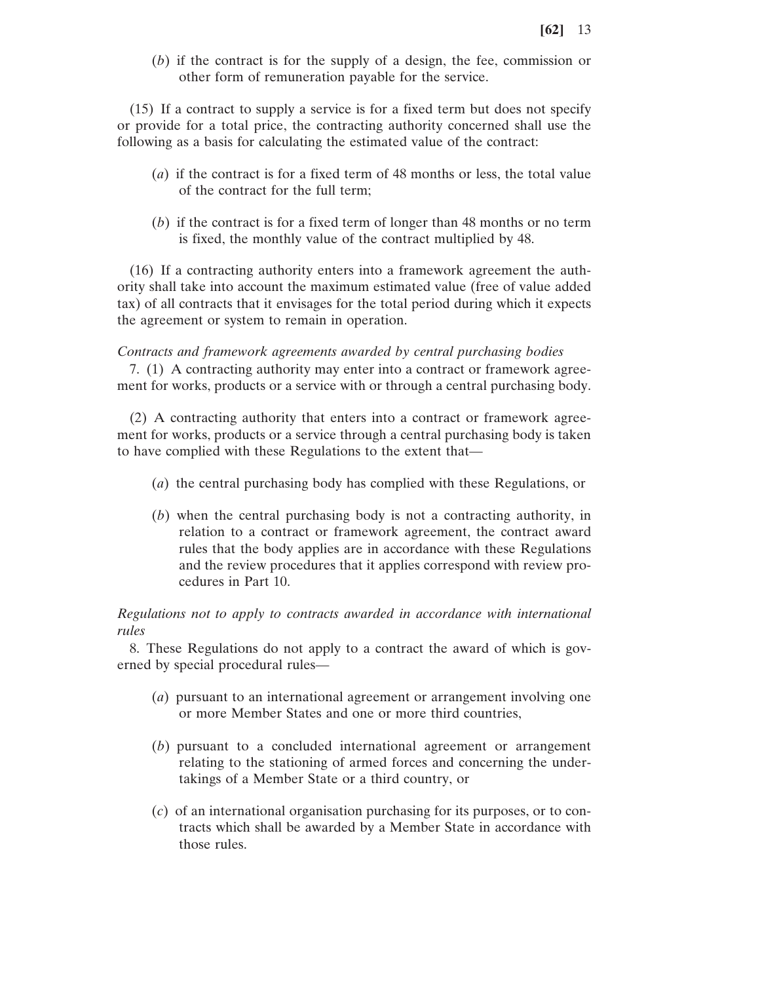(*b*) if the contract is for the supply of a design, the fee, commission or other form of remuneration payable for the service.

(15) If a contract to supply a service is for a fixed term but does not specify or provide for a total price, the contracting authority concerned shall use the following as a basis for calculating the estimated value of the contract:

- (*a*) if the contract is for a fixed term of 48 months or less, the total value of the contract for the full term;
- (*b*) if the contract is for a fixed term of longer than 48 months or no term is fixed, the monthly value of the contract multiplied by 48.

(16) If a contracting authority enters into a framework agreement the authority shall take into account the maximum estimated value (free of value added tax) of all contracts that it envisages for the total period during which it expects the agreement or system to remain in operation.

#### *Contracts and framework agreements awarded by central purchasing bodies*

7. (1) A contracting authority may enter into a contract or framework agreement for works, products or a service with or through a central purchasing body.

(2) A contracting authority that enters into a contract or framework agreement for works, products or a service through a central purchasing body is taken to have complied with these Regulations to the extent that—

- (*a*) the central purchasing body has complied with these Regulations, or
- (*b*) when the central purchasing body is not a contracting authority, in relation to a contract or framework agreement, the contract award rules that the body applies are in accordance with these Regulations and the review procedures that it applies correspond with review procedures in Part 10.

## *Regulations not to apply to contracts awarded in accordance with international rules*

8. These Regulations do not apply to a contract the award of which is governed by special procedural rules—

- (*a*) pursuant to an international agreement or arrangement involving one or more Member States and one or more third countries,
- (*b*) pursuant to a concluded international agreement or arrangement relating to the stationing of armed forces and concerning the undertakings of a Member State or a third country, or
- (*c*) of an international organisation purchasing for its purposes, or to contracts which shall be awarded by a Member State in accordance with those rules.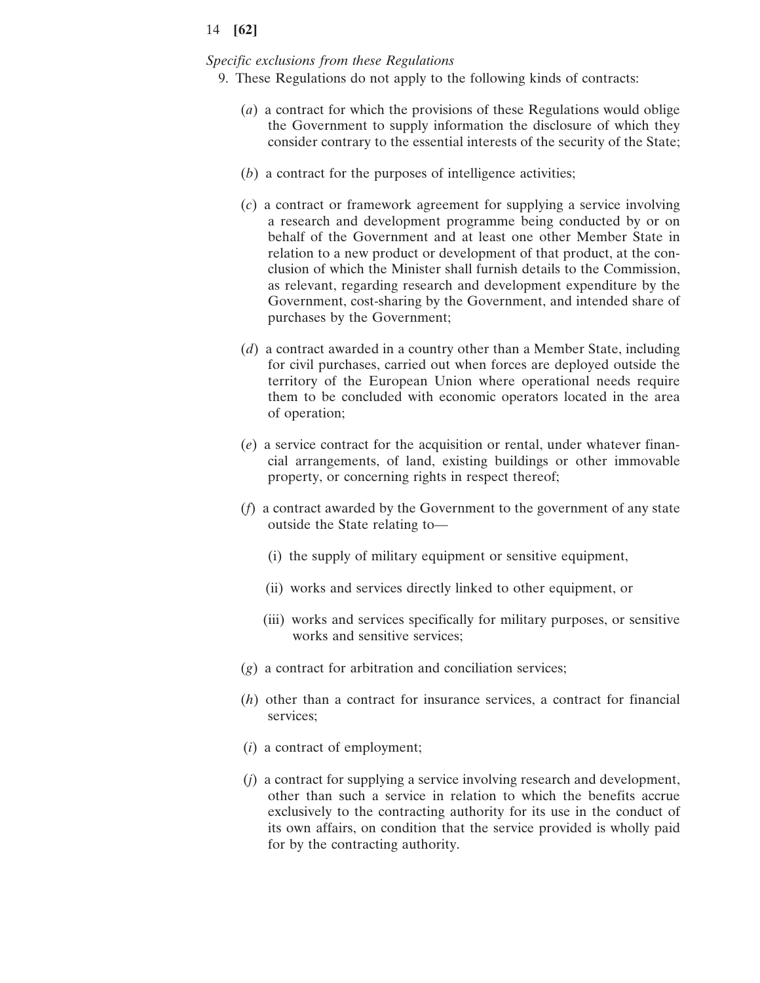#### *Specific exclusions from these Regulations*

- 9. These Regulations do not apply to the following kinds of contracts:
	- (*a*) a contract for which the provisions of these Regulations would oblige the Government to supply information the disclosure of which they consider contrary to the essential interests of the security of the State;
	- (*b*) a contract for the purposes of intelligence activities;
	- (*c*) a contract or framework agreement for supplying a service involving a research and development programme being conducted by or on behalf of the Government and at least one other Member State in relation to a new product or development of that product, at the conclusion of which the Minister shall furnish details to the Commission, as relevant, regarding research and development expenditure by the Government, cost-sharing by the Government, and intended share of purchases by the Government;
	- (*d*) a contract awarded in a country other than a Member State, including for civil purchases, carried out when forces are deployed outside the territory of the European Union where operational needs require them to be concluded with economic operators located in the area of operation;
	- (*e*) a service contract for the acquisition or rental, under whatever financial arrangements, of land, existing buildings or other immovable property, or concerning rights in respect thereof;
	- (*f*) a contract awarded by the Government to the government of any state outside the State relating to—
		- (i) the supply of military equipment or sensitive equipment,
		- (ii) works and services directly linked to other equipment, or
		- (iii) works and services specifically for military purposes, or sensitive works and sensitive services;
	- (*g*) a contract for arbitration and conciliation services;
	- (*h*) other than a contract for insurance services, a contract for financial services;
	- (*i*) a contract of employment;
	- (*j*) a contract for supplying a service involving research and development, other than such a service in relation to which the benefits accrue exclusively to the contracting authority for its use in the conduct of its own affairs, on condition that the service provided is wholly paid for by the contracting authority.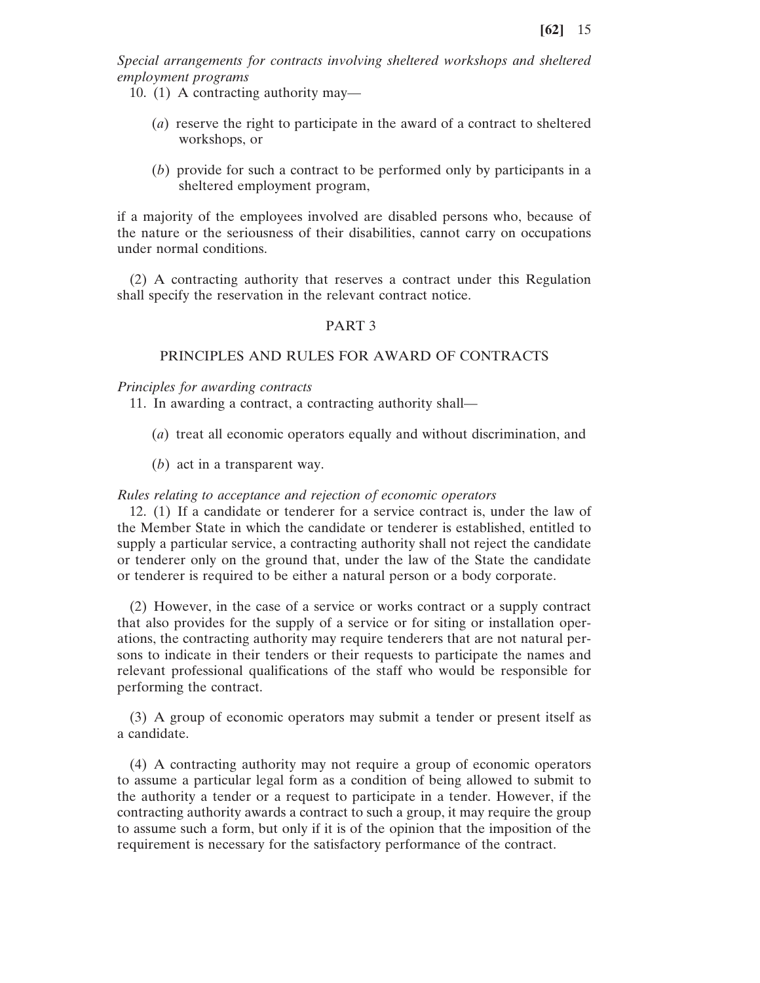*Special arrangements for contracts involving sheltered workshops and sheltered employment programs*

10. (1) A contracting authority may—

- (*a*) reserve the right to participate in the award of a contract to sheltered workshops, or
- (*b*) provide for such a contract to be performed only by participants in a sheltered employment program,

if a majority of the employees involved are disabled persons who, because of the nature or the seriousness of their disabilities, cannot carry on occupations under normal conditions.

(2) A contracting authority that reserves a contract under this Regulation shall specify the reservation in the relevant contract notice.

### PART 3

## PRINCIPLES AND RULES FOR AWARD OF CONTRACTS

*Principles for awarding contracts*

11. In awarding a contract, a contracting authority shall—

- (*a*) treat all economic operators equally and without discrimination, and
- (*b*) act in a transparent way.

#### *Rules relating to acceptance and rejection of economic operators*

12. (1) If a candidate or tenderer for a service contract is, under the law of the Member State in which the candidate or tenderer is established, entitled to supply a particular service, a contracting authority shall not reject the candidate or tenderer only on the ground that, under the law of the State the candidate or tenderer is required to be either a natural person or a body corporate.

(2) However, in the case of a service or works contract or a supply contract that also provides for the supply of a service or for siting or installation operations, the contracting authority may require tenderers that are not natural persons to indicate in their tenders or their requests to participate the names and relevant professional qualifications of the staff who would be responsible for performing the contract.

(3) A group of economic operators may submit a tender or present itself as a candidate.

(4) A contracting authority may not require a group of economic operators to assume a particular legal form as a condition of being allowed to submit to the authority a tender or a request to participate in a tender. However, if the contracting authority awards a contract to such a group, it may require the group to assume such a form, but only if it is of the opinion that the imposition of the requirement is necessary for the satisfactory performance of the contract.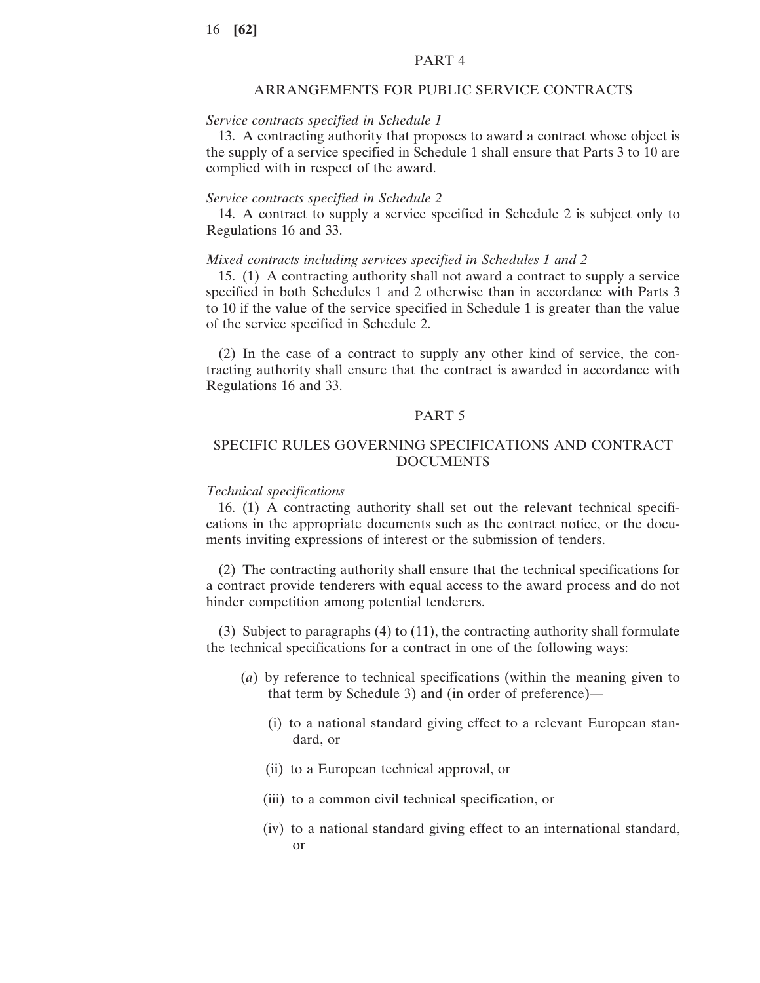## PART 4

## ARRANGEMENTS FOR PUBLIC SERVICE CONTRACTS

#### *Service contracts specified in Schedule 1*

13. A contracting authority that proposes to award a contract whose object is the supply of a service specified in Schedule 1 shall ensure that Parts 3 to 10 are complied with in respect of the award.

#### *Service contracts specified in Schedule 2*

14. A contract to supply a service specified in Schedule 2 is subject only to Regulations 16 and 33.

#### *Mixed contracts including services specified in Schedules 1 and 2*

15. (1) A contracting authority shall not award a contract to supply a service specified in both Schedules 1 and 2 otherwise than in accordance with Parts 3 to 10 if the value of the service specified in Schedule 1 is greater than the value of the service specified in Schedule 2.

(2) In the case of a contract to supply any other kind of service, the contracting authority shall ensure that the contract is awarded in accordance with Regulations 16 and 33.

#### PART 5

## SPECIFIC RULES GOVERNING SPECIFICATIONS AND CONTRACT DOCUMENTS

#### *Technical specifications*

16. (1) A contracting authority shall set out the relevant technical specifications in the appropriate documents such as the contract notice, or the documents inviting expressions of interest or the submission of tenders.

(2) The contracting authority shall ensure that the technical specifications for a contract provide tenderers with equal access to the award process and do not hinder competition among potential tenderers.

(3) Subject to paragraphs (4) to (11), the contracting authority shall formulate the technical specifications for a contract in one of the following ways:

- (*a*) by reference to technical specifications (within the meaning given to that term by Schedule 3) and (in order of preference)—
	- (i) to a national standard giving effect to a relevant European standard, or
	- (ii) to a European technical approval, or
	- (iii) to a common civil technical specification, or
	- (iv) to a national standard giving effect to an international standard, or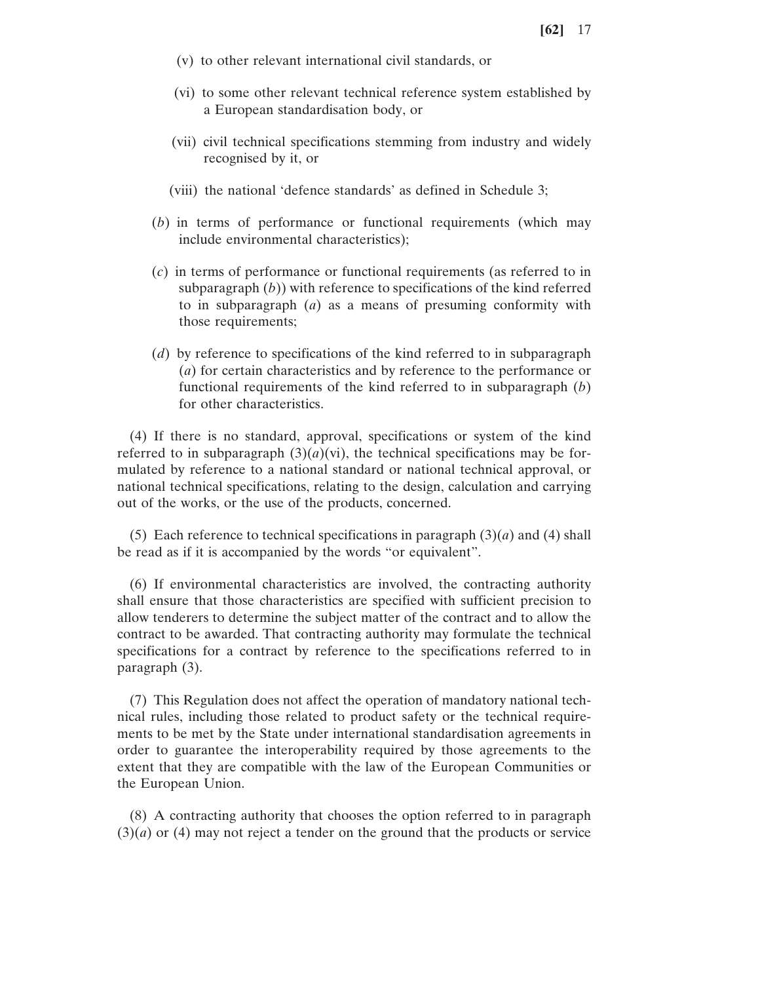- (v) to other relevant international civil standards, or
- (vi) to some other relevant technical reference system established by a European standardisation body, or
- (vii) civil technical specifications stemming from industry and widely recognised by it, or
- (viii) the national 'defence standards' as defined in Schedule 3;
- (*b*) in terms of performance or functional requirements (which may include environmental characteristics);
- (*c*) in terms of performance or functional requirements (as referred to in subparagraph (*b*)) with reference to specifications of the kind referred to in subparagraph (*a*) as a means of presuming conformity with those requirements;
- (*d*) by reference to specifications of the kind referred to in subparagraph (*a*) for certain characteristics and by reference to the performance or functional requirements of the kind referred to in subparagraph (*b*) for other characteristics.

(4) If there is no standard, approval, specifications or system of the kind referred to in subparagraph  $(3)(a)(vi)$ , the technical specifications may be formulated by reference to a national standard or national technical approval, or national technical specifications, relating to the design, calculation and carrying out of the works, or the use of the products, concerned.

(5) Each reference to technical specifications in paragraph  $(3)(a)$  and  $(4)$  shall be read as if it is accompanied by the words "or equivalent".

(6) If environmental characteristics are involved, the contracting authority shall ensure that those characteristics are specified with sufficient precision to allow tenderers to determine the subject matter of the contract and to allow the contract to be awarded. That contracting authority may formulate the technical specifications for a contract by reference to the specifications referred to in paragraph (3).

(7) This Regulation does not affect the operation of mandatory national technical rules, including those related to product safety or the technical requirements to be met by the State under international standardisation agreements in order to guarantee the interoperability required by those agreements to the extent that they are compatible with the law of the European Communities or the European Union.

(8) A contracting authority that chooses the option referred to in paragraph (3)(*a*) or (4) may not reject a tender on the ground that the products or service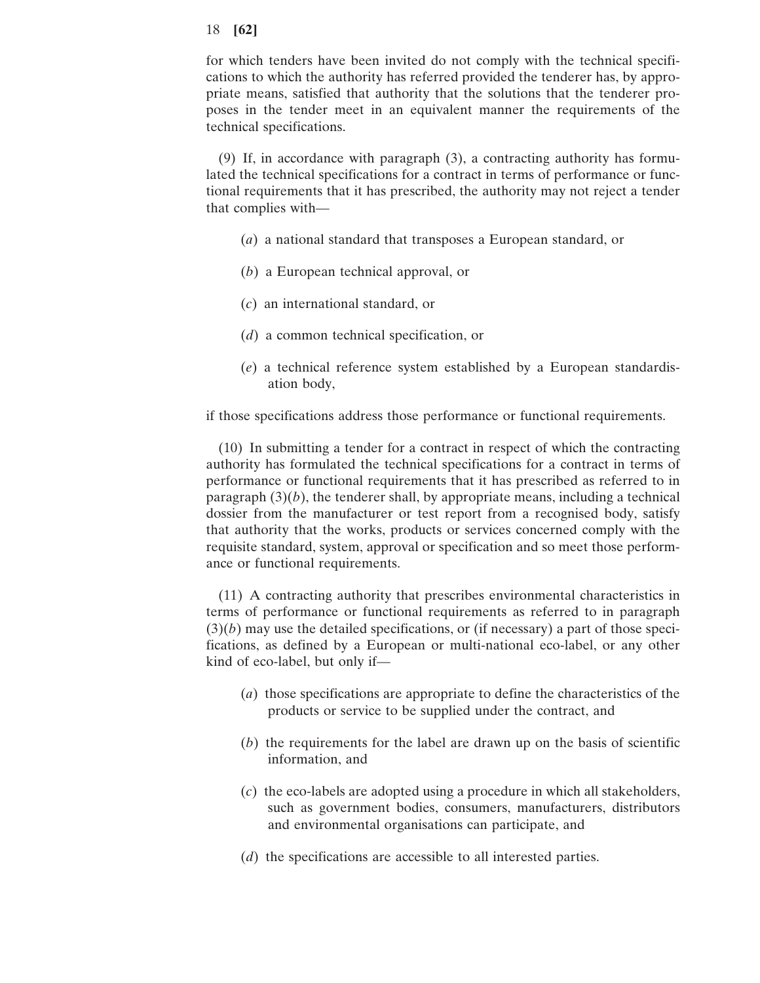for which tenders have been invited do not comply with the technical specifications to which the authority has referred provided the tenderer has, by appropriate means, satisfied that authority that the solutions that the tenderer proposes in the tender meet in an equivalent manner the requirements of the technical specifications.

(9) If, in accordance with paragraph (3), a contracting authority has formulated the technical specifications for a contract in terms of performance or functional requirements that it has prescribed, the authority may not reject a tender that complies with—

- (*a*) a national standard that transposes a European standard, or
- (*b*) a European technical approval, or
- (*c*) an international standard, or
- (*d*) a common technical specification, or
- (*e*) a technical reference system established by a European standardisation body,

if those specifications address those performance or functional requirements.

(10) In submitting a tender for a contract in respect of which the contracting authority has formulated the technical specifications for a contract in terms of performance or functional requirements that it has prescribed as referred to in paragraph  $(3)(b)$ , the tenderer shall, by appropriate means, including a technical dossier from the manufacturer or test report from a recognised body, satisfy that authority that the works, products or services concerned comply with the requisite standard, system, approval or specification and so meet those performance or functional requirements.

(11) A contracting authority that prescribes environmental characteristics in terms of performance or functional requirements as referred to in paragraph  $(3)(b)$  may use the detailed specifications, or (if necessary) a part of those specifications, as defined by a European or multi-national eco-label, or any other kind of eco-label, but only if—

- (*a*) those specifications are appropriate to define the characteristics of the products or service to be supplied under the contract, and
- (*b*) the requirements for the label are drawn up on the basis of scientific information, and
- (*c*) the eco-labels are adopted using a procedure in which all stakeholders, such as government bodies, consumers, manufacturers, distributors and environmental organisations can participate, and
- (*d*) the specifications are accessible to all interested parties.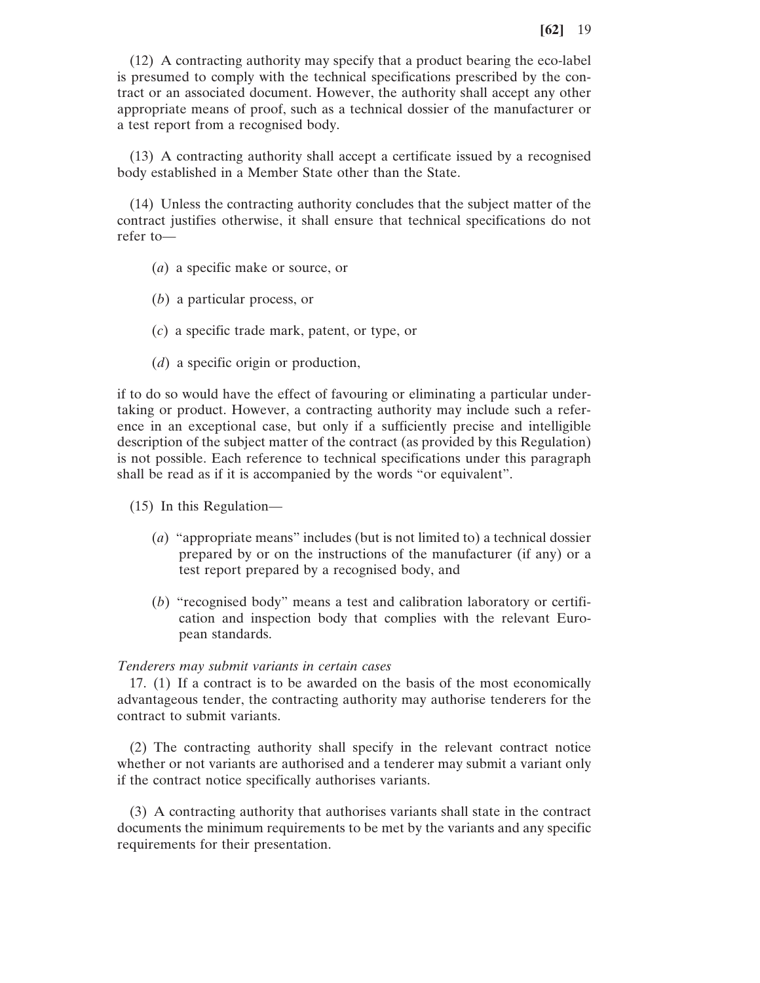(12) A contracting authority may specify that a product bearing the eco-label is presumed to comply with the technical specifications prescribed by the contract or an associated document. However, the authority shall accept any other appropriate means of proof, such as a technical dossier of the manufacturer or a test report from a recognised body.

(13) A contracting authority shall accept a certificate issued by a recognised body established in a Member State other than the State.

(14) Unless the contracting authority concludes that the subject matter of the contract justifies otherwise, it shall ensure that technical specifications do not refer to—

- (*a*) a specific make or source, or
- (*b*) a particular process, or
- (*c*) a specific trade mark, patent, or type, or
- (*d*) a specific origin or production,

if to do so would have the effect of favouring or eliminating a particular undertaking or product. However, a contracting authority may include such a reference in an exceptional case, but only if a sufficiently precise and intelligible description of the subject matter of the contract (as provided by this Regulation) is not possible. Each reference to technical specifications under this paragraph shall be read as if it is accompanied by the words "or equivalent".

- (15) In this Regulation—
	- (*a*) "appropriate means" includes (but is not limited to) a technical dossier prepared by or on the instructions of the manufacturer (if any) or a test report prepared by a recognised body, and
	- (*b*) "recognised body" means a test and calibration laboratory or certification and inspection body that complies with the relevant European standards.

#### *Tenderers may submit variants in certain cases*

17. (1) If a contract is to be awarded on the basis of the most economically advantageous tender, the contracting authority may authorise tenderers for the contract to submit variants.

(2) The contracting authority shall specify in the relevant contract notice whether or not variants are authorised and a tenderer may submit a variant only if the contract notice specifically authorises variants.

(3) A contracting authority that authorises variants shall state in the contract documents the minimum requirements to be met by the variants and any specific requirements for their presentation.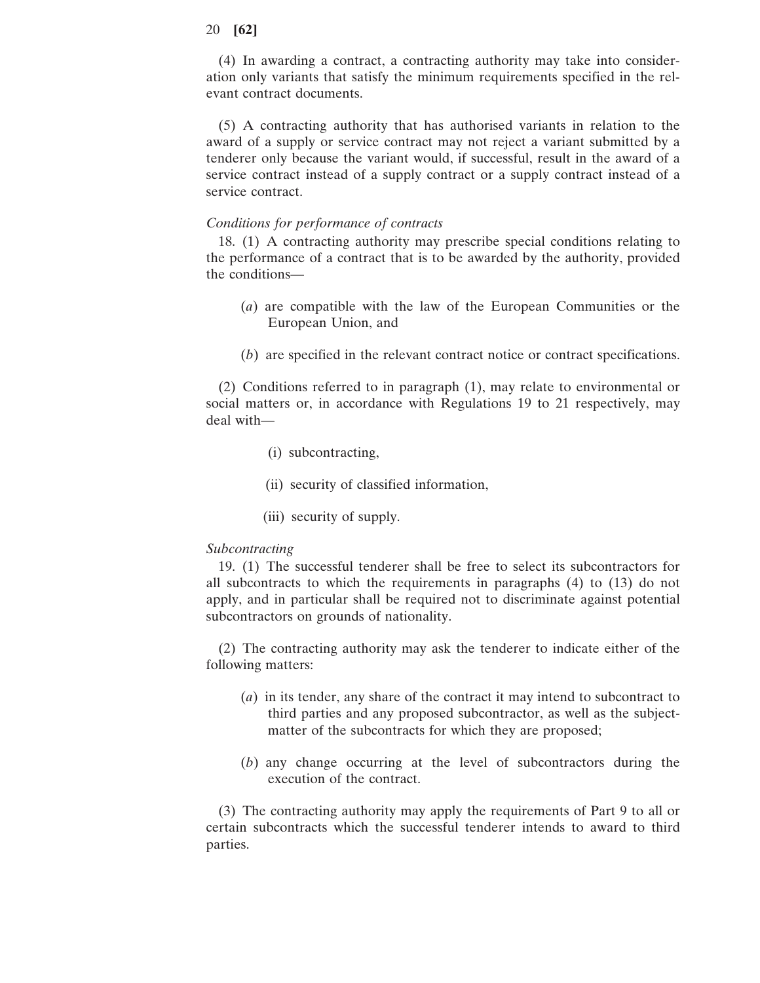(4) In awarding a contract, a contracting authority may take into consideration only variants that satisfy the minimum requirements specified in the relevant contract documents.

(5) A contracting authority that has authorised variants in relation to the award of a supply or service contract may not reject a variant submitted by a tenderer only because the variant would, if successful, result in the award of a service contract instead of a supply contract or a supply contract instead of a service contract.

#### *Conditions for performance of contracts*

18. (1) A contracting authority may prescribe special conditions relating to the performance of a contract that is to be awarded by the authority, provided the conditions—

- (*a*) are compatible with the law of the European Communities or the European Union, and
- (*b*) are specified in the relevant contract notice or contract specifications.

(2) Conditions referred to in paragraph (1), may relate to environmental or social matters or, in accordance with Regulations 19 to 21 respectively, may deal with—

- (i) subcontracting,
- (ii) security of classified information,
- (iii) security of supply.

#### *Subcontracting*

19. (1) The successful tenderer shall be free to select its subcontractors for all subcontracts to which the requirements in paragraphs (4) to (13) do not apply, and in particular shall be required not to discriminate against potential subcontractors on grounds of nationality.

(2) The contracting authority may ask the tenderer to indicate either of the following matters:

- (*a*) in its tender, any share of the contract it may intend to subcontract to third parties and any proposed subcontractor, as well as the subjectmatter of the subcontracts for which they are proposed;
- (*b*) any change occurring at the level of subcontractors during the execution of the contract.

(3) The contracting authority may apply the requirements of Part 9 to all or certain subcontracts which the successful tenderer intends to award to third parties.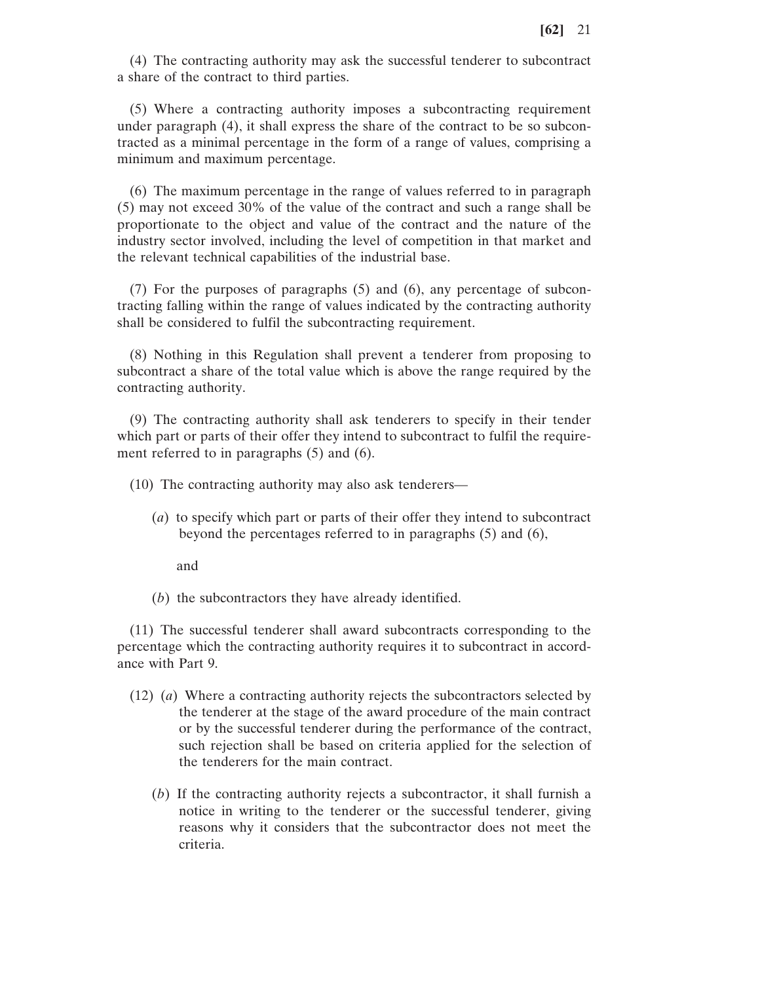(4) The contracting authority may ask the successful tenderer to subcontract a share of the contract to third parties.

(5) Where a contracting authority imposes a subcontracting requirement under paragraph (4), it shall express the share of the contract to be so subcontracted as a minimal percentage in the form of a range of values, comprising a minimum and maximum percentage.

(6) The maximum percentage in the range of values referred to in paragraph (5) may not exceed 30% of the value of the contract and such a range shall be proportionate to the object and value of the contract and the nature of the industry sector involved, including the level of competition in that market and the relevant technical capabilities of the industrial base.

(7) For the purposes of paragraphs (5) and (6), any percentage of subcontracting falling within the range of values indicated by the contracting authority shall be considered to fulfil the subcontracting requirement.

(8) Nothing in this Regulation shall prevent a tenderer from proposing to subcontract a share of the total value which is above the range required by the contracting authority.

(9) The contracting authority shall ask tenderers to specify in their tender which part or parts of their offer they intend to subcontract to fulfil the requirement referred to in paragraphs (5) and (6).

(10) The contracting authority may also ask tenderers—

(*a*) to specify which part or parts of their offer they intend to subcontract beyond the percentages referred to in paragraphs (5) and (6),

and

(*b*) the subcontractors they have already identified.

(11) The successful tenderer shall award subcontracts corresponding to the percentage which the contracting authority requires it to subcontract in accordance with Part 9.

- (12) (*a*) Where a contracting authority rejects the subcontractors selected by the tenderer at the stage of the award procedure of the main contract or by the successful tenderer during the performance of the contract, such rejection shall be based on criteria applied for the selection of the tenderers for the main contract.
	- (*b*) If the contracting authority rejects a subcontractor, it shall furnish a notice in writing to the tenderer or the successful tenderer, giving reasons why it considers that the subcontractor does not meet the criteria.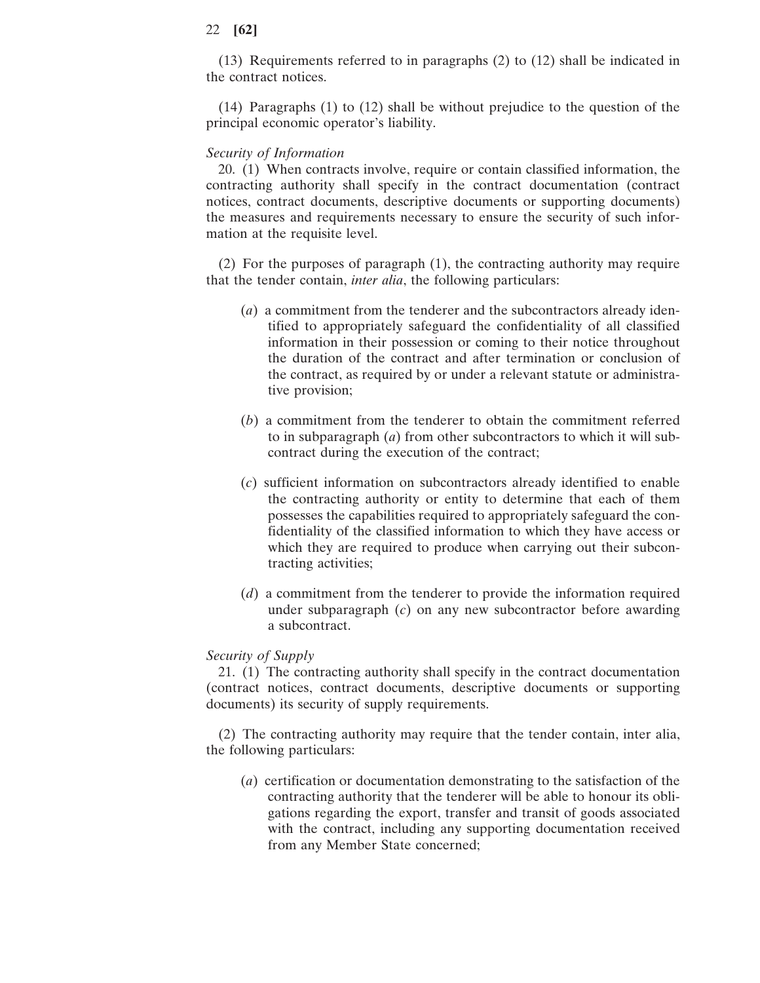(13) Requirements referred to in paragraphs (2) to (12) shall be indicated in the contract notices.

(14) Paragraphs (1) to (12) shall be without prejudice to the question of the principal economic operator's liability.

#### *Security of Information*

20. (1) When contracts involve, require or contain classified information, the contracting authority shall specify in the contract documentation (contract notices, contract documents, descriptive documents or supporting documents) the measures and requirements necessary to ensure the security of such information at the requisite level.

(2) For the purposes of paragraph (1), the contracting authority may require that the tender contain, *inter alia*, the following particulars:

- (*a*) a commitment from the tenderer and the subcontractors already identified to appropriately safeguard the confidentiality of all classified information in their possession or coming to their notice throughout the duration of the contract and after termination or conclusion of the contract, as required by or under a relevant statute or administrative provision;
- (*b*) a commitment from the tenderer to obtain the commitment referred to in subparagraph (*a*) from other subcontractors to which it will subcontract during the execution of the contract;
- (*c*) sufficient information on subcontractors already identified to enable the contracting authority or entity to determine that each of them possesses the capabilities required to appropriately safeguard the confidentiality of the classified information to which they have access or which they are required to produce when carrying out their subcontracting activities;
- (*d*) a commitment from the tenderer to provide the information required under subparagraph (*c*) on any new subcontractor before awarding a subcontract.

### *Security of Supply*

21. (1) The contracting authority shall specify in the contract documentation (contract notices, contract documents, descriptive documents or supporting documents) its security of supply requirements.

(2) The contracting authority may require that the tender contain, inter alia, the following particulars:

(*a*) certification or documentation demonstrating to the satisfaction of the contracting authority that the tenderer will be able to honour its obligations regarding the export, transfer and transit of goods associated with the contract, including any supporting documentation received from any Member State concerned;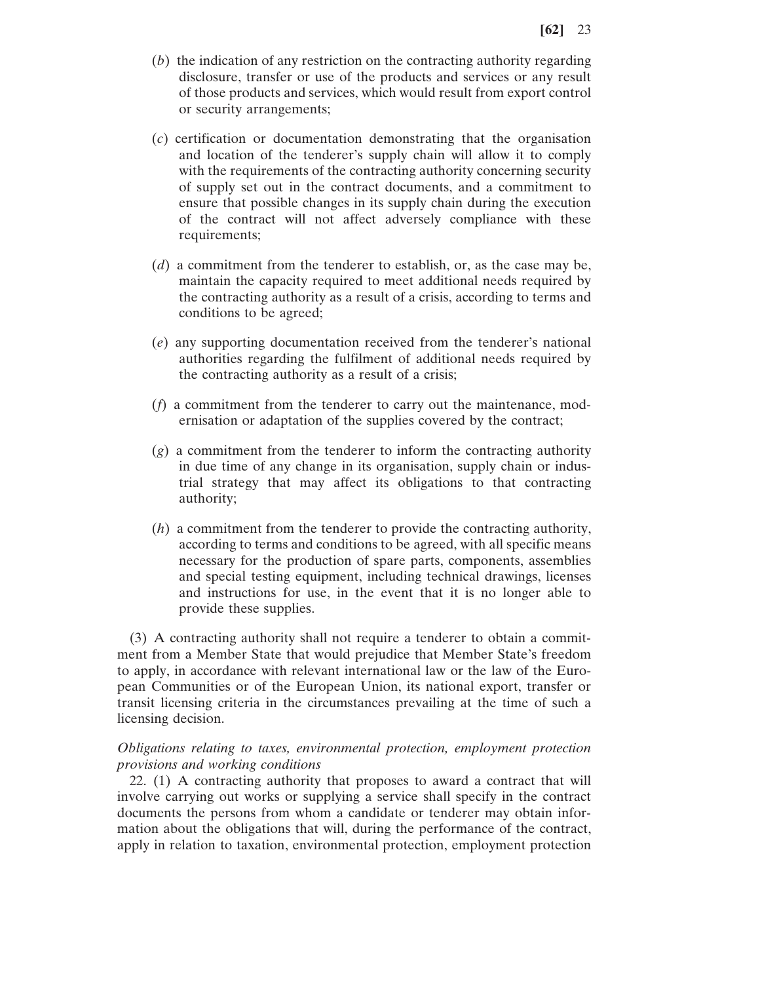- (*b*) the indication of any restriction on the contracting authority regarding disclosure, transfer or use of the products and services or any result of those products and services, which would result from export control or security arrangements;
- (*c*) certification or documentation demonstrating that the organisation and location of the tenderer's supply chain will allow it to comply with the requirements of the contracting authority concerning security of supply set out in the contract documents, and a commitment to ensure that possible changes in its supply chain during the execution of the contract will not affect adversely compliance with these requirements;
- (*d*) a commitment from the tenderer to establish, or, as the case may be, maintain the capacity required to meet additional needs required by the contracting authority as a result of a crisis, according to terms and conditions to be agreed;
- (*e*) any supporting documentation received from the tenderer's national authorities regarding the fulfilment of additional needs required by the contracting authority as a result of a crisis;
- (*f*) a commitment from the tenderer to carry out the maintenance, modernisation or adaptation of the supplies covered by the contract;
- (*g*) a commitment from the tenderer to inform the contracting authority in due time of any change in its organisation, supply chain or industrial strategy that may affect its obligations to that contracting authority;
- (*h*) a commitment from the tenderer to provide the contracting authority, according to terms and conditions to be agreed, with all specific means necessary for the production of spare parts, components, assemblies and special testing equipment, including technical drawings, licenses and instructions for use, in the event that it is no longer able to provide these supplies.

(3) A contracting authority shall not require a tenderer to obtain a commitment from a Member State that would prejudice that Member State's freedom to apply, in accordance with relevant international law or the law of the European Communities or of the European Union, its national export, transfer or transit licensing criteria in the circumstances prevailing at the time of such a licensing decision.

## *Obligations relating to taxes, environmental protection, employment protection provisions and working conditions*

22. (1) A contracting authority that proposes to award a contract that will involve carrying out works or supplying a service shall specify in the contract documents the persons from whom a candidate or tenderer may obtain information about the obligations that will, during the performance of the contract, apply in relation to taxation, environmental protection, employment protection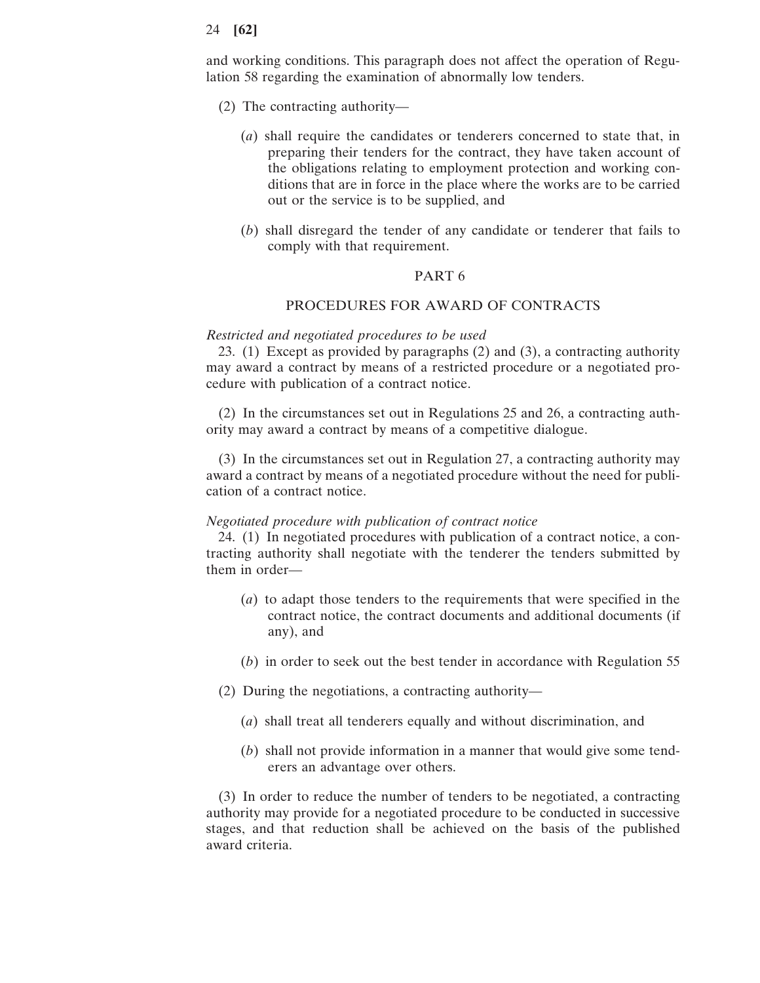and working conditions. This paragraph does not affect the operation of Regulation 58 regarding the examination of abnormally low tenders.

- (2) The contracting authority—
	- (*a*) shall require the candidates or tenderers concerned to state that, in preparing their tenders for the contract, they have taken account of the obligations relating to employment protection and working conditions that are in force in the place where the works are to be carried out or the service is to be supplied, and
	- (*b*) shall disregard the tender of any candidate or tenderer that fails to comply with that requirement.

#### PART 6

#### PROCEDURES FOR AWARD OF CONTRACTS

#### *Restricted and negotiated procedures to be used*

23. (1) Except as provided by paragraphs (2) and (3), a contracting authority may award a contract by means of a restricted procedure or a negotiated procedure with publication of a contract notice.

(2) In the circumstances set out in Regulations 25 and 26, a contracting authority may award a contract by means of a competitive dialogue.

(3) In the circumstances set out in Regulation 27, a contracting authority may award a contract by means of a negotiated procedure without the need for publication of a contract notice.

#### *Negotiated procedure with publication of contract notice*

24. (1) In negotiated procedures with publication of a contract notice, a contracting authority shall negotiate with the tenderer the tenders submitted by them in order—

- (*a*) to adapt those tenders to the requirements that were specified in the contract notice, the contract documents and additional documents (if any), and
- (*b*) in order to seek out the best tender in accordance with Regulation 55
- (2) During the negotiations, a contracting authority—
	- (*a*) shall treat all tenderers equally and without discrimination, and
	- (*b*) shall not provide information in a manner that would give some tenderers an advantage over others.

(3) In order to reduce the number of tenders to be negotiated, a contracting authority may provide for a negotiated procedure to be conducted in successive stages, and that reduction shall be achieved on the basis of the published award criteria.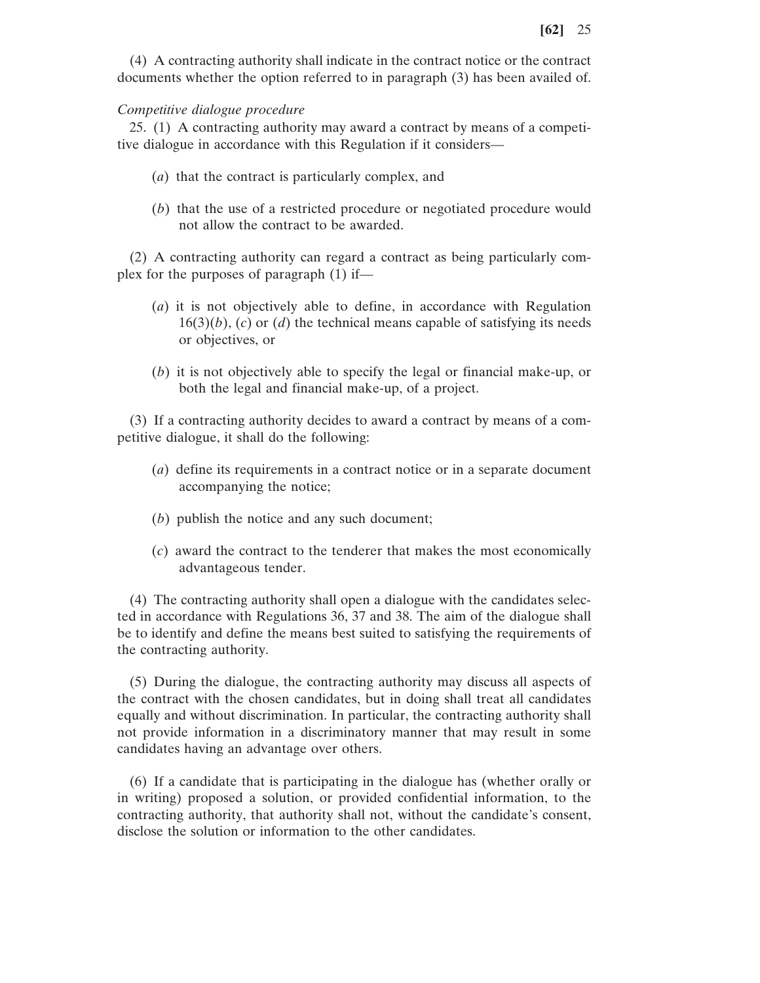(4) A contracting authority shall indicate in the contract notice or the contract documents whether the option referred to in paragraph (3) has been availed of.

#### *Competitive dialogue procedure*

25. (1) A contracting authority may award a contract by means of a competitive dialogue in accordance with this Regulation if it considers—

- (*a*) that the contract is particularly complex, and
- (*b*) that the use of a restricted procedure or negotiated procedure would not allow the contract to be awarded.

(2) A contracting authority can regard a contract as being particularly complex for the purposes of paragraph (1) if—

- (*a*) it is not objectively able to define, in accordance with Regulation 16(3)(*b*), (*c*) or (*d*) the technical means capable of satisfying its needs or objectives, or
- (*b*) it is not objectively able to specify the legal or financial make-up, or both the legal and financial make-up, of a project.

(3) If a contracting authority decides to award a contract by means of a competitive dialogue, it shall do the following:

- (*a*) define its requirements in a contract notice or in a separate document accompanying the notice;
- (*b*) publish the notice and any such document;
- (*c*) award the contract to the tenderer that makes the most economically advantageous tender.

(4) The contracting authority shall open a dialogue with the candidates selected in accordance with Regulations 36, 37 and 38. The aim of the dialogue shall be to identify and define the means best suited to satisfying the requirements of the contracting authority.

(5) During the dialogue, the contracting authority may discuss all aspects of the contract with the chosen candidates, but in doing shall treat all candidates equally and without discrimination. In particular, the contracting authority shall not provide information in a discriminatory manner that may result in some candidates having an advantage over others.

(6) If a candidate that is participating in the dialogue has (whether orally or in writing) proposed a solution, or provided confidential information, to the contracting authority, that authority shall not, without the candidate's consent, disclose the solution or information to the other candidates.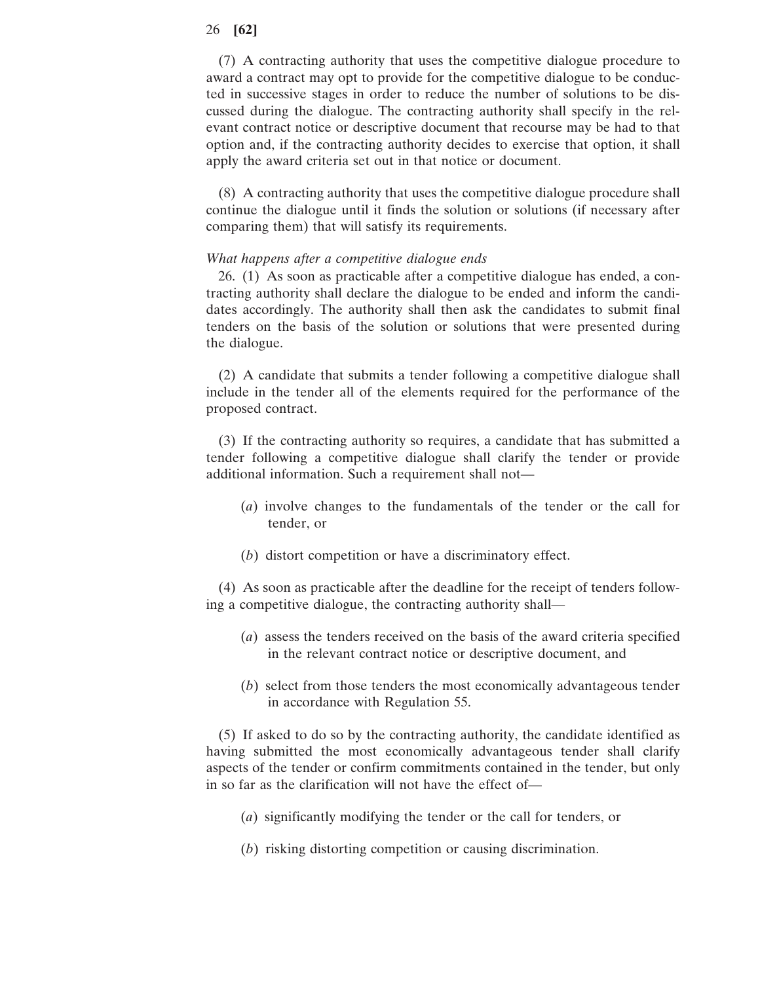(7) A contracting authority that uses the competitive dialogue procedure to award a contract may opt to provide for the competitive dialogue to be conducted in successive stages in order to reduce the number of solutions to be discussed during the dialogue. The contracting authority shall specify in the relevant contract notice or descriptive document that recourse may be had to that option and, if the contracting authority decides to exercise that option, it shall apply the award criteria set out in that notice or document.

(8) A contracting authority that uses the competitive dialogue procedure shall continue the dialogue until it finds the solution or solutions (if necessary after comparing them) that will satisfy its requirements.

### *What happens after a competitive dialogue ends*

26. (1) As soon as practicable after a competitive dialogue has ended, a contracting authority shall declare the dialogue to be ended and inform the candidates accordingly. The authority shall then ask the candidates to submit final tenders on the basis of the solution or solutions that were presented during the dialogue.

(2) A candidate that submits a tender following a competitive dialogue shall include in the tender all of the elements required for the performance of the proposed contract.

(3) If the contracting authority so requires, a candidate that has submitted a tender following a competitive dialogue shall clarify the tender or provide additional information. Such a requirement shall not—

- (*a*) involve changes to the fundamentals of the tender or the call for tender, or
- (*b*) distort competition or have a discriminatory effect.

(4) As soon as practicable after the deadline for the receipt of tenders following a competitive dialogue, the contracting authority shall—

- (*a*) assess the tenders received on the basis of the award criteria specified in the relevant contract notice or descriptive document, and
- (*b*) select from those tenders the most economically advantageous tender in accordance with Regulation 55.

(5) If asked to do so by the contracting authority, the candidate identified as having submitted the most economically advantageous tender shall clarify aspects of the tender or confirm commitments contained in the tender, but only in so far as the clarification will not have the effect of—

- (*a*) significantly modifying the tender or the call for tenders, or
- (*b*) risking distorting competition or causing discrimination.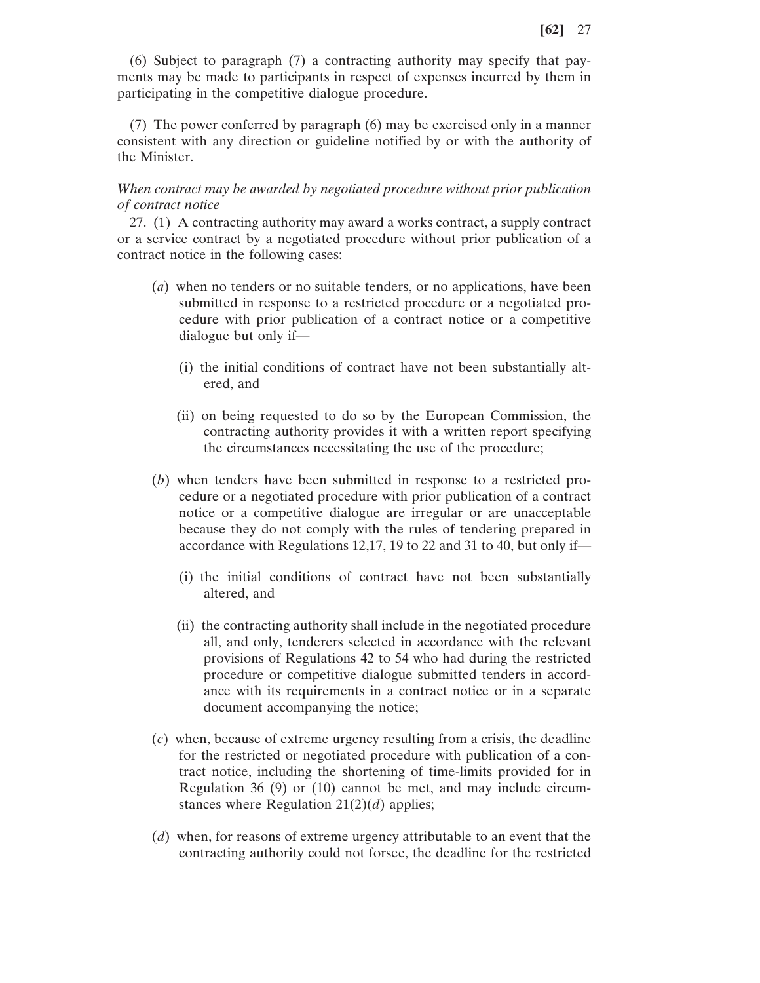(6) Subject to paragraph (7) a contracting authority may specify that payments may be made to participants in respect of expenses incurred by them in participating in the competitive dialogue procedure.

(7) The power conferred by paragraph (6) may be exercised only in a manner consistent with any direction or guideline notified by or with the authority of the Minister.

*When contract may be awarded by negotiated procedure without prior publication of contract notice*

27. (1) A contracting authority may award a works contract, a supply contract or a service contract by a negotiated procedure without prior publication of a contract notice in the following cases:

- (*a*) when no tenders or no suitable tenders, or no applications, have been submitted in response to a restricted procedure or a negotiated procedure with prior publication of a contract notice or a competitive dialogue but only if—
	- (i) the initial conditions of contract have not been substantially altered, and
	- (ii) on being requested to do so by the European Commission, the contracting authority provides it with a written report specifying the circumstances necessitating the use of the procedure;
- (*b*) when tenders have been submitted in response to a restricted procedure or a negotiated procedure with prior publication of a contract notice or a competitive dialogue are irregular or are unacceptable because they do not comply with the rules of tendering prepared in accordance with Regulations 12,17, 19 to 22 and 31 to 40, but only if—
	- (i) the initial conditions of contract have not been substantially altered, and
	- (ii) the contracting authority shall include in the negotiated procedure all, and only, tenderers selected in accordance with the relevant provisions of Regulations 42 to 54 who had during the restricted procedure or competitive dialogue submitted tenders in accordance with its requirements in a contract notice or in a separate document accompanying the notice;
- (*c*) when, because of extreme urgency resulting from a crisis, the deadline for the restricted or negotiated procedure with publication of a contract notice, including the shortening of time-limits provided for in Regulation 36 (9) or (10) cannot be met, and may include circumstances where Regulation 21(2)(*d*) applies;
- (*d*) when, for reasons of extreme urgency attributable to an event that the contracting authority could not forsee, the deadline for the restricted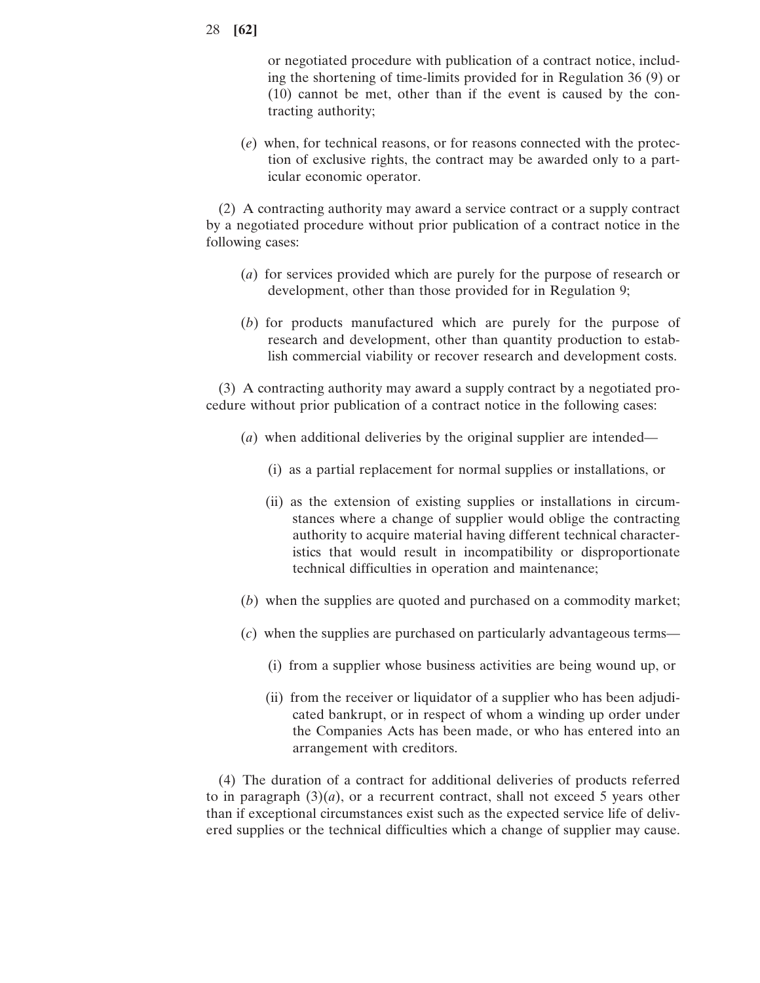or negotiated procedure with publication of a contract notice, including the shortening of time-limits provided for in Regulation 36 (9) or (10) cannot be met, other than if the event is caused by the contracting authority;

(*e*) when, for technical reasons, or for reasons connected with the protection of exclusive rights, the contract may be awarded only to a particular economic operator.

(2) A contracting authority may award a service contract or a supply contract by a negotiated procedure without prior publication of a contract notice in the following cases:

- (*a*) for services provided which are purely for the purpose of research or development, other than those provided for in Regulation 9;
- (*b*) for products manufactured which are purely for the purpose of research and development, other than quantity production to establish commercial viability or recover research and development costs.

(3) A contracting authority may award a supply contract by a negotiated procedure without prior publication of a contract notice in the following cases:

- (*a*) when additional deliveries by the original supplier are intended—
	- (i) as a partial replacement for normal supplies or installations, or
	- (ii) as the extension of existing supplies or installations in circumstances where a change of supplier would oblige the contracting authority to acquire material having different technical characteristics that would result in incompatibility or disproportionate technical difficulties in operation and maintenance;
- (*b*) when the supplies are quoted and purchased on a commodity market;
- (*c*) when the supplies are purchased on particularly advantageous terms—
	- (i) from a supplier whose business activities are being wound up, or
	- (ii) from the receiver or liquidator of a supplier who has been adjudicated bankrupt, or in respect of whom a winding up order under the Companies Acts has been made, or who has entered into an arrangement with creditors.

(4) The duration of a contract for additional deliveries of products referred to in paragraph  $(3)(a)$ , or a recurrent contract, shall not exceed 5 years other than if exceptional circumstances exist such as the expected service life of delivered supplies or the technical difficulties which a change of supplier may cause.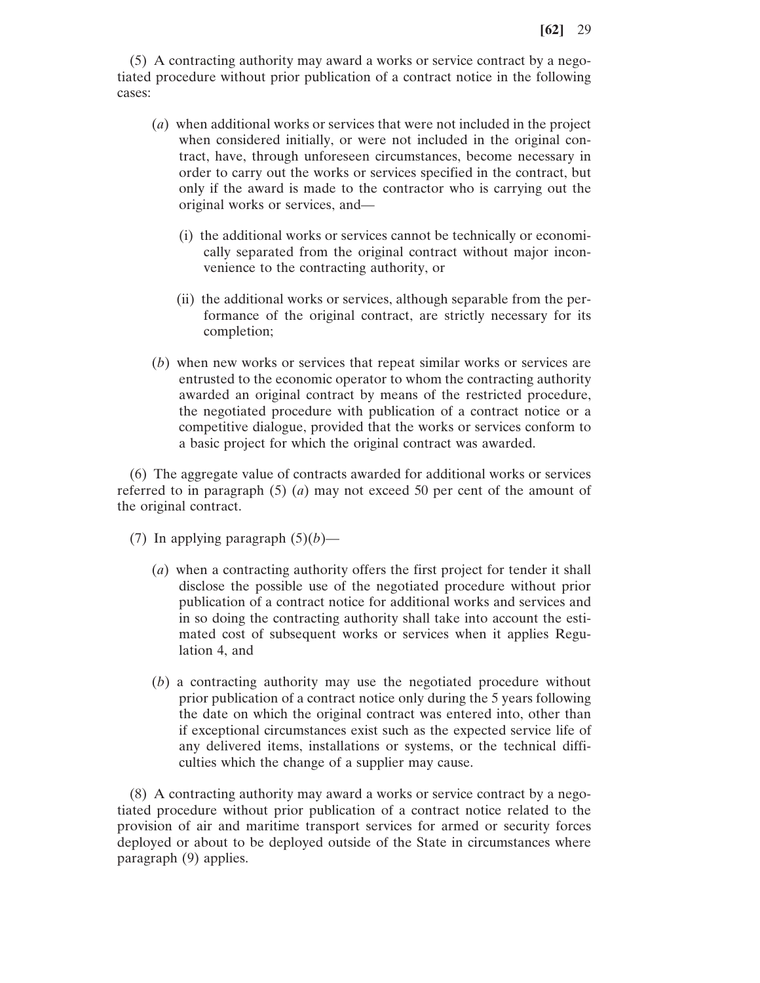(5) A contracting authority may award a works or service contract by a negotiated procedure without prior publication of a contract notice in the following cases:

- (*a*) when additional works or services that were not included in the project when considered initially, or were not included in the original contract, have, through unforeseen circumstances, become necessary in order to carry out the works or services specified in the contract, but only if the award is made to the contractor who is carrying out the original works or services, and—
	- (i) the additional works or services cannot be technically or economically separated from the original contract without major inconvenience to the contracting authority, or
	- (ii) the additional works or services, although separable from the performance of the original contract, are strictly necessary for its completion;
- (*b*) when new works or services that repeat similar works or services are entrusted to the economic operator to whom the contracting authority awarded an original contract by means of the restricted procedure, the negotiated procedure with publication of a contract notice or a competitive dialogue, provided that the works or services conform to a basic project for which the original contract was awarded.

(6) The aggregate value of contracts awarded for additional works or services referred to in paragraph (5) (*a*) may not exceed 50 per cent of the amount of the original contract.

- (7) In applying paragraph  $(5)(b)$ 
	- (*a*) when a contracting authority offers the first project for tender it shall disclose the possible use of the negotiated procedure without prior publication of a contract notice for additional works and services and in so doing the contracting authority shall take into account the estimated cost of subsequent works or services when it applies Regulation 4, and
	- (*b*) a contracting authority may use the negotiated procedure without prior publication of a contract notice only during the 5 years following the date on which the original contract was entered into, other than if exceptional circumstances exist such as the expected service life of any delivered items, installations or systems, or the technical difficulties which the change of a supplier may cause.

(8) A contracting authority may award a works or service contract by a negotiated procedure without prior publication of a contract notice related to the provision of air and maritime transport services for armed or security forces deployed or about to be deployed outside of the State in circumstances where paragraph (9) applies.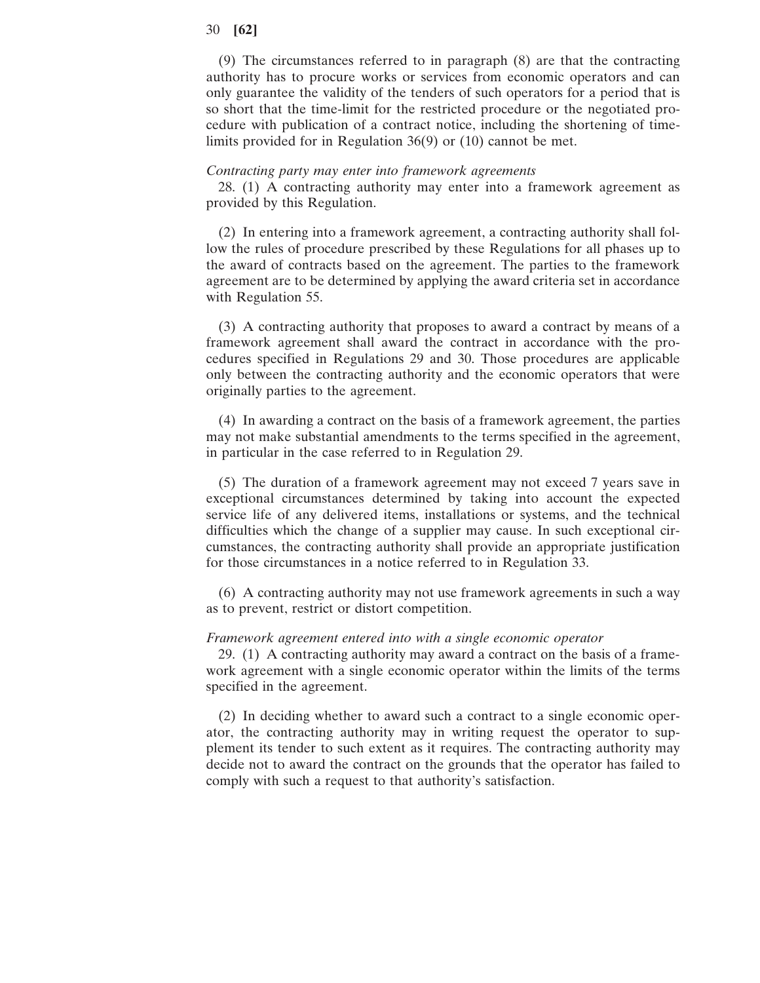(9) The circumstances referred to in paragraph (8) are that the contracting authority has to procure works or services from economic operators and can only guarantee the validity of the tenders of such operators for a period that is so short that the time-limit for the restricted procedure or the negotiated procedure with publication of a contract notice, including the shortening of timelimits provided for in Regulation 36(9) or (10) cannot be met.

#### *Contracting party may enter into framework agreements*

28. (1) A contracting authority may enter into a framework agreement as provided by this Regulation.

(2) In entering into a framework agreement, a contracting authority shall follow the rules of procedure prescribed by these Regulations for all phases up to the award of contracts based on the agreement. The parties to the framework agreement are to be determined by applying the award criteria set in accordance with Regulation 55.

(3) A contracting authority that proposes to award a contract by means of a framework agreement shall award the contract in accordance with the procedures specified in Regulations 29 and 30. Those procedures are applicable only between the contracting authority and the economic operators that were originally parties to the agreement.

(4) In awarding a contract on the basis of a framework agreement, the parties may not make substantial amendments to the terms specified in the agreement, in particular in the case referred to in Regulation 29.

(5) The duration of a framework agreement may not exceed 7 years save in exceptional circumstances determined by taking into account the expected service life of any delivered items, installations or systems, and the technical difficulties which the change of a supplier may cause. In such exceptional circumstances, the contracting authority shall provide an appropriate justification for those circumstances in a notice referred to in Regulation 33.

(6) A contracting authority may not use framework agreements in such a way as to prevent, restrict or distort competition.

#### *Framework agreement entered into with a single economic operator*

29. (1) A contracting authority may award a contract on the basis of a framework agreement with a single economic operator within the limits of the terms specified in the agreement.

(2) In deciding whether to award such a contract to a single economic operator, the contracting authority may in writing request the operator to supplement its tender to such extent as it requires. The contracting authority may decide not to award the contract on the grounds that the operator has failed to comply with such a request to that authority's satisfaction.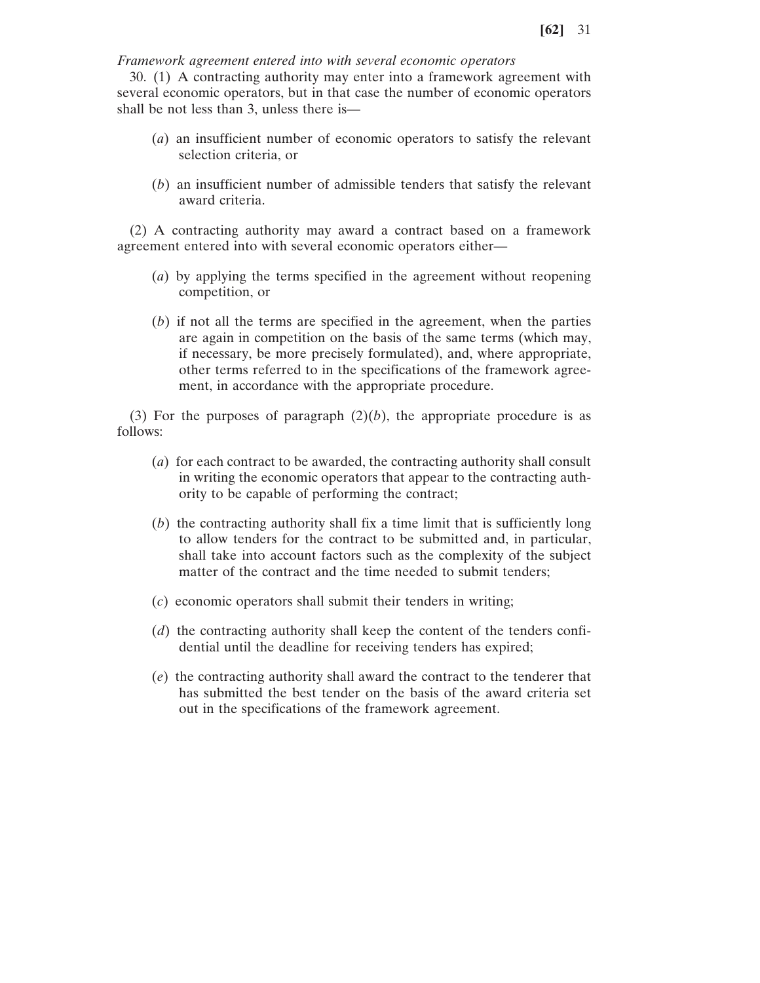*Framework agreement entered into with several economic operators*

30. (1) A contracting authority may enter into a framework agreement with several economic operators, but in that case the number of economic operators shall be not less than 3, unless there is—

- (*a*) an insufficient number of economic operators to satisfy the relevant selection criteria, or
- (*b*) an insufficient number of admissible tenders that satisfy the relevant award criteria.

(2) A contracting authority may award a contract based on a framework agreement entered into with several economic operators either—

- (*a*) by applying the terms specified in the agreement without reopening competition, or
- (*b*) if not all the terms are specified in the agreement, when the parties are again in competition on the basis of the same terms (which may, if necessary, be more precisely formulated), and, where appropriate, other terms referred to in the specifications of the framework agreement, in accordance with the appropriate procedure.

(3) For the purposes of paragraph  $(2)(b)$ , the appropriate procedure is as follows:

- (*a*) for each contract to be awarded, the contracting authority shall consult in writing the economic operators that appear to the contracting authority to be capable of performing the contract;
- (*b*) the contracting authority shall fix a time limit that is sufficiently long to allow tenders for the contract to be submitted and, in particular, shall take into account factors such as the complexity of the subject matter of the contract and the time needed to submit tenders;
- (*c*) economic operators shall submit their tenders in writing;
- (*d*) the contracting authority shall keep the content of the tenders confidential until the deadline for receiving tenders has expired;
- (*e*) the contracting authority shall award the contract to the tenderer that has submitted the best tender on the basis of the award criteria set out in the specifications of the framework agreement.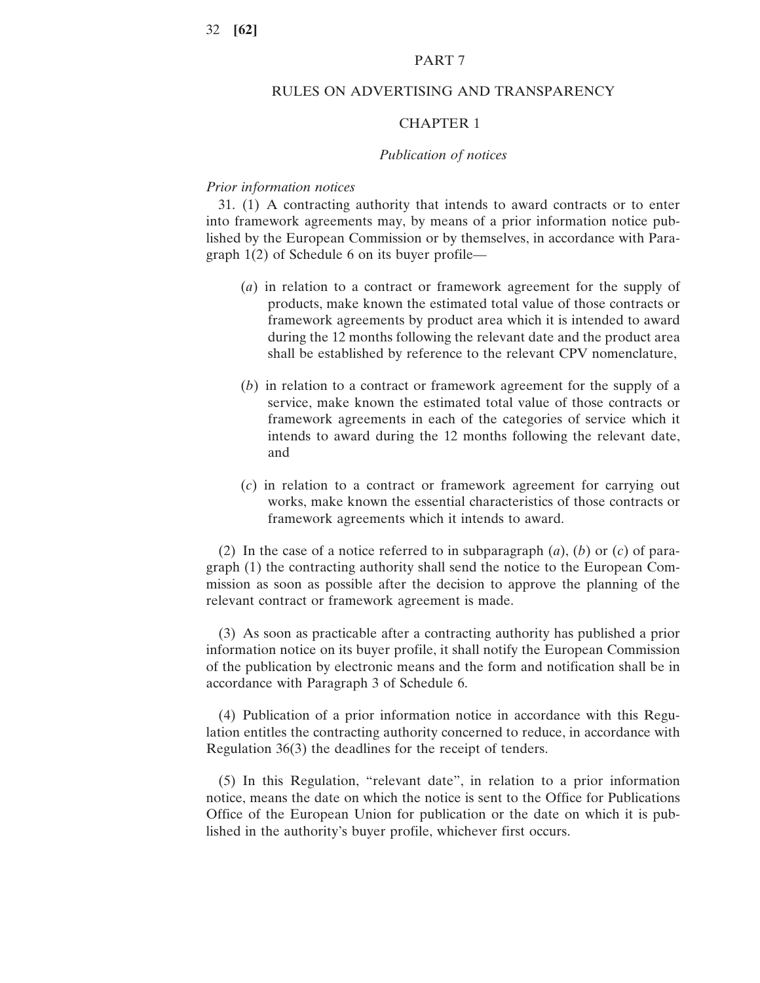#### PART 7

## RULES ON ADVERTISING AND TRANSPARENCY

## CHAPTER 1

#### *Publication of notices*

## *Prior information notices*

31. (1) A contracting authority that intends to award contracts or to enter into framework agreements may, by means of a prior information notice published by the European Commission or by themselves, in accordance with Paragraph 1(2) of Schedule 6 on its buyer profile—

- (*a*) in relation to a contract or framework agreement for the supply of products, make known the estimated total value of those contracts or framework agreements by product area which it is intended to award during the 12 months following the relevant date and the product area shall be established by reference to the relevant CPV nomenclature,
- (*b*) in relation to a contract or framework agreement for the supply of a service, make known the estimated total value of those contracts or framework agreements in each of the categories of service which it intends to award during the 12 months following the relevant date, and
- (*c*) in relation to a contract or framework agreement for carrying out works, make known the essential characteristics of those contracts or framework agreements which it intends to award.

(2) In the case of a notice referred to in subparagraph (*a*), (*b*) or (*c*) of paragraph (1) the contracting authority shall send the notice to the European Commission as soon as possible after the decision to approve the planning of the relevant contract or framework agreement is made.

(3) As soon as practicable after a contracting authority has published a prior information notice on its buyer profile, it shall notify the European Commission of the publication by electronic means and the form and notification shall be in accordance with Paragraph 3 of Schedule 6.

(4) Publication of a prior information notice in accordance with this Regulation entitles the contracting authority concerned to reduce, in accordance with Regulation 36(3) the deadlines for the receipt of tenders.

(5) In this Regulation, "relevant date", in relation to a prior information notice, means the date on which the notice is sent to the Office for Publications Office of the European Union for publication or the date on which it is published in the authority's buyer profile, whichever first occurs.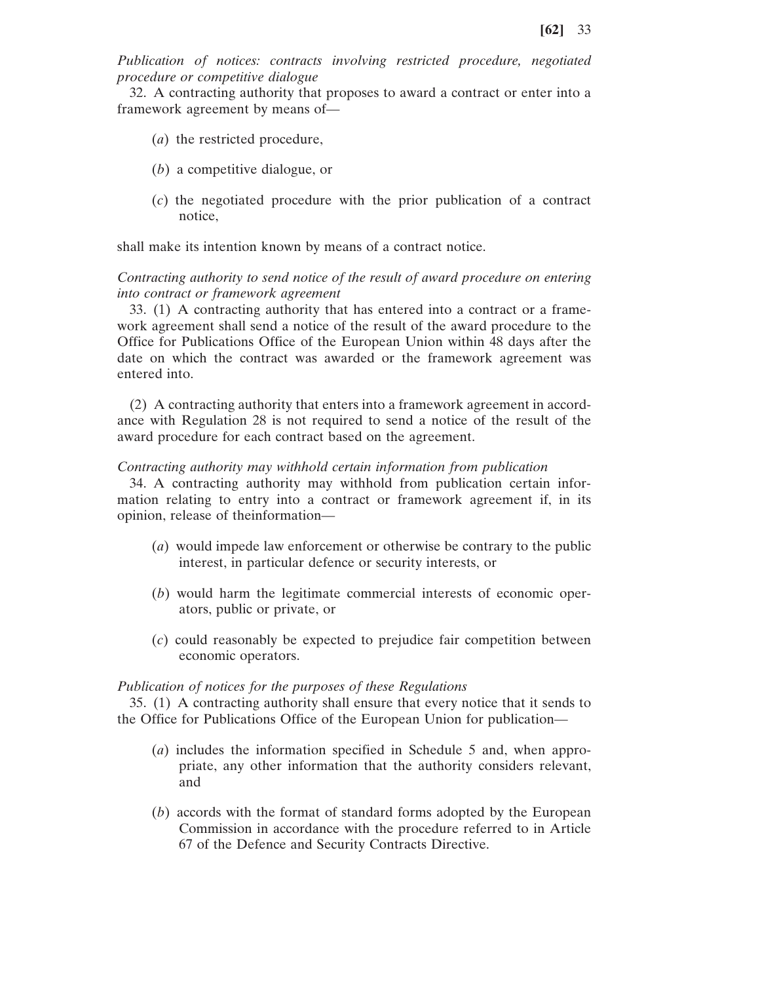*Publication of notices: contracts involving restricted procedure, negotiated procedure or competitive dialogue*

32. A contracting authority that proposes to award a contract or enter into a framework agreement by means of—

- (*a*) the restricted procedure,
- (*b*) a competitive dialogue, or
- (*c*) the negotiated procedure with the prior publication of a contract notice,

shall make its intention known by means of a contract notice.

### *Contracting authority to send notice of the result of award procedure on entering into contract or framework agreement*

33. (1) A contracting authority that has entered into a contract or a framework agreement shall send a notice of the result of the award procedure to the Office for Publications Office of the European Union within 48 days after the date on which the contract was awarded or the framework agreement was entered into.

(2) A contracting authority that enters into a framework agreement in accordance with Regulation 28 is not required to send a notice of the result of the award procedure for each contract based on the agreement.

#### *Contracting authority may withhold certain information from publication*

34. A contracting authority may withhold from publication certain information relating to entry into a contract or framework agreement if, in its opinion, release of theinformation—

- (*a*) would impede law enforcement or otherwise be contrary to the public interest, in particular defence or security interests, or
- (*b*) would harm the legitimate commercial interests of economic operators, public or private, or
- (*c*) could reasonably be expected to prejudice fair competition between economic operators.

#### *Publication of notices for the purposes of these Regulations*

35. (1) A contracting authority shall ensure that every notice that it sends to the Office for Publications Office of the European Union for publication—

- (*a*) includes the information specified in Schedule 5 and, when appropriate, any other information that the authority considers relevant, and
- (*b*) accords with the format of standard forms adopted by the European Commission in accordance with the procedure referred to in Article 67 of the Defence and Security Contracts Directive.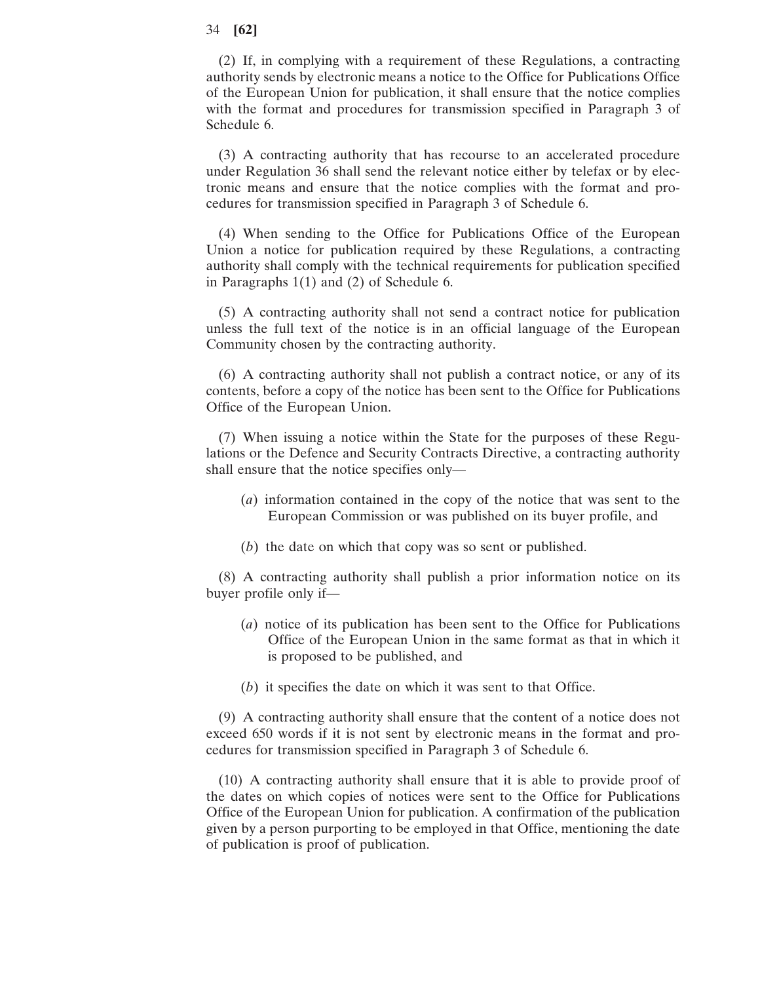(2) If, in complying with a requirement of these Regulations, a contracting authority sends by electronic means a notice to the Office for Publications Office of the European Union for publication, it shall ensure that the notice complies with the format and procedures for transmission specified in Paragraph 3 of Schedule 6.

(3) A contracting authority that has recourse to an accelerated procedure under Regulation 36 shall send the relevant notice either by telefax or by electronic means and ensure that the notice complies with the format and procedures for transmission specified in Paragraph 3 of Schedule 6.

(4) When sending to the Office for Publications Office of the European Union a notice for publication required by these Regulations, a contracting authority shall comply with the technical requirements for publication specified in Paragraphs 1(1) and (2) of Schedule 6.

(5) A contracting authority shall not send a contract notice for publication unless the full text of the notice is in an official language of the European Community chosen by the contracting authority.

(6) A contracting authority shall not publish a contract notice, or any of its contents, before a copy of the notice has been sent to the Office for Publications Office of the European Union.

(7) When issuing a notice within the State for the purposes of these Regulations or the Defence and Security Contracts Directive, a contracting authority shall ensure that the notice specifies only—

- (*a*) information contained in the copy of the notice that was sent to the European Commission or was published on its buyer profile, and
- (*b*) the date on which that copy was so sent or published.

(8) A contracting authority shall publish a prior information notice on its buyer profile only if—

- (*a*) notice of its publication has been sent to the Office for Publications Office of the European Union in the same format as that in which it is proposed to be published, and
- (*b*) it specifies the date on which it was sent to that Office.

(9) A contracting authority shall ensure that the content of a notice does not exceed 650 words if it is not sent by electronic means in the format and procedures for transmission specified in Paragraph 3 of Schedule 6.

(10) A contracting authority shall ensure that it is able to provide proof of the dates on which copies of notices were sent to the Office for Publications Office of the European Union for publication. A confirmation of the publication given by a person purporting to be employed in that Office, mentioning the date of publication is proof of publication.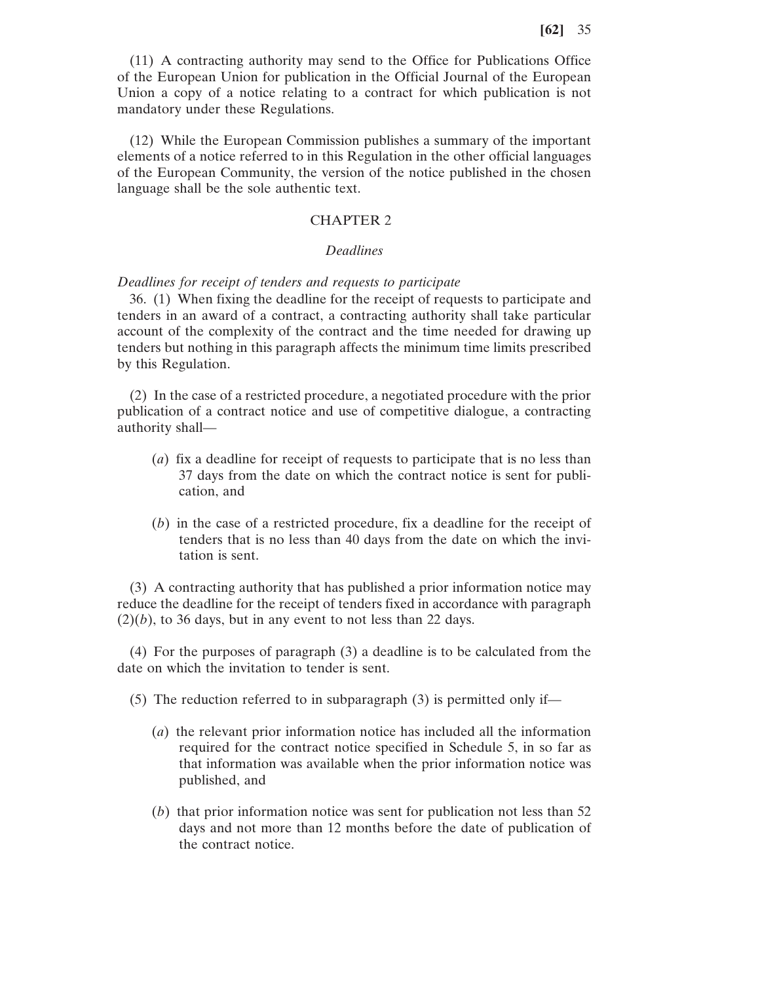(11) A contracting authority may send to the Office for Publications Office of the European Union for publication in the Official Journal of the European Union a copy of a notice relating to a contract for which publication is not mandatory under these Regulations.

(12) While the European Commission publishes a summary of the important elements of a notice referred to in this Regulation in the other official languages of the European Community, the version of the notice published in the chosen language shall be the sole authentic text.

#### CHAPTER 2

#### *Deadlines*

#### *Deadlines for receipt of tenders and requests to participate*

36. (1) When fixing the deadline for the receipt of requests to participate and tenders in an award of a contract, a contracting authority shall take particular account of the complexity of the contract and the time needed for drawing up tenders but nothing in this paragraph affects the minimum time limits prescribed by this Regulation.

(2) In the case of a restricted procedure, a negotiated procedure with the prior publication of a contract notice and use of competitive dialogue, a contracting authority shall—

- (*a*) fix a deadline for receipt of requests to participate that is no less than 37 days from the date on which the contract notice is sent for publication, and
- (*b*) in the case of a restricted procedure, fix a deadline for the receipt of tenders that is no less than 40 days from the date on which the invitation is sent.

(3) A contracting authority that has published a prior information notice may reduce the deadline for the receipt of tenders fixed in accordance with paragraph  $(2)(b)$ , to 36 days, but in any event to not less than 22 days.

(4) For the purposes of paragraph (3) a deadline is to be calculated from the date on which the invitation to tender is sent.

(5) The reduction referred to in subparagraph (3) is permitted only if—

- (*a*) the relevant prior information notice has included all the information required for the contract notice specified in Schedule 5, in so far as that information was available when the prior information notice was published, and
- (*b*) that prior information notice was sent for publication not less than 52 days and not more than 12 months before the date of publication of the contract notice.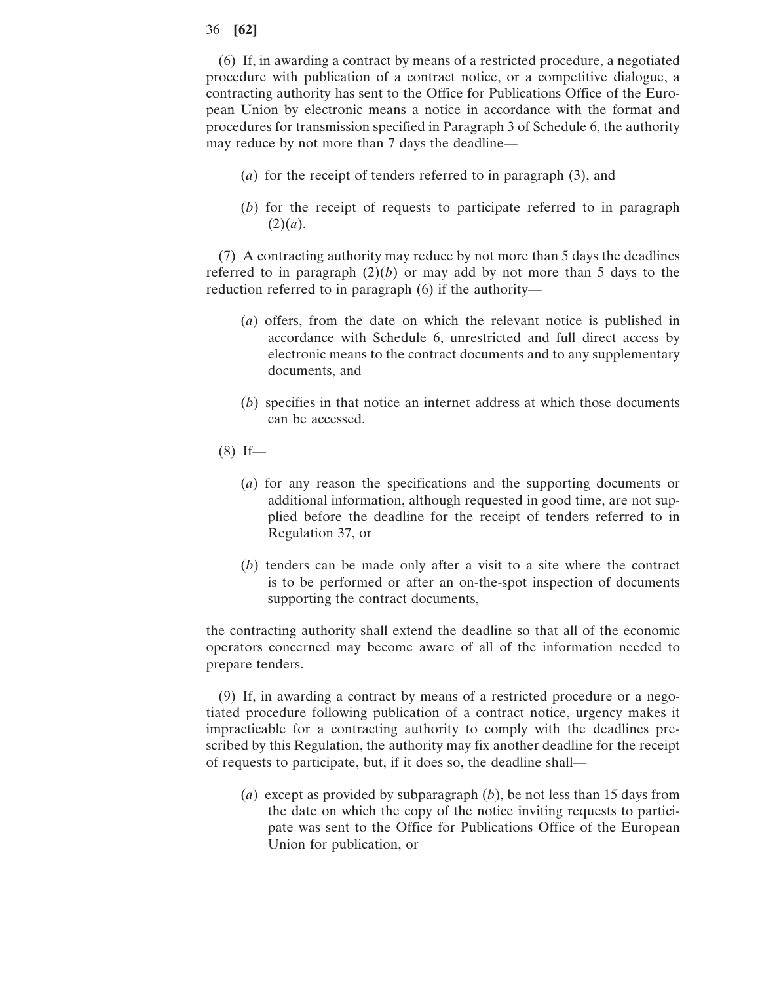(6) If, in awarding a contract by means of a restricted procedure, a negotiated procedure with publication of a contract notice, or a competitive dialogue, a contracting authority has sent to the Office for Publications Office of the European Union by electronic means a notice in accordance with the format and procedures for transmission specified in Paragraph 3 of Schedule 6, the authority may reduce by not more than 7 days the deadline—

- (*a*) for the receipt of tenders referred to in paragraph (3), and
- (*b*) for the receipt of requests to participate referred to in paragraph  $(2)(a).$

(7) A contracting authority may reduce by not more than 5 days the deadlines referred to in paragraph  $(2)(b)$  or may add by not more than 5 days to the reduction referred to in paragraph (6) if the authority—

- (*a*) offers, from the date on which the relevant notice is published in accordance with Schedule 6, unrestricted and full direct access by electronic means to the contract documents and to any supplementary documents, and
- (*b*) specifies in that notice an internet address at which those documents can be accessed.
- (8) If—
	- (*a*) for any reason the specifications and the supporting documents or additional information, although requested in good time, are not supplied before the deadline for the receipt of tenders referred to in Regulation 37, or
	- (*b*) tenders can be made only after a visit to a site where the contract is to be performed or after an on-the-spot inspection of documents supporting the contract documents,

the contracting authority shall extend the deadline so that all of the economic operators concerned may become aware of all of the information needed to prepare tenders.

(9) If, in awarding a contract by means of a restricted procedure or a negotiated procedure following publication of a contract notice, urgency makes it impracticable for a contracting authority to comply with the deadlines prescribed by this Regulation, the authority may fix another deadline for the receipt of requests to participate, but, if it does so, the deadline shall—

(*a*) except as provided by subparagraph (*b*), be not less than 15 days from the date on which the copy of the notice inviting requests to participate was sent to the Office for Publications Office of the European Union for publication, or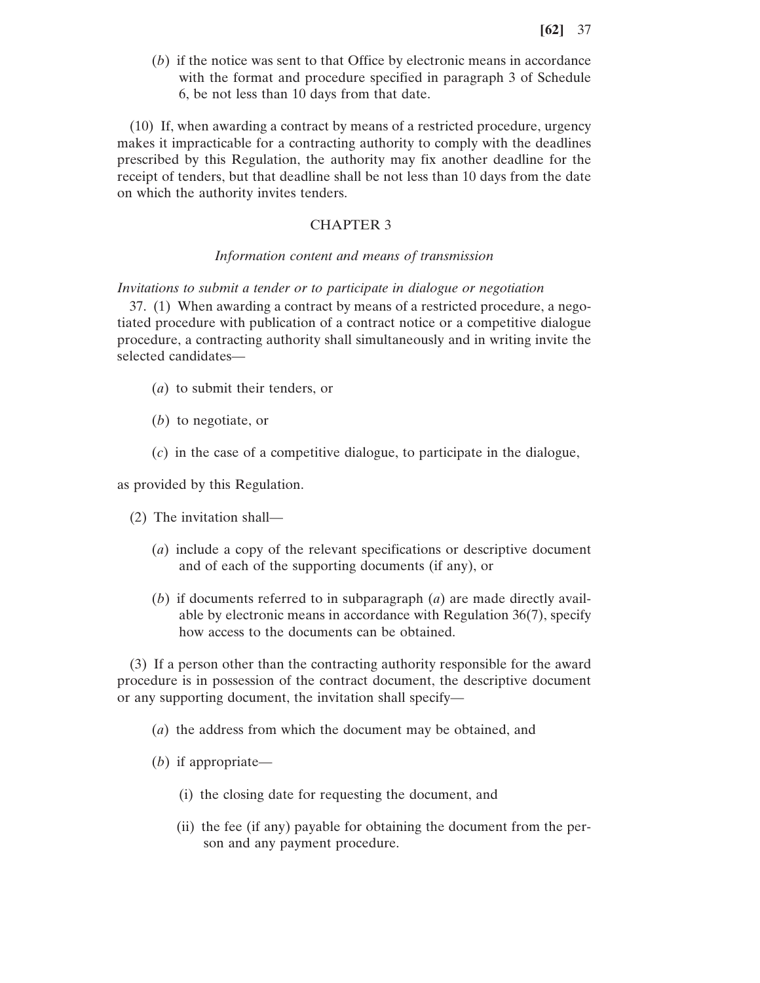(*b*) if the notice was sent to that Office by electronic means in accordance with the format and procedure specified in paragraph 3 of Schedule 6, be not less than 10 days from that date.

(10) If, when awarding a contract by means of a restricted procedure, urgency makes it impracticable for a contracting authority to comply with the deadlines prescribed by this Regulation, the authority may fix another deadline for the receipt of tenders, but that deadline shall be not less than 10 days from the date on which the authority invites tenders.

# CHAPTER 3

## *Information content and means of transmission*

*Invitations to submit a tender or to participate in dialogue or negotiation*

37. (1) When awarding a contract by means of a restricted procedure, a negotiated procedure with publication of a contract notice or a competitive dialogue procedure, a contracting authority shall simultaneously and in writing invite the selected candidates—

- (*a*) to submit their tenders, or
- (*b*) to negotiate, or
- (*c*) in the case of a competitive dialogue, to participate in the dialogue,

as provided by this Regulation.

- (2) The invitation shall—
	- (*a*) include a copy of the relevant specifications or descriptive document and of each of the supporting documents (if any), or
	- (*b*) if documents referred to in subparagraph (*a*) are made directly available by electronic means in accordance with Regulation 36(7), specify how access to the documents can be obtained.

(3) If a person other than the contracting authority responsible for the award procedure is in possession of the contract document, the descriptive document or any supporting document, the invitation shall specify—

- (*a*) the address from which the document may be obtained, and
- (*b*) if appropriate—
	- (i) the closing date for requesting the document, and
	- (ii) the fee (if any) payable for obtaining the document from the person and any payment procedure.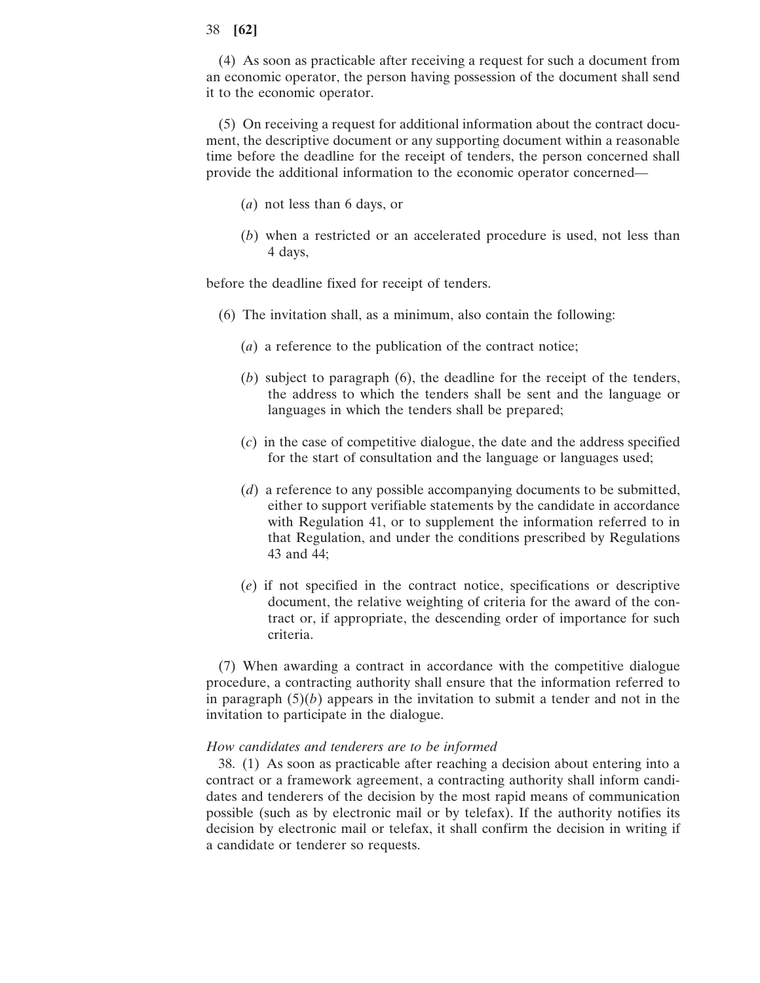(4) As soon as practicable after receiving a request for such a document from an economic operator, the person having possession of the document shall send it to the economic operator.

(5) On receiving a request for additional information about the contract document, the descriptive document or any supporting document within a reasonable time before the deadline for the receipt of tenders, the person concerned shall provide the additional information to the economic operator concerned—

- (*a*) not less than 6 days, or
- (*b*) when a restricted or an accelerated procedure is used, not less than 4 days,

before the deadline fixed for receipt of tenders.

- (6) The invitation shall, as a minimum, also contain the following:
	- (*a*) a reference to the publication of the contract notice;
	- (*b*) subject to paragraph (6), the deadline for the receipt of the tenders, the address to which the tenders shall be sent and the language or languages in which the tenders shall be prepared;
	- (*c*) in the case of competitive dialogue, the date and the address specified for the start of consultation and the language or languages used;
	- (*d*) a reference to any possible accompanying documents to be submitted, either to support verifiable statements by the candidate in accordance with Regulation 41, or to supplement the information referred to in that Regulation, and under the conditions prescribed by Regulations 43 and 44;
	- (*e*) if not specified in the contract notice, specifications or descriptive document, the relative weighting of criteria for the award of the contract or, if appropriate, the descending order of importance for such criteria.

(7) When awarding a contract in accordance with the competitive dialogue procedure, a contracting authority shall ensure that the information referred to in paragraph  $(5)(b)$  appears in the invitation to submit a tender and not in the invitation to participate in the dialogue.

### *How candidates and tenderers are to be informed*

38. (1) As soon as practicable after reaching a decision about entering into a contract or a framework agreement, a contracting authority shall inform candidates and tenderers of the decision by the most rapid means of communication possible (such as by electronic mail or by telefax). If the authority notifies its decision by electronic mail or telefax, it shall confirm the decision in writing if a candidate or tenderer so requests.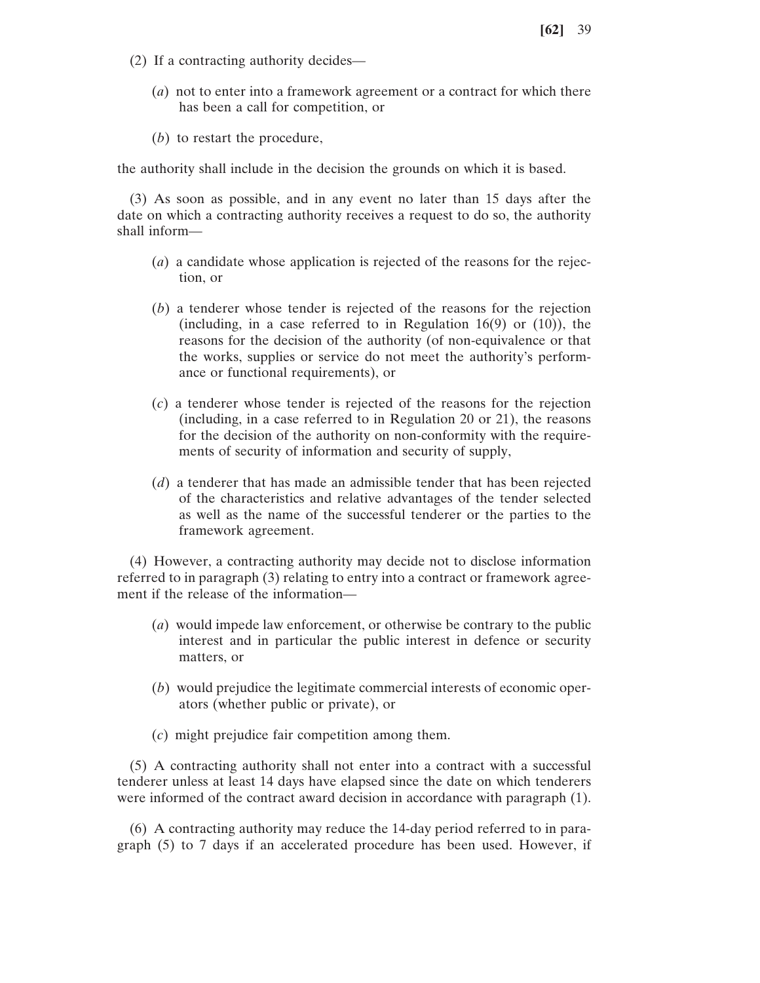- (2) If a contracting authority decides—
	- (*a*) not to enter into a framework agreement or a contract for which there has been a call for competition, or
	- (*b*) to restart the procedure,

the authority shall include in the decision the grounds on which it is based.

(3) As soon as possible, and in any event no later than 15 days after the date on which a contracting authority receives a request to do so, the authority shall inform—

- (*a*) a candidate whose application is rejected of the reasons for the rejection, or
- (*b*) a tenderer whose tender is rejected of the reasons for the rejection (including, in a case referred to in Regulation 16(9) or (10)), the reasons for the decision of the authority (of non-equivalence or that the works, supplies or service do not meet the authority's performance or functional requirements), or
- (*c*) a tenderer whose tender is rejected of the reasons for the rejection (including, in a case referred to in Regulation 20 or 21), the reasons for the decision of the authority on non-conformity with the requirements of security of information and security of supply,
- (*d*) a tenderer that has made an admissible tender that has been rejected of the characteristics and relative advantages of the tender selected as well as the name of the successful tenderer or the parties to the framework agreement.

(4) However, a contracting authority may decide not to disclose information referred to in paragraph (3) relating to entry into a contract or framework agreement if the release of the information—

- (*a*) would impede law enforcement, or otherwise be contrary to the public interest and in particular the public interest in defence or security matters, or
- (*b*) would prejudice the legitimate commercial interests of economic operators (whether public or private), or
- (*c*) might prejudice fair competition among them.

(5) A contracting authority shall not enter into a contract with a successful tenderer unless at least 14 days have elapsed since the date on which tenderers were informed of the contract award decision in accordance with paragraph (1).

(6) A contracting authority may reduce the 14-day period referred to in paragraph (5) to 7 days if an accelerated procedure has been used. However, if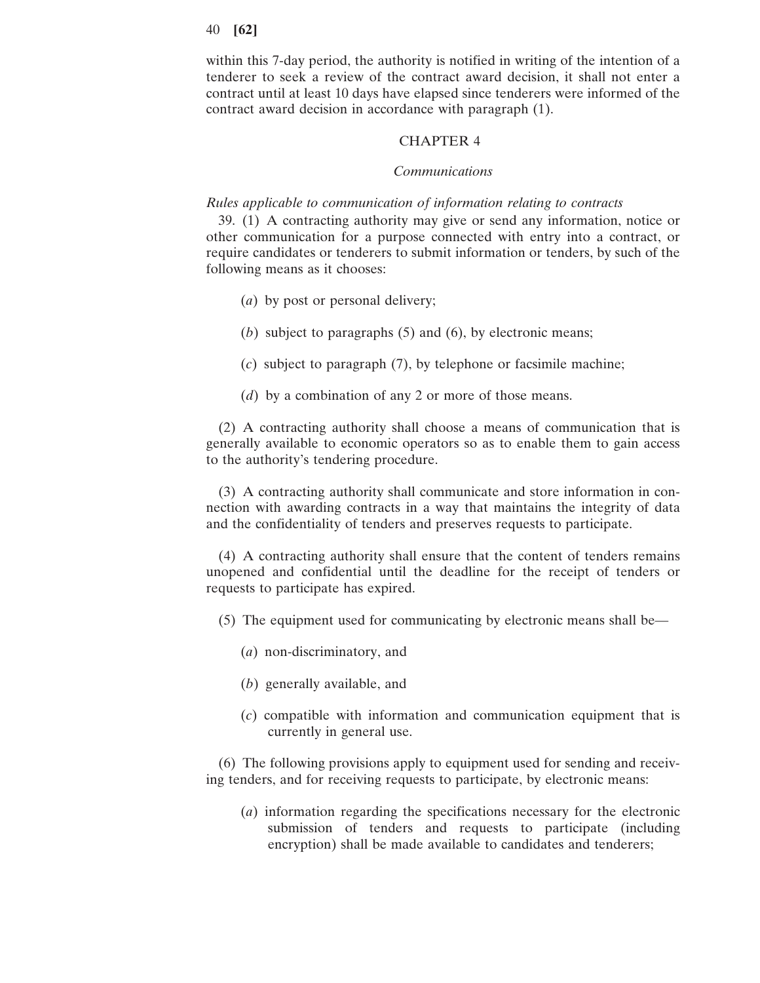within this 7-day period, the authority is notified in writing of the intention of a tenderer to seek a review of the contract award decision, it shall not enter a contract until at least 10 days have elapsed since tenderers were informed of the contract award decision in accordance with paragraph (1).

## CHAPTER 4

## *Communications*

## *Rules applicable to communication of information relating to contracts*

39. (1) A contracting authority may give or send any information, notice or other communication for a purpose connected with entry into a contract, or require candidates or tenderers to submit information or tenders, by such of the following means as it chooses:

- (*a*) by post or personal delivery;
- (*b*) subject to paragraphs (5) and (6), by electronic means;
- (*c*) subject to paragraph (7), by telephone or facsimile machine;
- (*d*) by a combination of any 2 or more of those means.

(2) A contracting authority shall choose a means of communication that is generally available to economic operators so as to enable them to gain access to the authority's tendering procedure.

(3) A contracting authority shall communicate and store information in connection with awarding contracts in a way that maintains the integrity of data and the confidentiality of tenders and preserves requests to participate.

(4) A contracting authority shall ensure that the content of tenders remains unopened and confidential until the deadline for the receipt of tenders or requests to participate has expired.

(5) The equipment used for communicating by electronic means shall be—

- (*a*) non-discriminatory, and
- (*b*) generally available, and
- (*c*) compatible with information and communication equipment that is currently in general use.

(6) The following provisions apply to equipment used for sending and receiving tenders, and for receiving requests to participate, by electronic means:

(*a*) information regarding the specifications necessary for the electronic submission of tenders and requests to participate (including encryption) shall be made available to candidates and tenderers;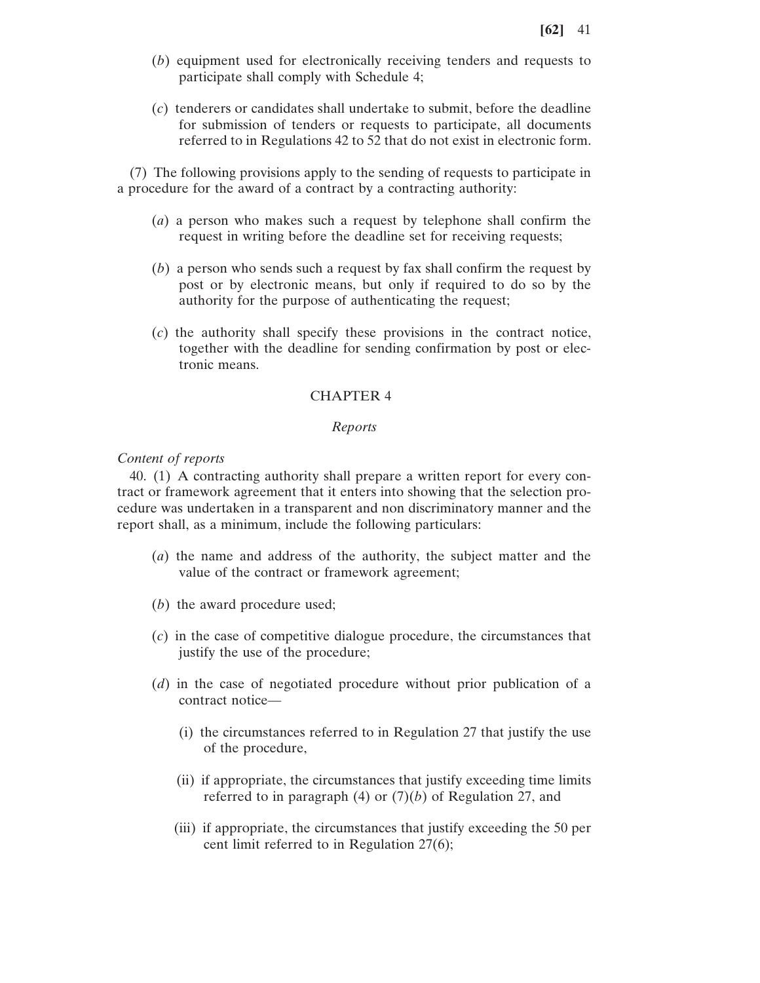- (*b*) equipment used for electronically receiving tenders and requests to participate shall comply with Schedule 4;
- (*c*) tenderers or candidates shall undertake to submit, before the deadline for submission of tenders or requests to participate, all documents referred to in Regulations 42 to 52 that do not exist in electronic form.

(7) The following provisions apply to the sending of requests to participate in a procedure for the award of a contract by a contracting authority:

- (*a*) a person who makes such a request by telephone shall confirm the request in writing before the deadline set for receiving requests;
- (*b*) a person who sends such a request by fax shall confirm the request by post or by electronic means, but only if required to do so by the authority for the purpose of authenticating the request;
- (*c*) the authority shall specify these provisions in the contract notice, together with the deadline for sending confirmation by post or electronic means.

## CHAPTER 4

### *Reports*

## *Content of reports*

40. (1) A contracting authority shall prepare a written report for every contract or framework agreement that it enters into showing that the selection procedure was undertaken in a transparent and non discriminatory manner and the report shall, as a minimum, include the following particulars:

- (*a*) the name and address of the authority, the subject matter and the value of the contract or framework agreement;
- (*b*) the award procedure used;
- (*c*) in the case of competitive dialogue procedure, the circumstances that justify the use of the procedure;
- (*d*) in the case of negotiated procedure without prior publication of a contract notice—
	- (i) the circumstances referred to in Regulation 27 that justify the use of the procedure,
	- (ii) if appropriate, the circumstances that justify exceeding time limits referred to in paragraph (4) or (7)(*b*) of Regulation 27, and
	- (iii) if appropriate, the circumstances that justify exceeding the 50 per cent limit referred to in Regulation 27(6);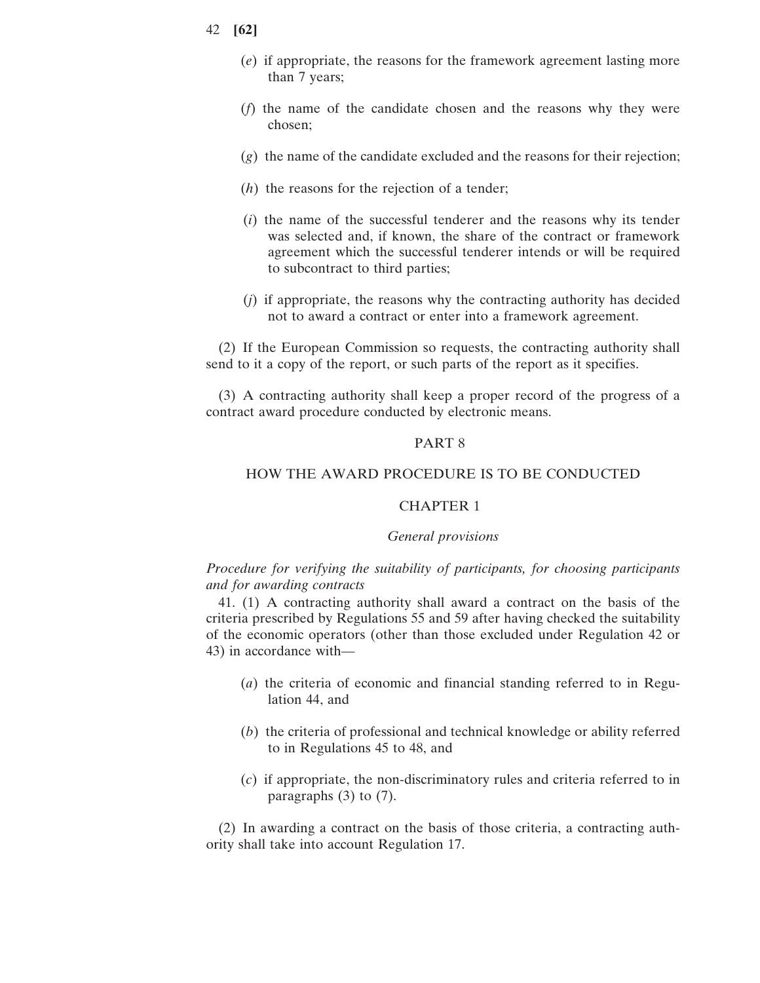- (*e*) if appropriate, the reasons for the framework agreement lasting more than 7 years;
- (*f*) the name of the candidate chosen and the reasons why they were chosen;
- (*g*) the name of the candidate excluded and the reasons for their rejection;
- (*h*) the reasons for the rejection of a tender;
- (*i*) the name of the successful tenderer and the reasons why its tender was selected and, if known, the share of the contract or framework agreement which the successful tenderer intends or will be required to subcontract to third parties;
- (*j*) if appropriate, the reasons why the contracting authority has decided not to award a contract or enter into a framework agreement.

(2) If the European Commission so requests, the contracting authority shall send to it a copy of the report, or such parts of the report as it specifies.

(3) A contracting authority shall keep a proper record of the progress of a contract award procedure conducted by electronic means.

# PART 8

## HOW THE AWARD PROCEDURE IS TO BE CONDUCTED

# CHAPTER 1

### *General provisions*

# *Procedure for verifying the suitability of participants, for choosing participants and for awarding contracts*

41. (1) A contracting authority shall award a contract on the basis of the criteria prescribed by Regulations 55 and 59 after having checked the suitability of the economic operators (other than those excluded under Regulation 42 or 43) in accordance with—

- (*a*) the criteria of economic and financial standing referred to in Regulation 44, and
- (*b*) the criteria of professional and technical knowledge or ability referred to in Regulations 45 to 48, and
- (*c*) if appropriate, the non-discriminatory rules and criteria referred to in paragraphs (3) to (7).

(2) In awarding a contract on the basis of those criteria, a contracting authority shall take into account Regulation 17.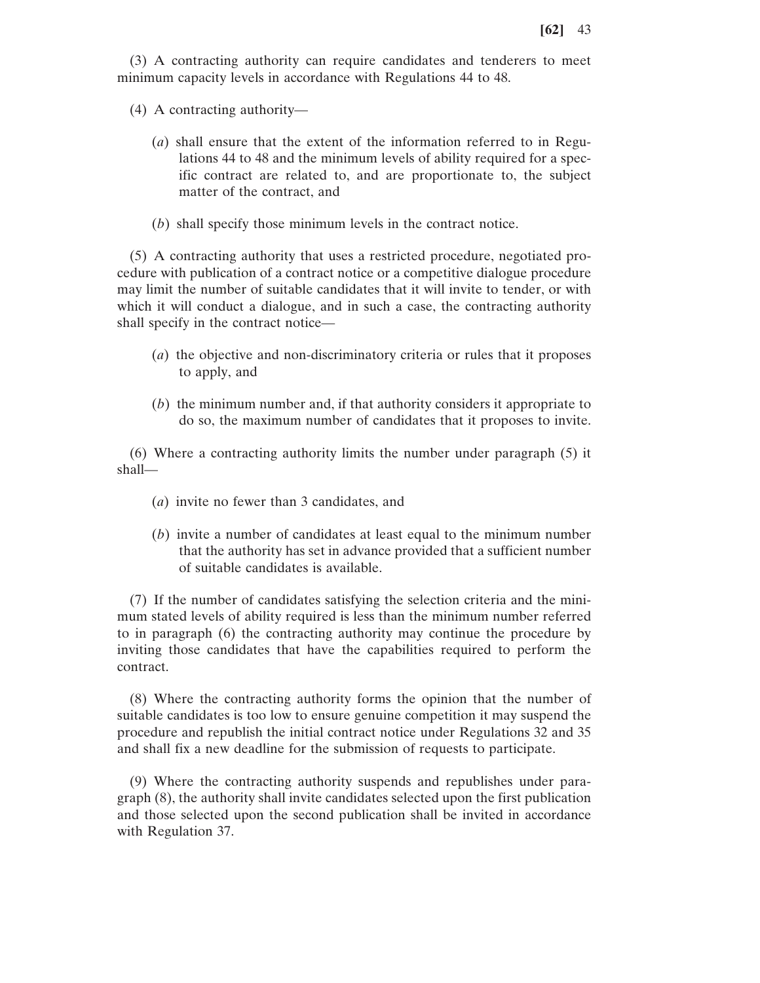(3) A contracting authority can require candidates and tenderers to meet minimum capacity levels in accordance with Regulations 44 to 48.

- (4) A contracting authority—
	- (*a*) shall ensure that the extent of the information referred to in Regulations 44 to 48 and the minimum levels of ability required for a specific contract are related to, and are proportionate to, the subject matter of the contract, and
	- (*b*) shall specify those minimum levels in the contract notice.

(5) A contracting authority that uses a restricted procedure, negotiated procedure with publication of a contract notice or a competitive dialogue procedure may limit the number of suitable candidates that it will invite to tender, or with which it will conduct a dialogue, and in such a case, the contracting authority shall specify in the contract notice—

- (*a*) the objective and non-discriminatory criteria or rules that it proposes to apply, and
- (*b*) the minimum number and, if that authority considers it appropriate to do so, the maximum number of candidates that it proposes to invite.

(6) Where a contracting authority limits the number under paragraph (5) it shall—

- (*a*) invite no fewer than 3 candidates, and
- (*b*) invite a number of candidates at least equal to the minimum number that the authority has set in advance provided that a sufficient number of suitable candidates is available.

(7) If the number of candidates satisfying the selection criteria and the minimum stated levels of ability required is less than the minimum number referred to in paragraph (6) the contracting authority may continue the procedure by inviting those candidates that have the capabilities required to perform the contract.

(8) Where the contracting authority forms the opinion that the number of suitable candidates is too low to ensure genuine competition it may suspend the procedure and republish the initial contract notice under Regulations 32 and 35 and shall fix a new deadline for the submission of requests to participate.

(9) Where the contracting authority suspends and republishes under paragraph (8), the authority shall invite candidates selected upon the first publication and those selected upon the second publication shall be invited in accordance with Regulation 37.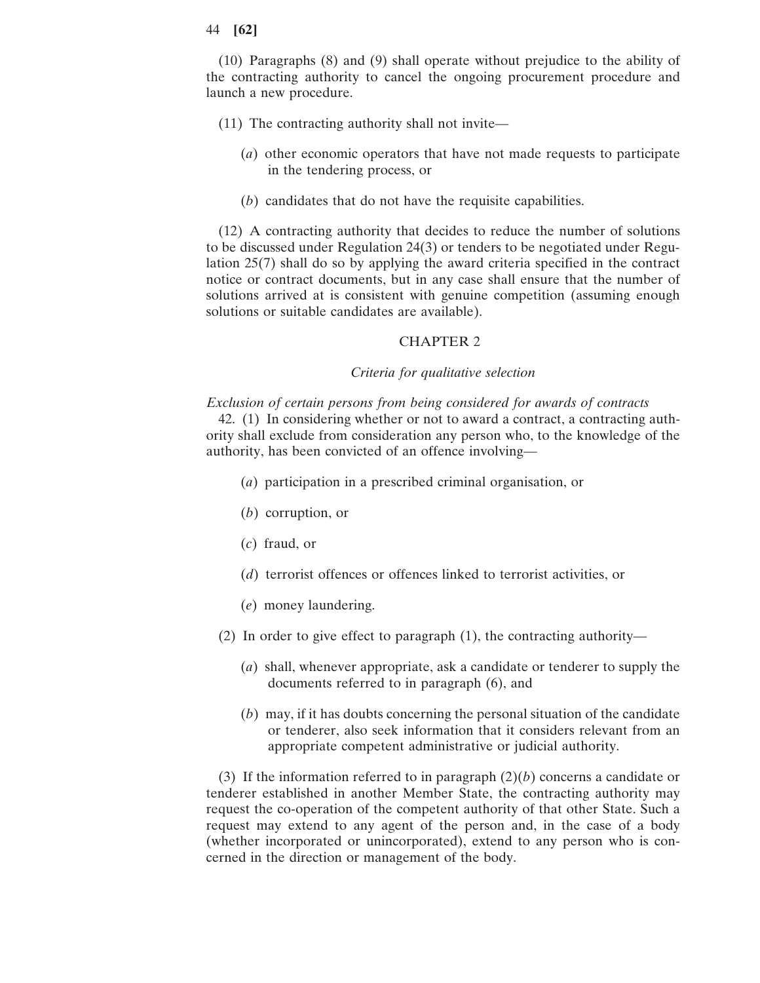(10) Paragraphs (8) and (9) shall operate without prejudice to the ability of the contracting authority to cancel the ongoing procurement procedure and launch a new procedure.

- (11) The contracting authority shall not invite—
	- (*a*) other economic operators that have not made requests to participate in the tendering process, or
	- (*b*) candidates that do not have the requisite capabilities.

(12) A contracting authority that decides to reduce the number of solutions to be discussed under Regulation 24(3) or tenders to be negotiated under Regulation 25(7) shall do so by applying the award criteria specified in the contract notice or contract documents, but in any case shall ensure that the number of solutions arrived at is consistent with genuine competition (assuming enough solutions or suitable candidates are available).

# CHAPTER 2

#### *Criteria for qualitative selection*

### *Exclusion of certain persons from being considered for awards of contracts*

42. (1) In considering whether or not to award a contract, a contracting authority shall exclude from consideration any person who, to the knowledge of the authority, has been convicted of an offence involving—

- (*a*) participation in a prescribed criminal organisation, or
- (*b*) corruption, or
- (*c*) fraud, or
- (*d*) terrorist offences or offences linked to terrorist activities, or
- (*e*) money laundering.
- (2) In order to give effect to paragraph (1), the contracting authority—
	- (*a*) shall, whenever appropriate, ask a candidate or tenderer to supply the documents referred to in paragraph (6), and
	- (*b*) may, if it has doubts concerning the personal situation of the candidate or tenderer, also seek information that it considers relevant from an appropriate competent administrative or judicial authority.

(3) If the information referred to in paragraph  $(2)(b)$  concerns a candidate or tenderer established in another Member State, the contracting authority may request the co-operation of the competent authority of that other State. Such a request may extend to any agent of the person and, in the case of a body (whether incorporated or unincorporated), extend to any person who is concerned in the direction or management of the body.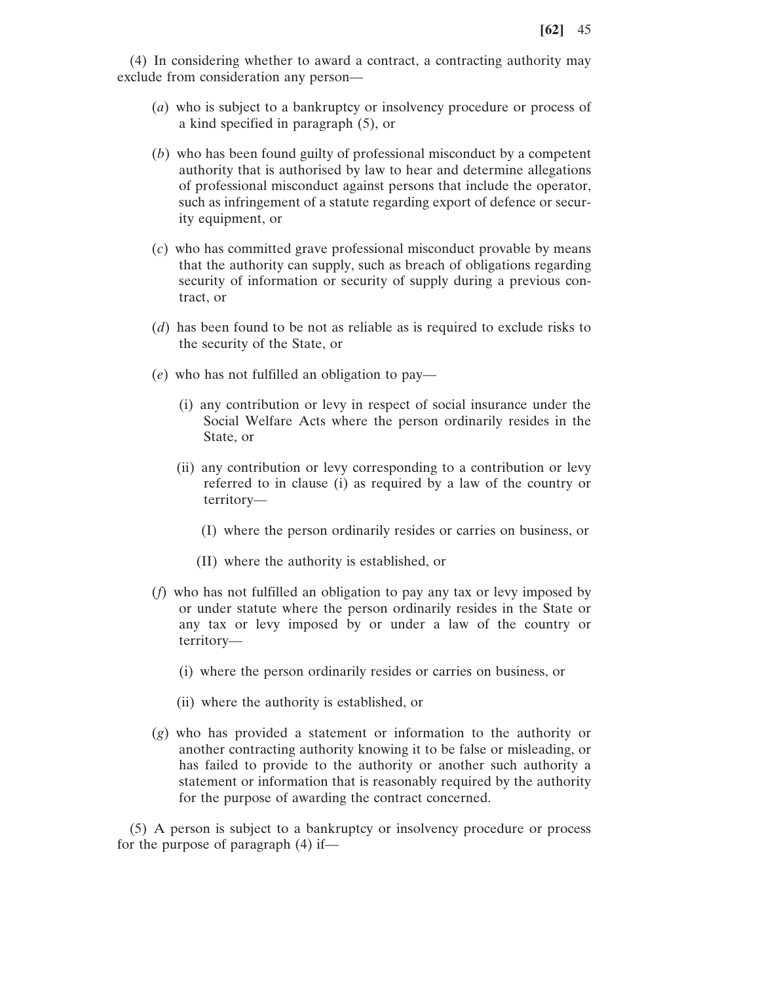(4) In considering whether to award a contract, a contracting authority may exclude from consideration any person—

- (*a*) who is subject to a bankruptcy or insolvency procedure or process of a kind specified in paragraph (5), or
- (*b*) who has been found guilty of professional misconduct by a competent authority that is authorised by law to hear and determine allegations of professional misconduct against persons that include the operator, such as infringement of a statute regarding export of defence or security equipment, or
- (*c*) who has committed grave professional misconduct provable by means that the authority can supply, such as breach of obligations regarding security of information or security of supply during a previous contract, or
- (*d*) has been found to be not as reliable as is required to exclude risks to the security of the State, or
- (*e*) who has not fulfilled an obligation to pay—
	- (i) any contribution or levy in respect of social insurance under the Social Welfare Acts where the person ordinarily resides in the State, or
	- (ii) any contribution or levy corresponding to a contribution or levy referred to in clause (i) as required by a law of the country or territory—
		- (I) where the person ordinarily resides or carries on business, or
		- (II) where the authority is established, or
- (*f*) who has not fulfilled an obligation to pay any tax or levy imposed by or under statute where the person ordinarily resides in the State or any tax or levy imposed by or under a law of the country or territory—
	- (i) where the person ordinarily resides or carries on business, or
	- (ii) where the authority is established, or
- (*g*) who has provided a statement or information to the authority or another contracting authority knowing it to be false or misleading, or has failed to provide to the authority or another such authority a statement or information that is reasonably required by the authority for the purpose of awarding the contract concerned.

(5) A person is subject to a bankruptcy or insolvency procedure or process for the purpose of paragraph (4) if—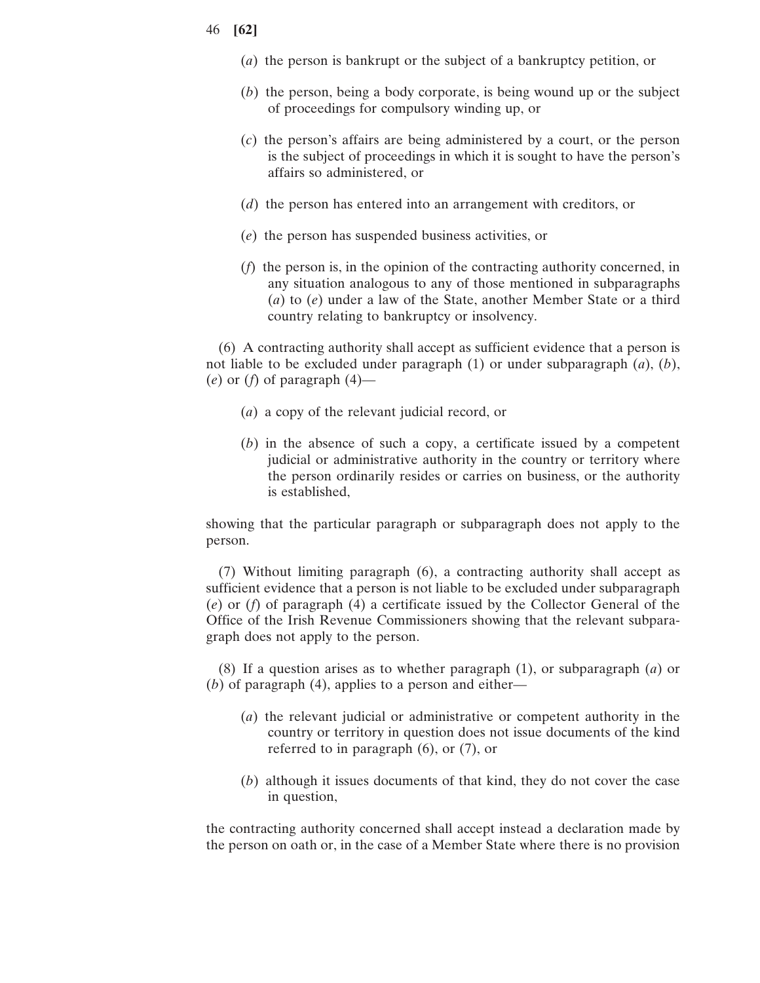- (*a*) the person is bankrupt or the subject of a bankruptcy petition, or
- (*b*) the person, being a body corporate, is being wound up or the subject of proceedings for compulsory winding up, or
- (*c*) the person's affairs are being administered by a court, or the person is the subject of proceedings in which it is sought to have the person's affairs so administered, or
- (*d*) the person has entered into an arrangement with creditors, or
- (*e*) the person has suspended business activities, or
- (*f*) the person is, in the opinion of the contracting authority concerned, in any situation analogous to any of those mentioned in subparagraphs (*a*) to (*e*) under a law of the State, another Member State or a third country relating to bankruptcy or insolvency.

(6) A contracting authority shall accept as sufficient evidence that a person is not liable to be excluded under paragraph (1) or under subparagraph (*a*), (*b*), (*e*) or (*f*) of paragraph (4)—

- (*a*) a copy of the relevant judicial record, or
- (*b*) in the absence of such a copy, a certificate issued by a competent judicial or administrative authority in the country or territory where the person ordinarily resides or carries on business, or the authority is established,

showing that the particular paragraph or subparagraph does not apply to the person.

(7) Without limiting paragraph (6), a contracting authority shall accept as sufficient evidence that a person is not liable to be excluded under subparagraph (*e*) or (*f*) of paragraph (4) a certificate issued by the Collector General of the Office of the Irish Revenue Commissioners showing that the relevant subparagraph does not apply to the person.

(8) If a question arises as to whether paragraph (1), or subparagraph (*a*) or (*b*) of paragraph (4), applies to a person and either—

- (*a*) the relevant judicial or administrative or competent authority in the country or territory in question does not issue documents of the kind referred to in paragraph (6), or (7), or
- (*b*) although it issues documents of that kind, they do not cover the case in question,

the contracting authority concerned shall accept instead a declaration made by the person on oath or, in the case of a Member State where there is no provision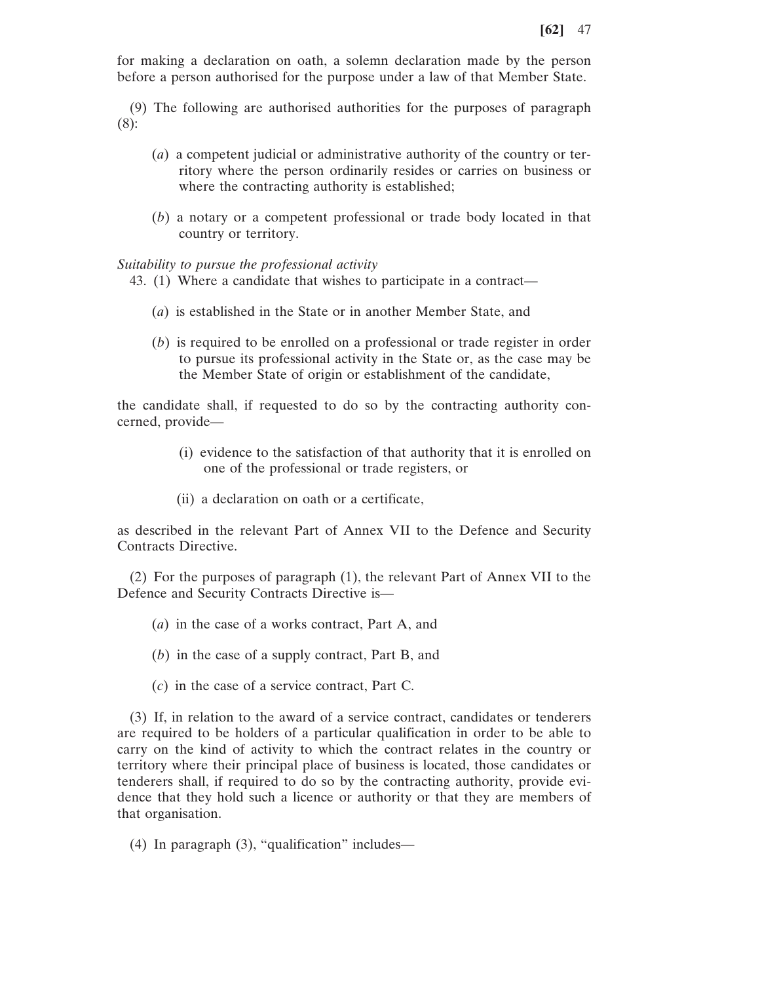for making a declaration on oath, a solemn declaration made by the person before a person authorised for the purpose under a law of that Member State.

(9) The following are authorised authorities for the purposes of paragraph (8):

- (*a*) a competent judicial or administrative authority of the country or territory where the person ordinarily resides or carries on business or where the contracting authority is established;
- (*b*) a notary or a competent professional or trade body located in that country or territory.

*Suitability to pursue the professional activity*

- 43. (1) Where a candidate that wishes to participate in a contract—
	- (*a*) is established in the State or in another Member State, and
	- (*b*) is required to be enrolled on a professional or trade register in order to pursue its professional activity in the State or, as the case may be the Member State of origin or establishment of the candidate,

the candidate shall, if requested to do so by the contracting authority concerned, provide—

- (i) evidence to the satisfaction of that authority that it is enrolled on one of the professional or trade registers, or
- (ii) a declaration on oath or a certificate,

as described in the relevant Part of Annex VII to the Defence and Security Contracts Directive.

(2) For the purposes of paragraph (1), the relevant Part of Annex VII to the Defence and Security Contracts Directive is—

- (*a*) in the case of a works contract, Part A, and
- (*b*) in the case of a supply contract, Part B, and
- (*c*) in the case of a service contract, Part C.

(3) If, in relation to the award of a service contract, candidates or tenderers are required to be holders of a particular qualification in order to be able to carry on the kind of activity to which the contract relates in the country or territory where their principal place of business is located, those candidates or tenderers shall, if required to do so by the contracting authority, provide evidence that they hold such a licence or authority or that they are members of that organisation.

(4) In paragraph (3), "qualification" includes—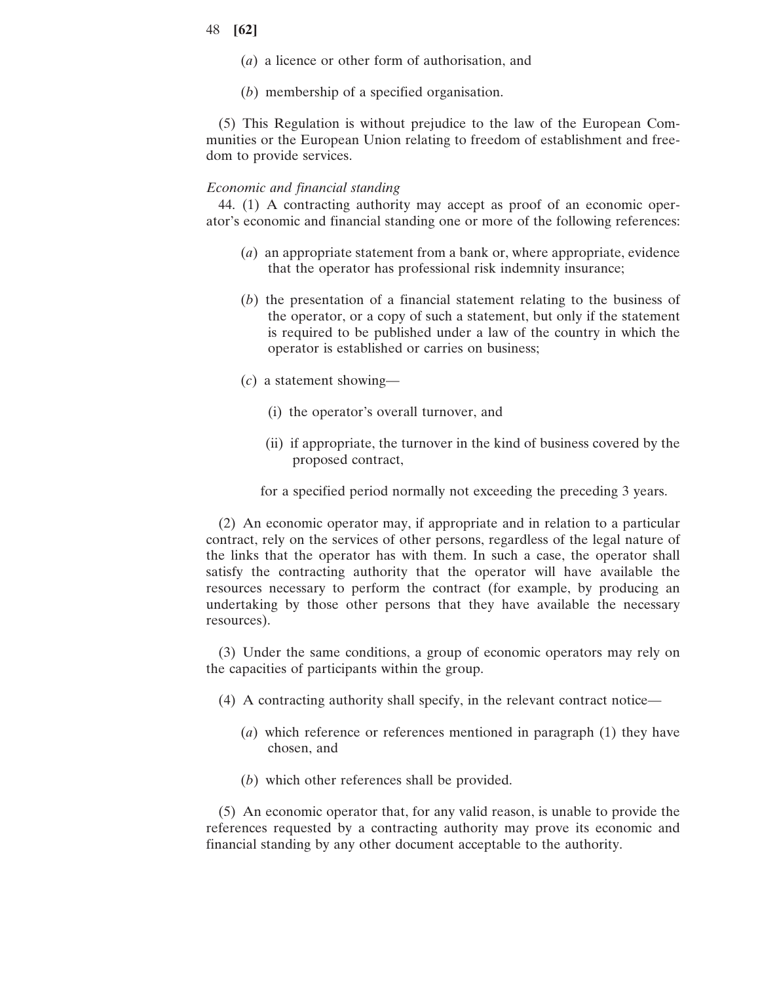- (*a*) a licence or other form of authorisation, and
- (*b*) membership of a specified organisation.

(5) This Regulation is without prejudice to the law of the European Communities or the European Union relating to freedom of establishment and freedom to provide services.

### *Economic and financial standing*

44. (1) A contracting authority may accept as proof of an economic operator's economic and financial standing one or more of the following references:

- (*a*) an appropriate statement from a bank or, where appropriate, evidence that the operator has professional risk indemnity insurance;
- (*b*) the presentation of a financial statement relating to the business of the operator, or a copy of such a statement, but only if the statement is required to be published under a law of the country in which the operator is established or carries on business;
- (*c*) a statement showing—
	- (i) the operator's overall turnover, and
	- (ii) if appropriate, the turnover in the kind of business covered by the proposed contract,
	- for a specified period normally not exceeding the preceding 3 years.

(2) An economic operator may, if appropriate and in relation to a particular contract, rely on the services of other persons, regardless of the legal nature of the links that the operator has with them. In such a case, the operator shall satisfy the contracting authority that the operator will have available the resources necessary to perform the contract (for example, by producing an undertaking by those other persons that they have available the necessary resources).

(3) Under the same conditions, a group of economic operators may rely on the capacities of participants within the group.

- (4) A contracting authority shall specify, in the relevant contract notice—
	- (*a*) which reference or references mentioned in paragraph (1) they have chosen, and
	- (*b*) which other references shall be provided.

(5) An economic operator that, for any valid reason, is unable to provide the references requested by a contracting authority may prove its economic and financial standing by any other document acceptable to the authority.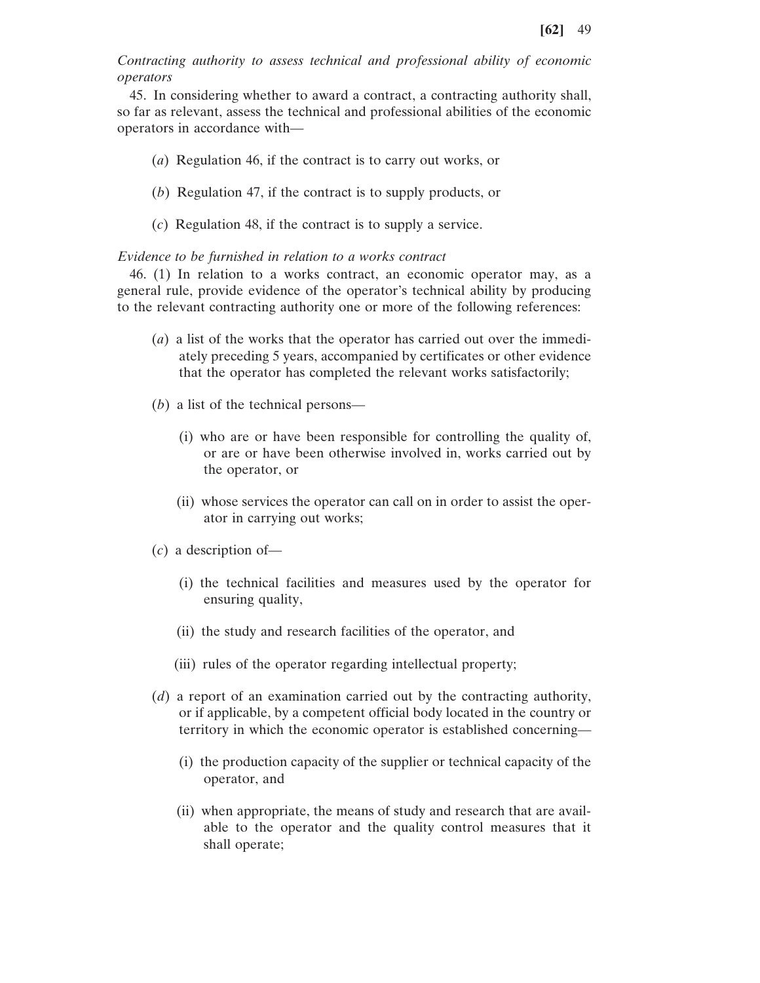*Contracting authority to assess technical and professional ability of economic operators*

45. In considering whether to award a contract, a contracting authority shall, so far as relevant, assess the technical and professional abilities of the economic operators in accordance with—

- (*a*) Regulation 46, if the contract is to carry out works, or
- (*b*) Regulation 47, if the contract is to supply products, or
- (*c*) Regulation 48, if the contract is to supply a service.

#### *Evidence to be furnished in relation to a works contract*

46. (1) In relation to a works contract, an economic operator may, as a general rule, provide evidence of the operator's technical ability by producing to the relevant contracting authority one or more of the following references:

- (*a*) a list of the works that the operator has carried out over the immediately preceding 5 years, accompanied by certificates or other evidence that the operator has completed the relevant works satisfactorily;
- (*b*) a list of the technical persons—
	- (i) who are or have been responsible for controlling the quality of, or are or have been otherwise involved in, works carried out by the operator, or
	- (ii) whose services the operator can call on in order to assist the operator in carrying out works;
- (*c*) a description of—
	- (i) the technical facilities and measures used by the operator for ensuring quality,
	- (ii) the study and research facilities of the operator, and
	- (iii) rules of the operator regarding intellectual property;
- (*d*) a report of an examination carried out by the contracting authority, or if applicable, by a competent official body located in the country or territory in which the economic operator is established concerning—
	- (i) the production capacity of the supplier or technical capacity of the operator, and
	- (ii) when appropriate, the means of study and research that are available to the operator and the quality control measures that it shall operate;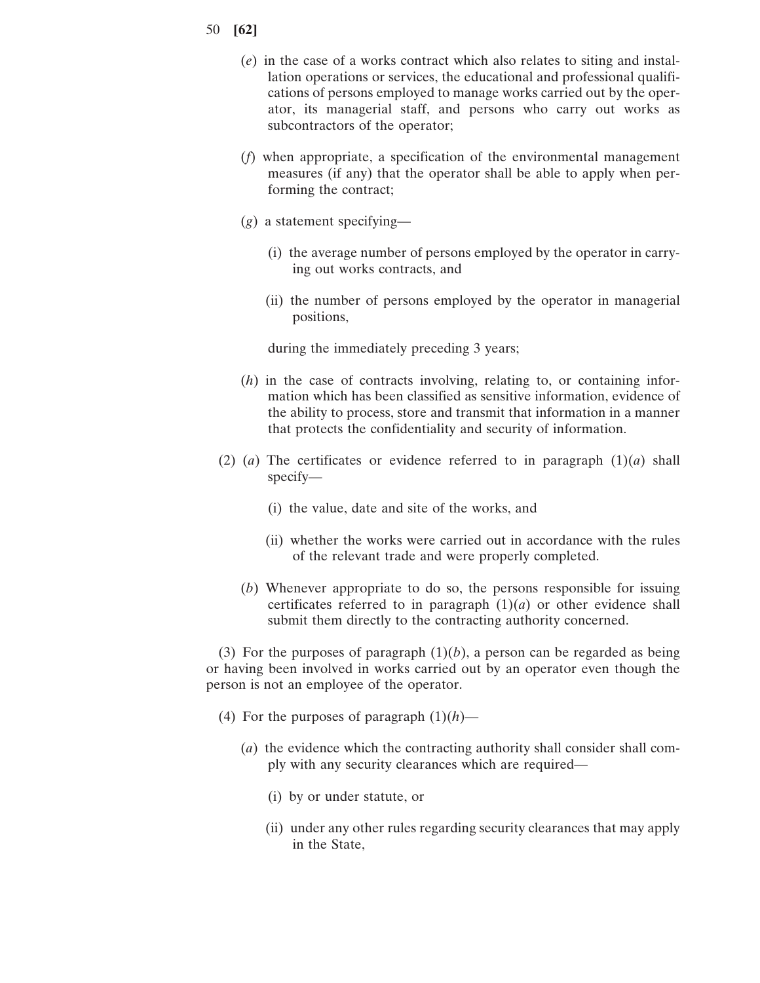- 50 **[62]**
	- (*e*) in the case of a works contract which also relates to siting and installation operations or services, the educational and professional qualifications of persons employed to manage works carried out by the operator, its managerial staff, and persons who carry out works as subcontractors of the operator;
	- (*f*) when appropriate, a specification of the environmental management measures (if any) that the operator shall be able to apply when performing the contract;
	- (*g*) a statement specifying—
		- (i) the average number of persons employed by the operator in carrying out works contracts, and
		- (ii) the number of persons employed by the operator in managerial positions,

during the immediately preceding 3 years;

- (*h*) in the case of contracts involving, relating to, or containing information which has been classified as sensitive information, evidence of the ability to process, store and transmit that information in a manner that protects the confidentiality and security of information.
- (2) (*a*) The certificates or evidence referred to in paragraph  $(1)(a)$  shall specify—
	- (i) the value, date and site of the works, and
	- (ii) whether the works were carried out in accordance with the rules of the relevant trade and were properly completed.
	- (*b*) Whenever appropriate to do so, the persons responsible for issuing certificates referred to in paragraph  $(1)(a)$  or other evidence shall submit them directly to the contracting authority concerned.

(3) For the purposes of paragraph  $(1)(b)$ , a person can be regarded as being or having been involved in works carried out by an operator even though the person is not an employee of the operator.

- (4) For the purposes of paragraph  $(1)(h)$ 
	- (*a*) the evidence which the contracting authority shall consider shall comply with any security clearances which are required—
		- (i) by or under statute, or
		- (ii) under any other rules regarding security clearances that may apply in the State,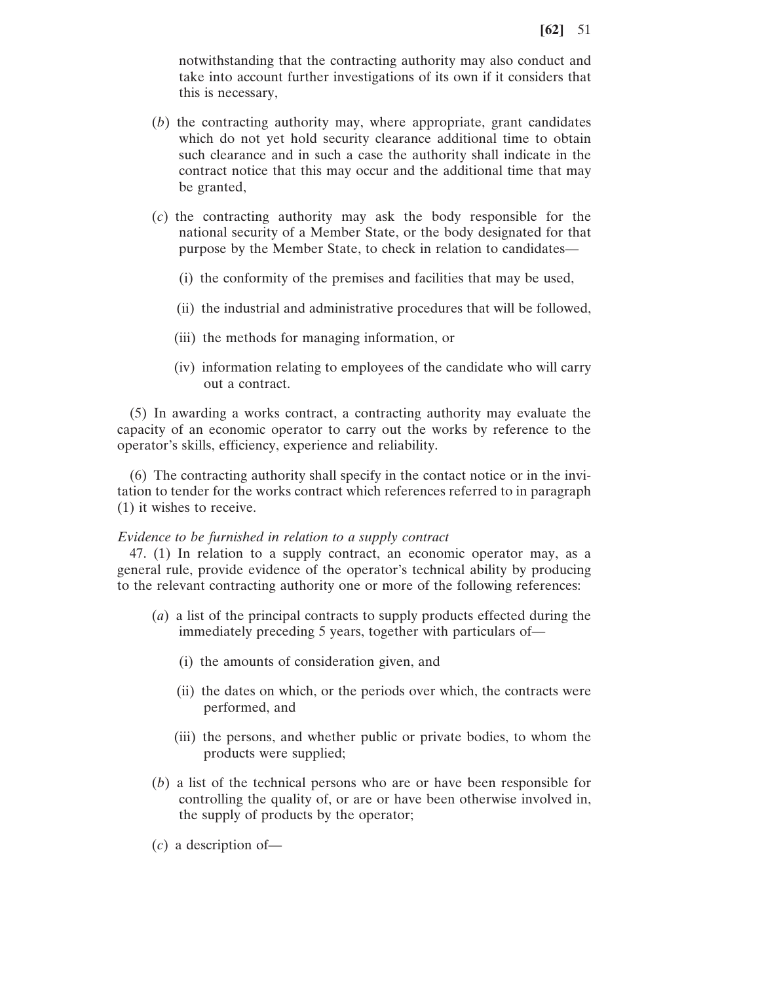notwithstanding that the contracting authority may also conduct and take into account further investigations of its own if it considers that this is necessary,

- (*b*) the contracting authority may, where appropriate, grant candidates which do not yet hold security clearance additional time to obtain such clearance and in such a case the authority shall indicate in the contract notice that this may occur and the additional time that may be granted,
- (*c*) the contracting authority may ask the body responsible for the national security of a Member State, or the body designated for that purpose by the Member State, to check in relation to candidates—
	- (i) the conformity of the premises and facilities that may be used,
	- (ii) the industrial and administrative procedures that will be followed,
	- (iii) the methods for managing information, or
	- (iv) information relating to employees of the candidate who will carry out a contract.

(5) In awarding a works contract, a contracting authority may evaluate the capacity of an economic operator to carry out the works by reference to the operator's skills, efficiency, experience and reliability.

(6) The contracting authority shall specify in the contact notice or in the invitation to tender for the works contract which references referred to in paragraph (1) it wishes to receive.

#### *Evidence to be furnished in relation to a supply contract*

47. (1) In relation to a supply contract, an economic operator may, as a general rule, provide evidence of the operator's technical ability by producing to the relevant contracting authority one or more of the following references:

- (*a*) a list of the principal contracts to supply products effected during the immediately preceding 5 years, together with particulars of—
	- (i) the amounts of consideration given, and
	- (ii) the dates on which, or the periods over which, the contracts were performed, and
	- (iii) the persons, and whether public or private bodies, to whom the products were supplied;
- (*b*) a list of the technical persons who are or have been responsible for controlling the quality of, or are or have been otherwise involved in, the supply of products by the operator;
- (*c*) a description of—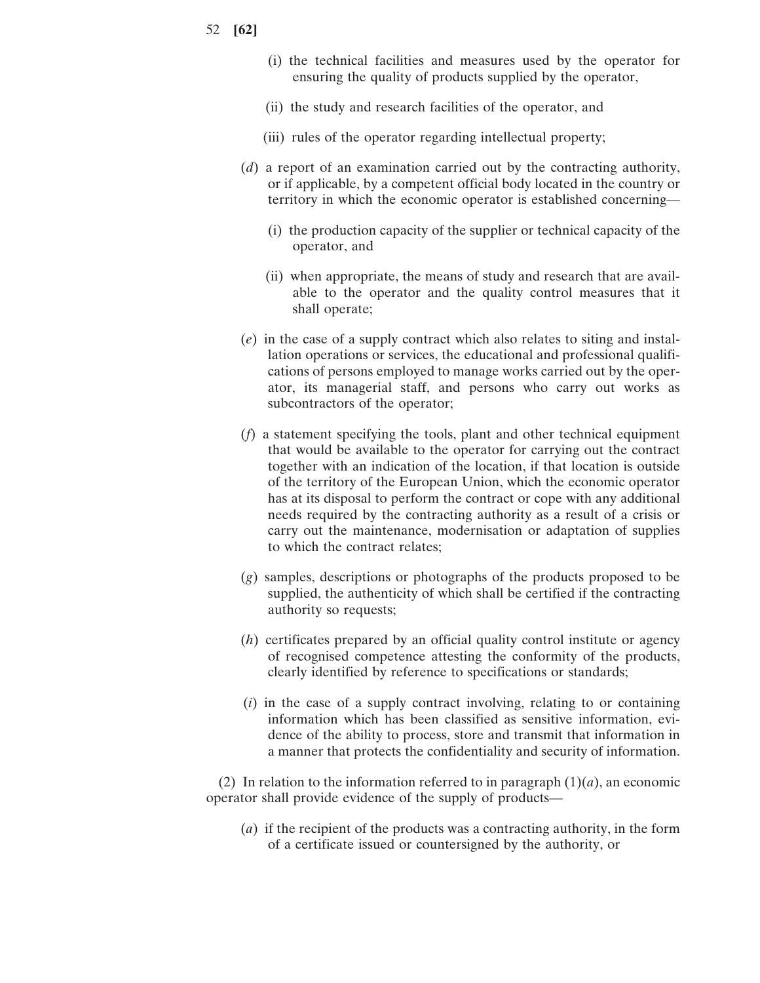- 52 **[62]**
- (i) the technical facilities and measures used by the operator for ensuring the quality of products supplied by the operator,
- (ii) the study and research facilities of the operator, and
- (iii) rules of the operator regarding intellectual property;
- (*d*) a report of an examination carried out by the contracting authority, or if applicable, by a competent official body located in the country or territory in which the economic operator is established concerning—
	- (i) the production capacity of the supplier or technical capacity of the operator, and
	- (ii) when appropriate, the means of study and research that are available to the operator and the quality control measures that it shall operate;
- (*e*) in the case of a supply contract which also relates to siting and installation operations or services, the educational and professional qualifications of persons employed to manage works carried out by the operator, its managerial staff, and persons who carry out works as subcontractors of the operator;
- (*f*) a statement specifying the tools, plant and other technical equipment that would be available to the operator for carrying out the contract together with an indication of the location, if that location is outside of the territory of the European Union, which the economic operator has at its disposal to perform the contract or cope with any additional needs required by the contracting authority as a result of a crisis or carry out the maintenance, modernisation or adaptation of supplies to which the contract relates;
- (*g*) samples, descriptions or photographs of the products proposed to be supplied, the authenticity of which shall be certified if the contracting authority so requests;
- (*h*) certificates prepared by an official quality control institute or agency of recognised competence attesting the conformity of the products, clearly identified by reference to specifications or standards;
- (*i*) in the case of a supply contract involving, relating to or containing information which has been classified as sensitive information, evidence of the ability to process, store and transmit that information in a manner that protects the confidentiality and security of information.

(2) In relation to the information referred to in paragraph  $(1)(a)$ , an economic operator shall provide evidence of the supply of products—

(*a*) if the recipient of the products was a contracting authority, in the form of a certificate issued or countersigned by the authority, or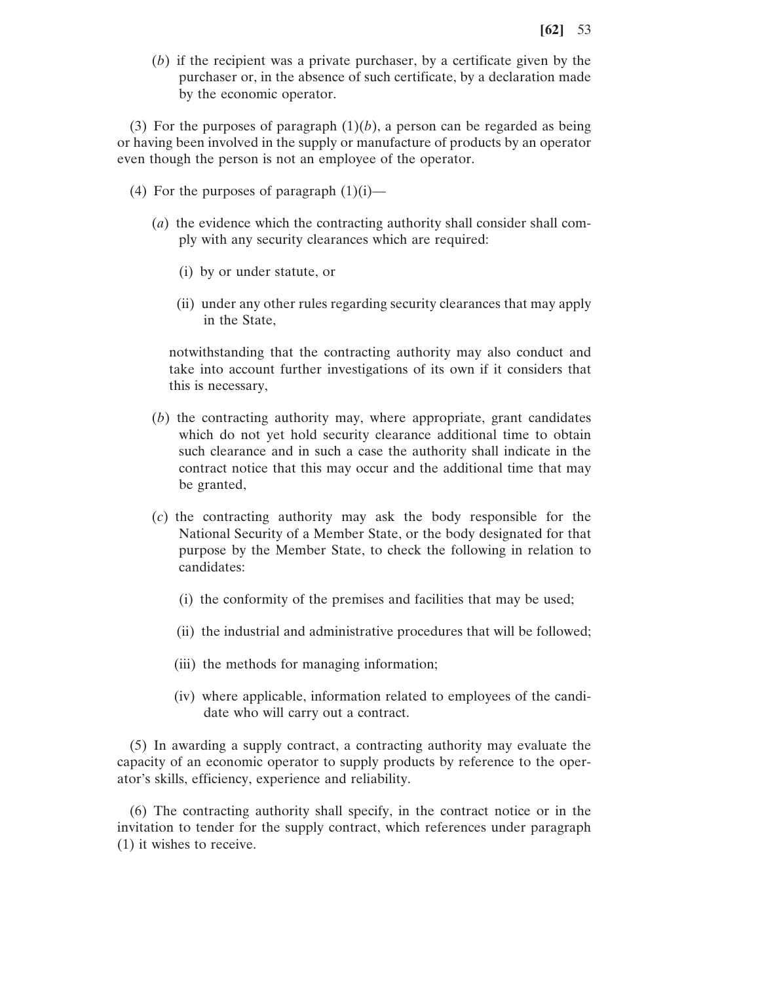(*b*) if the recipient was a private purchaser, by a certificate given by the purchaser or, in the absence of such certificate, by a declaration made by the economic operator.

(3) For the purposes of paragraph  $(1)(b)$ , a person can be regarded as being or having been involved in the supply or manufacture of products by an operator even though the person is not an employee of the operator.

- (4) For the purposes of paragraph  $(1)(i)$ 
	- (*a*) the evidence which the contracting authority shall consider shall comply with any security clearances which are required:
		- (i) by or under statute, or
		- (ii) under any other rules regarding security clearances that may apply in the State,

notwithstanding that the contracting authority may also conduct and take into account further investigations of its own if it considers that this is necessary,

- (*b*) the contracting authority may, where appropriate, grant candidates which do not yet hold security clearance additional time to obtain such clearance and in such a case the authority shall indicate in the contract notice that this may occur and the additional time that may be granted,
- (*c*) the contracting authority may ask the body responsible for the National Security of a Member State, or the body designated for that purpose by the Member State, to check the following in relation to candidates:
	- (i) the conformity of the premises and facilities that may be used;
	- (ii) the industrial and administrative procedures that will be followed;
	- (iii) the methods for managing information;
	- (iv) where applicable, information related to employees of the candidate who will carry out a contract.

(5) In awarding a supply contract, a contracting authority may evaluate the capacity of an economic operator to supply products by reference to the operator's skills, efficiency, experience and reliability.

(6) The contracting authority shall specify, in the contract notice or in the invitation to tender for the supply contract, which references under paragraph (1) it wishes to receive.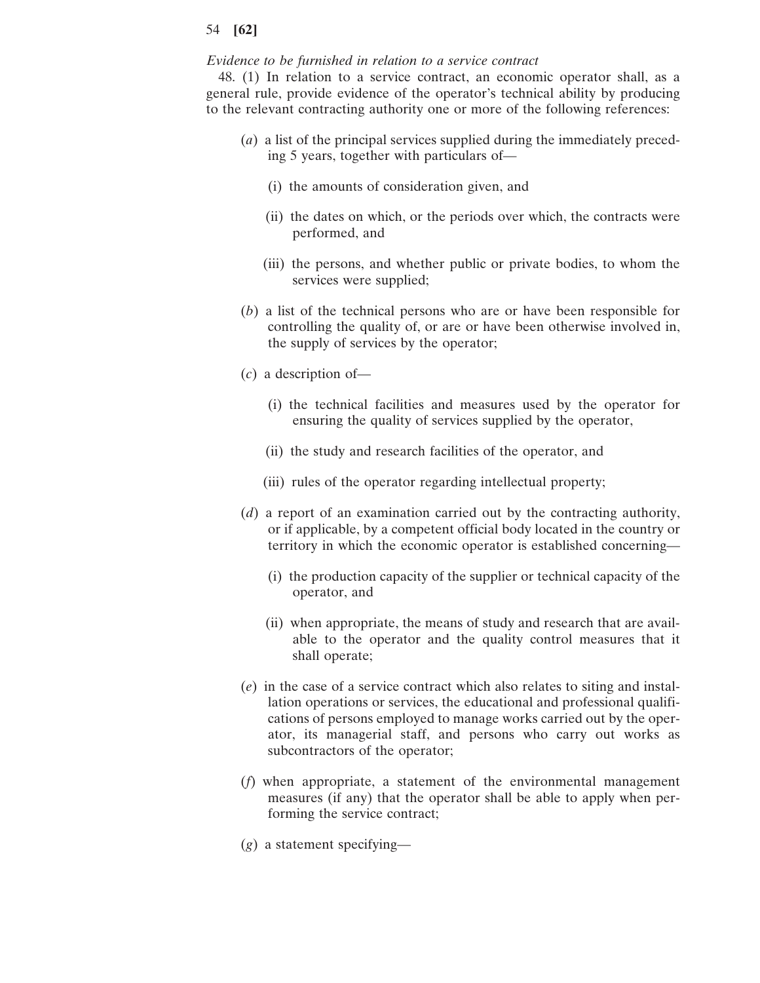### *Evidence to be furnished in relation to a service contract*

48. (1) In relation to a service contract, an economic operator shall, as a general rule, provide evidence of the operator's technical ability by producing to the relevant contracting authority one or more of the following references:

- (*a*) a list of the principal services supplied during the immediately preceding 5 years, together with particulars of—
	- (i) the amounts of consideration given, and
	- (ii) the dates on which, or the periods over which, the contracts were performed, and
	- (iii) the persons, and whether public or private bodies, to whom the services were supplied;
- (*b*) a list of the technical persons who are or have been responsible for controlling the quality of, or are or have been otherwise involved in, the supply of services by the operator;
- (*c*) a description of—
	- (i) the technical facilities and measures used by the operator for ensuring the quality of services supplied by the operator,
	- (ii) the study and research facilities of the operator, and
	- (iii) rules of the operator regarding intellectual property;
- (*d*) a report of an examination carried out by the contracting authority, or if applicable, by a competent official body located in the country or territory in which the economic operator is established concerning—
	- (i) the production capacity of the supplier or technical capacity of the operator, and
	- (ii) when appropriate, the means of study and research that are available to the operator and the quality control measures that it shall operate;
- (*e*) in the case of a service contract which also relates to siting and installation operations or services, the educational and professional qualifications of persons employed to manage works carried out by the operator, its managerial staff, and persons who carry out works as subcontractors of the operator;
- (*f*) when appropriate, a statement of the environmental management measures (if any) that the operator shall be able to apply when performing the service contract;
- (*g*) a statement specifying—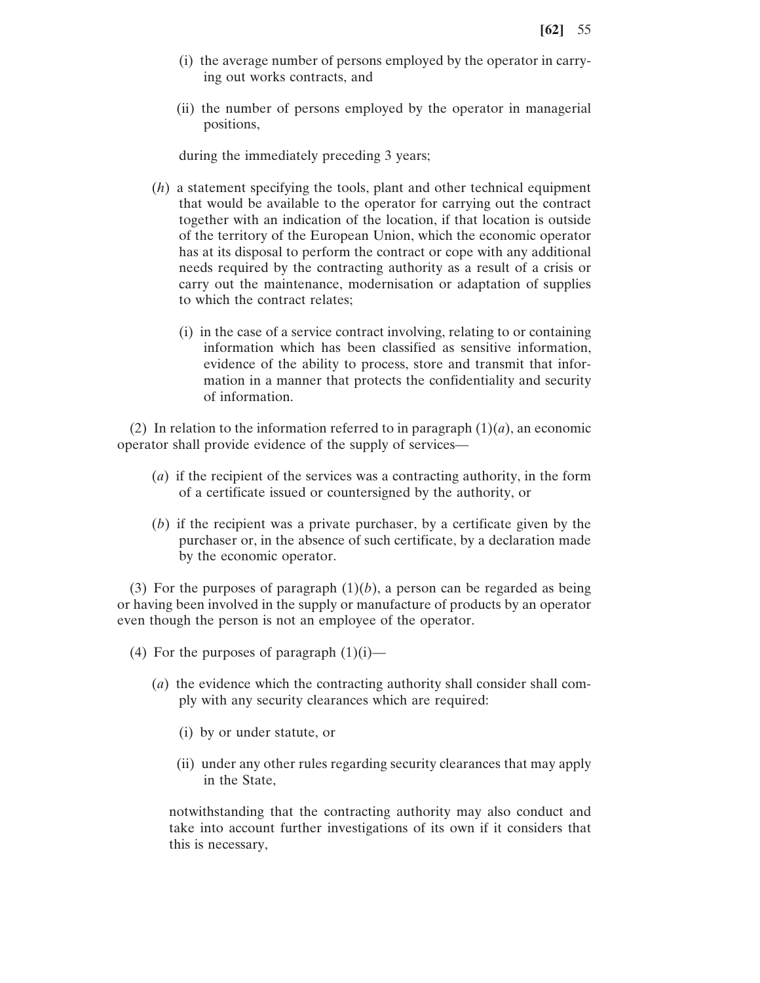- (i) the average number of persons employed by the operator in carrying out works contracts, and
- (ii) the number of persons employed by the operator in managerial positions,

during the immediately preceding 3 years;

- (*h*) a statement specifying the tools, plant and other technical equipment that would be available to the operator for carrying out the contract together with an indication of the location, if that location is outside of the territory of the European Union, which the economic operator has at its disposal to perform the contract or cope with any additional needs required by the contracting authority as a result of a crisis or carry out the maintenance, modernisation or adaptation of supplies to which the contract relates;
	- (i) in the case of a service contract involving, relating to or containing information which has been classified as sensitive information, evidence of the ability to process, store and transmit that information in a manner that protects the confidentiality and security of information.

(2) In relation to the information referred to in paragraph  $(1)(a)$ , an economic operator shall provide evidence of the supply of services—

- (*a*) if the recipient of the services was a contracting authority, in the form of a certificate issued or countersigned by the authority, or
- (*b*) if the recipient was a private purchaser, by a certificate given by the purchaser or, in the absence of such certificate, by a declaration made by the economic operator.

(3) For the purposes of paragraph  $(1)(b)$ , a person can be regarded as being or having been involved in the supply or manufacture of products by an operator even though the person is not an employee of the operator.

- (4) For the purposes of paragraph  $(1)(i)$ 
	- (*a*) the evidence which the contracting authority shall consider shall comply with any security clearances which are required:
		- (i) by or under statute, or
		- (ii) under any other rules regarding security clearances that may apply in the State,

notwithstanding that the contracting authority may also conduct and take into account further investigations of its own if it considers that this is necessary,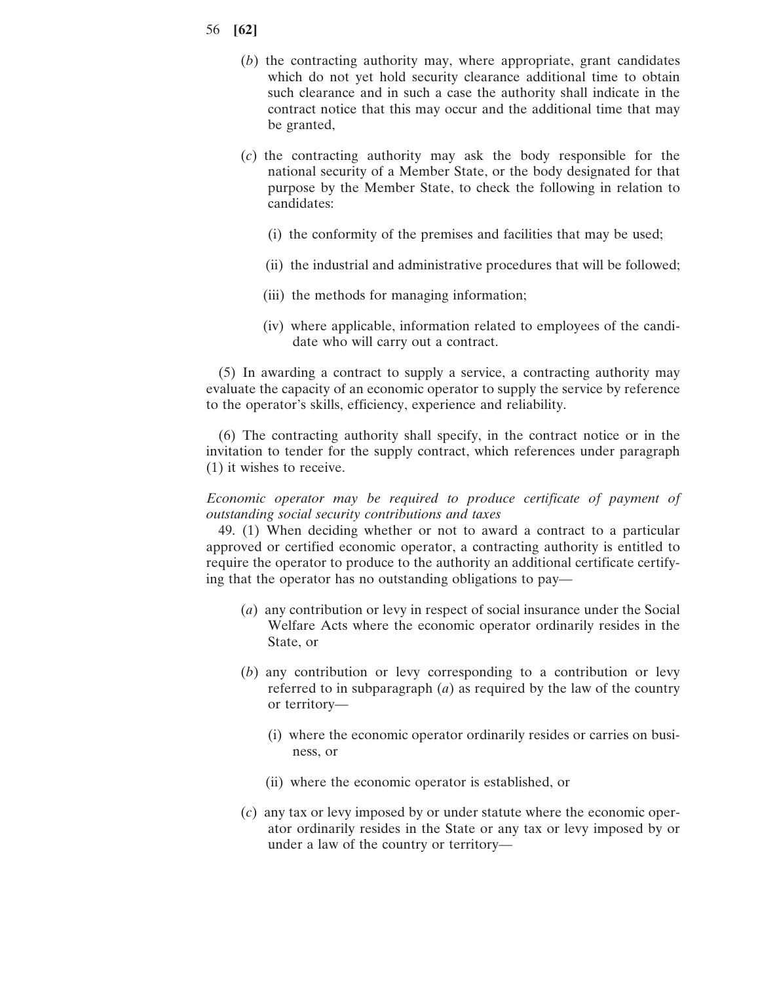- 56 **[62]**
	- (*b*) the contracting authority may, where appropriate, grant candidates which do not yet hold security clearance additional time to obtain such clearance and in such a case the authority shall indicate in the contract notice that this may occur and the additional time that may be granted,
	- (*c*) the contracting authority may ask the body responsible for the national security of a Member State, or the body designated for that purpose by the Member State, to check the following in relation to candidates:
		- (i) the conformity of the premises and facilities that may be used;
		- (ii) the industrial and administrative procedures that will be followed;
		- (iii) the methods for managing information;
		- (iv) where applicable, information related to employees of the candidate who will carry out a contract.

(5) In awarding a contract to supply a service, a contracting authority may evaluate the capacity of an economic operator to supply the service by reference to the operator's skills, efficiency, experience and reliability.

(6) The contracting authority shall specify, in the contract notice or in the invitation to tender for the supply contract, which references under paragraph (1) it wishes to receive.

*Economic operator may be required to produce certificate of payment of outstanding social security contributions and taxes*

49. (1) When deciding whether or not to award a contract to a particular approved or certified economic operator, a contracting authority is entitled to require the operator to produce to the authority an additional certificate certifying that the operator has no outstanding obligations to pay—

- (*a*) any contribution or levy in respect of social insurance under the Social Welfare Acts where the economic operator ordinarily resides in the State, or
- (*b*) any contribution or levy corresponding to a contribution or levy referred to in subparagraph (*a*) as required by the law of the country or territory—
	- (i) where the economic operator ordinarily resides or carries on business, or
	- (ii) where the economic operator is established, or
- (*c*) any tax or levy imposed by or under statute where the economic operator ordinarily resides in the State or any tax or levy imposed by or under a law of the country or territory—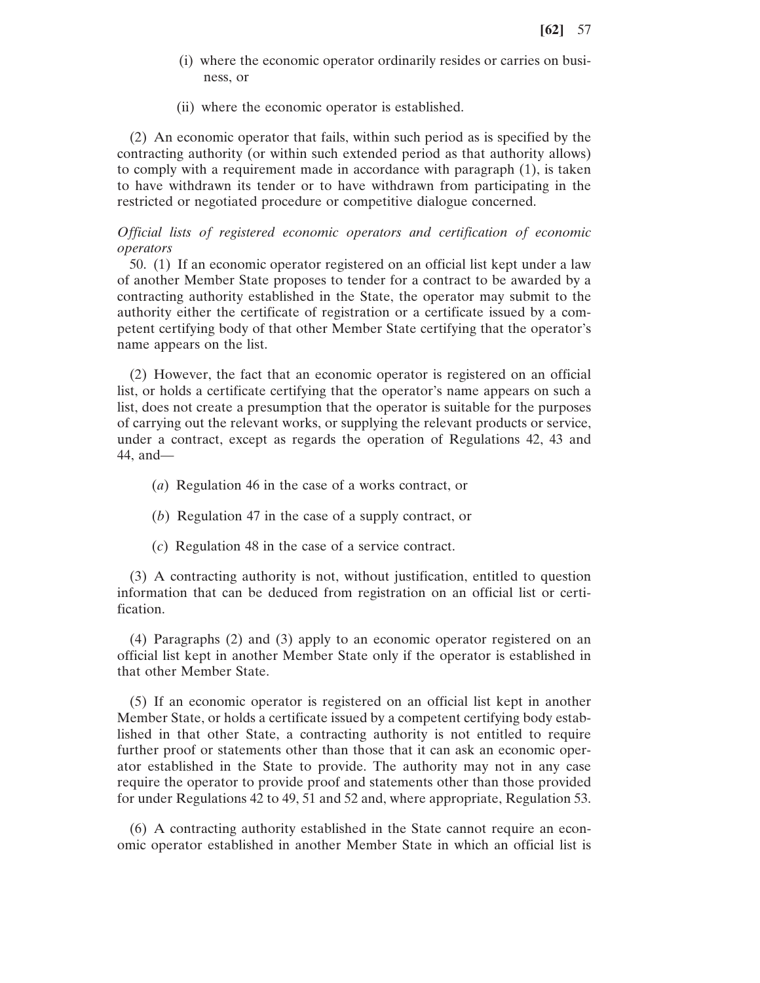- (i) where the economic operator ordinarily resides or carries on business, or
- (ii) where the economic operator is established.

(2) An economic operator that fails, within such period as is specified by the contracting authority (or within such extended period as that authority allows) to comply with a requirement made in accordance with paragraph (1), is taken to have withdrawn its tender or to have withdrawn from participating in the restricted or negotiated procedure or competitive dialogue concerned.

*Official lists of registered economic operators and certification of economic operators*

50. (1) If an economic operator registered on an official list kept under a law of another Member State proposes to tender for a contract to be awarded by a contracting authority established in the State, the operator may submit to the authority either the certificate of registration or a certificate issued by a competent certifying body of that other Member State certifying that the operator's name appears on the list.

(2) However, the fact that an economic operator is registered on an official list, or holds a certificate certifying that the operator's name appears on such a list, does not create a presumption that the operator is suitable for the purposes of carrying out the relevant works, or supplying the relevant products or service, under a contract, except as regards the operation of Regulations 42, 43 and 44, and—

- (*a*) Regulation 46 in the case of a works contract, or
- (*b*) Regulation 47 in the case of a supply contract, or
- (*c*) Regulation 48 in the case of a service contract.

(3) A contracting authority is not, without justification, entitled to question information that can be deduced from registration on an official list or certification.

(4) Paragraphs (2) and (3) apply to an economic operator registered on an official list kept in another Member State only if the operator is established in that other Member State.

(5) If an economic operator is registered on an official list kept in another Member State, or holds a certificate issued by a competent certifying body established in that other State, a contracting authority is not entitled to require further proof or statements other than those that it can ask an economic operator established in the State to provide. The authority may not in any case require the operator to provide proof and statements other than those provided for under Regulations 42 to 49, 51 and 52 and, where appropriate, Regulation 53.

(6) A contracting authority established in the State cannot require an economic operator established in another Member State in which an official list is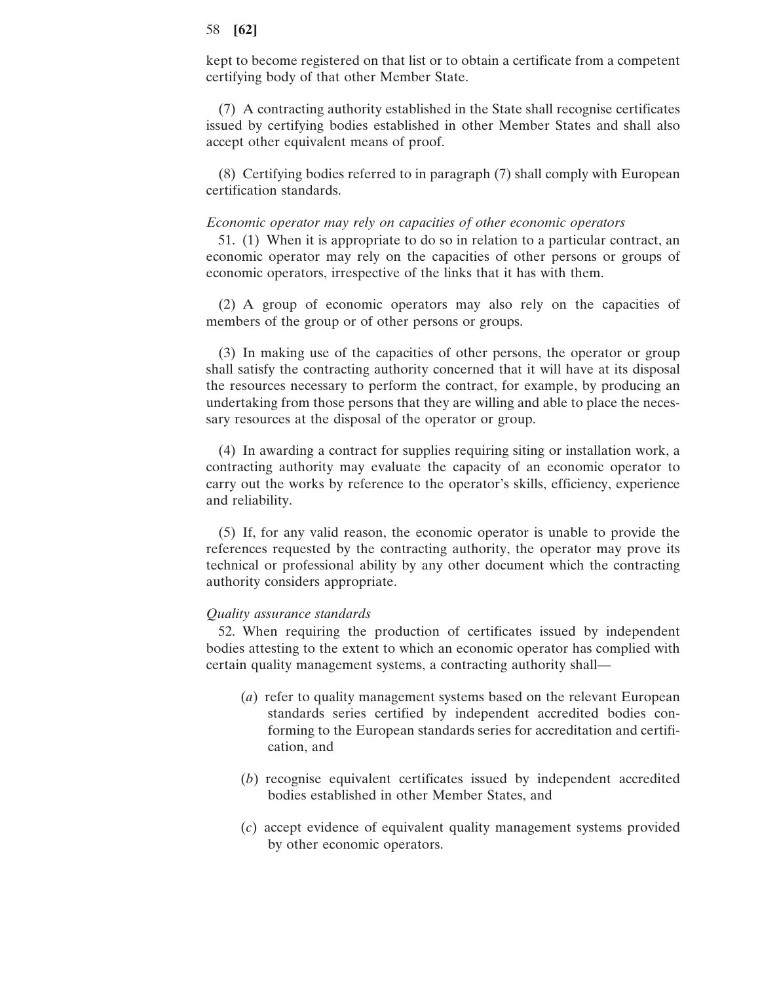kept to become registered on that list or to obtain a certificate from a competent certifying body of that other Member State.

(7) A contracting authority established in the State shall recognise certificates issued by certifying bodies established in other Member States and shall also accept other equivalent means of proof.

(8) Certifying bodies referred to in paragraph (7) shall comply with European certification standards.

#### *Economic operator may rely on capacities of other economic operators*

51. (1) When it is appropriate to do so in relation to a particular contract, an economic operator may rely on the capacities of other persons or groups of economic operators, irrespective of the links that it has with them.

(2) A group of economic operators may also rely on the capacities of members of the group or of other persons or groups.

(3) In making use of the capacities of other persons, the operator or group shall satisfy the contracting authority concerned that it will have at its disposal the resources necessary to perform the contract, for example, by producing an undertaking from those persons that they are willing and able to place the necessary resources at the disposal of the operator or group.

(4) In awarding a contract for supplies requiring siting or installation work, a contracting authority may evaluate the capacity of an economic operator to carry out the works by reference to the operator's skills, efficiency, experience and reliability.

(5) If, for any valid reason, the economic operator is unable to provide the references requested by the contracting authority, the operator may prove its technical or professional ability by any other document which the contracting authority considers appropriate.

## *Quality assurance standards*

52. When requiring the production of certificates issued by independent bodies attesting to the extent to which an economic operator has complied with certain quality management systems, a contracting authority shall—

- (*a*) refer to quality management systems based on the relevant European standards series certified by independent accredited bodies conforming to the European standards series for accreditation and certification, and
- (*b*) recognise equivalent certificates issued by independent accredited bodies established in other Member States, and
- (*c*) accept evidence of equivalent quality management systems provided by other economic operators.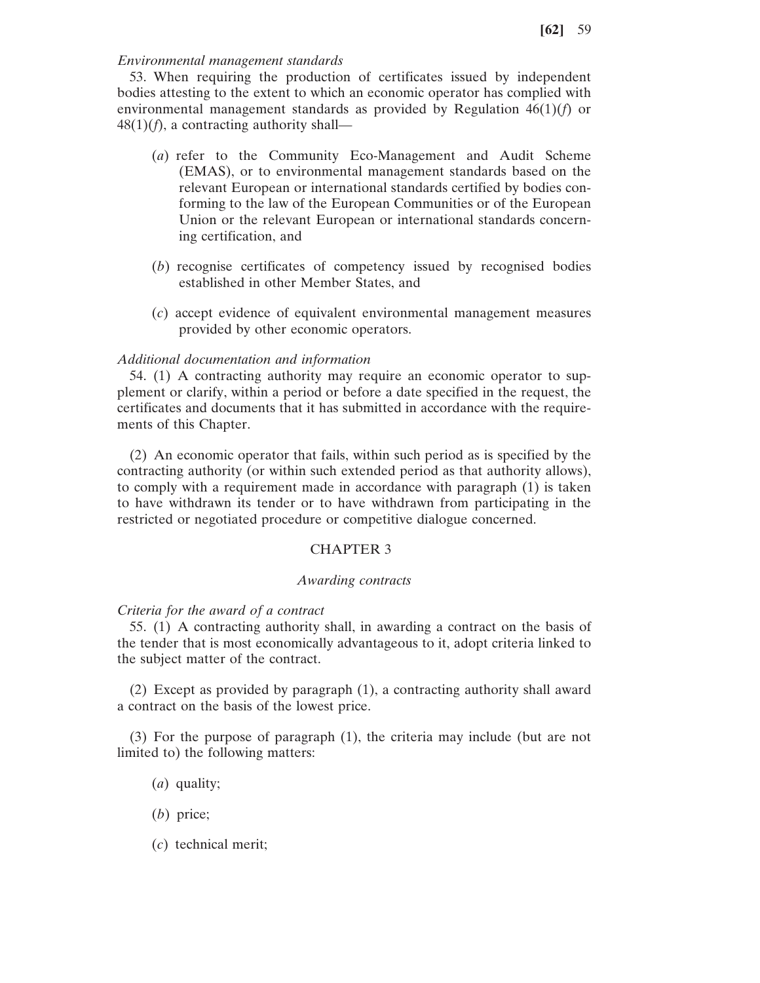# *Environmental management standards*

53. When requiring the production of certificates issued by independent bodies attesting to the extent to which an economic operator has complied with environmental management standards as provided by Regulation 46(1)(*f*) or  $48(1)(f)$ , a contracting authority shall—

- (*a*) refer to the Community Eco-Management and Audit Scheme (EMAS), or to environmental management standards based on the relevant European or international standards certified by bodies conforming to the law of the European Communities or of the European Union or the relevant European or international standards concerning certification, and
- (*b*) recognise certificates of competency issued by recognised bodies established in other Member States, and
- (*c*) accept evidence of equivalent environmental management measures provided by other economic operators.

# *Additional documentation and information*

54. (1) A contracting authority may require an economic operator to supplement or clarify, within a period or before a date specified in the request, the certificates and documents that it has submitted in accordance with the requirements of this Chapter.

(2) An economic operator that fails, within such period as is specified by the contracting authority (or within such extended period as that authority allows), to comply with a requirement made in accordance with paragraph (1) is taken to have withdrawn its tender or to have withdrawn from participating in the restricted or negotiated procedure or competitive dialogue concerned.

## CHAPTER 3

# *Awarding contracts*

## *Criteria for the award of a contract*

55. (1) A contracting authority shall, in awarding a contract on the basis of the tender that is most economically advantageous to it, adopt criteria linked to the subject matter of the contract.

(2) Except as provided by paragraph (1), a contracting authority shall award a contract on the basis of the lowest price.

(3) For the purpose of paragraph (1), the criteria may include (but are not limited to) the following matters:

- (*a*) quality;
- (*b*) price;
- (*c*) technical merit;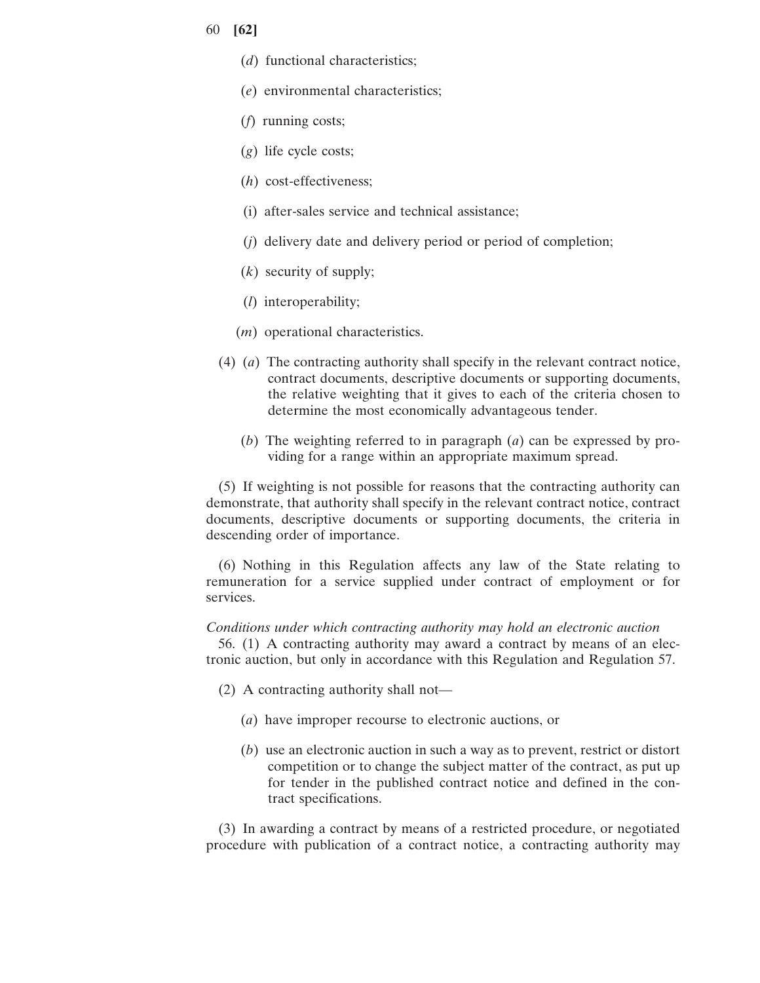- 60 **[62]**
	- (*d*) functional characteristics;
	- (*e*) environmental characteristics;
	- (*f*) running costs;
	- (*g*) life cycle costs;
	- (*h*) cost-effectiveness;
	- (i) after-sales service and technical assistance;
	- (*j*) delivery date and delivery period or period of completion;
	- (*k*) security of supply;
	- (*l*) interoperability;
	- (*m*) operational characteristics.
	- (4) (*a*) The contracting authority shall specify in the relevant contract notice, contract documents, descriptive documents or supporting documents, the relative weighting that it gives to each of the criteria chosen to determine the most economically advantageous tender.
		- (*b*) The weighting referred to in paragraph (*a*) can be expressed by providing for a range within an appropriate maximum spread.

(5) If weighting is not possible for reasons that the contracting authority can demonstrate, that authority shall specify in the relevant contract notice, contract documents, descriptive documents or supporting documents, the criteria in descending order of importance.

(6) Nothing in this Regulation affects any law of the State relating to remuneration for a service supplied under contract of employment or for services.

# *Conditions under which contracting authority may hold an electronic auction*

56. (1) A contracting authority may award a contract by means of an electronic auction, but only in accordance with this Regulation and Regulation 57.

- (2) A contracting authority shall not—
	- (*a*) have improper recourse to electronic auctions, or
	- (*b*) use an electronic auction in such a way as to prevent, restrict or distort competition or to change the subject matter of the contract, as put up for tender in the published contract notice and defined in the contract specifications.

(3) In awarding a contract by means of a restricted procedure, or negotiated procedure with publication of a contract notice, a contracting authority may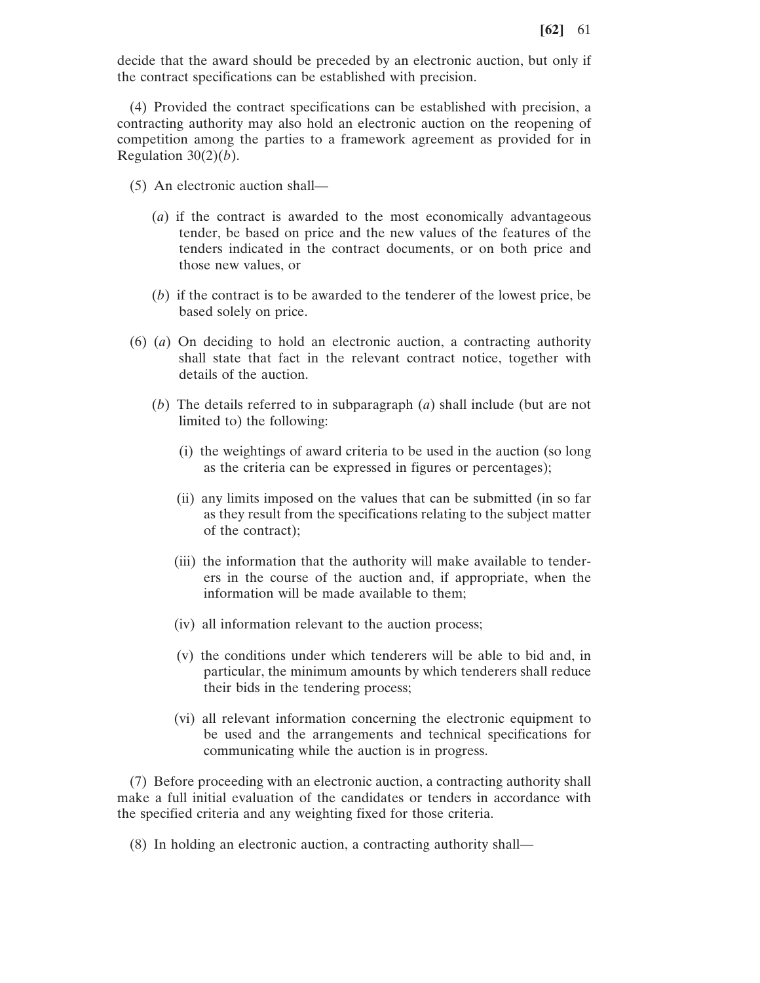decide that the award should be preceded by an electronic auction, but only if the contract specifications can be established with precision.

(4) Provided the contract specifications can be established with precision, a contracting authority may also hold an electronic auction on the reopening of competition among the parties to a framework agreement as provided for in Regulation  $30(2)(b)$ .

- (5) An electronic auction shall—
	- (*a*) if the contract is awarded to the most economically advantageous tender, be based on price and the new values of the features of the tenders indicated in the contract documents, or on both price and those new values, or
	- (*b*) if the contract is to be awarded to the tenderer of the lowest price, be based solely on price.
- (6) (*a*) On deciding to hold an electronic auction, a contracting authority shall state that fact in the relevant contract notice, together with details of the auction.
	- (*b*) The details referred to in subparagraph (*a*) shall include (but are not limited to) the following:
		- (i) the weightings of award criteria to be used in the auction (so long as the criteria can be expressed in figures or percentages);
		- (ii) any limits imposed on the values that can be submitted (in so far as they result from the specifications relating to the subject matter of the contract);
		- (iii) the information that the authority will make available to tenderers in the course of the auction and, if appropriate, when the information will be made available to them;
		- (iv) all information relevant to the auction process;
		- (v) the conditions under which tenderers will be able to bid and, in particular, the minimum amounts by which tenderers shall reduce their bids in the tendering process;
		- (vi) all relevant information concerning the electronic equipment to be used and the arrangements and technical specifications for communicating while the auction is in progress.

(7) Before proceeding with an electronic auction, a contracting authority shall make a full initial evaluation of the candidates or tenders in accordance with the specified criteria and any weighting fixed for those criteria.

(8) In holding an electronic auction, a contracting authority shall—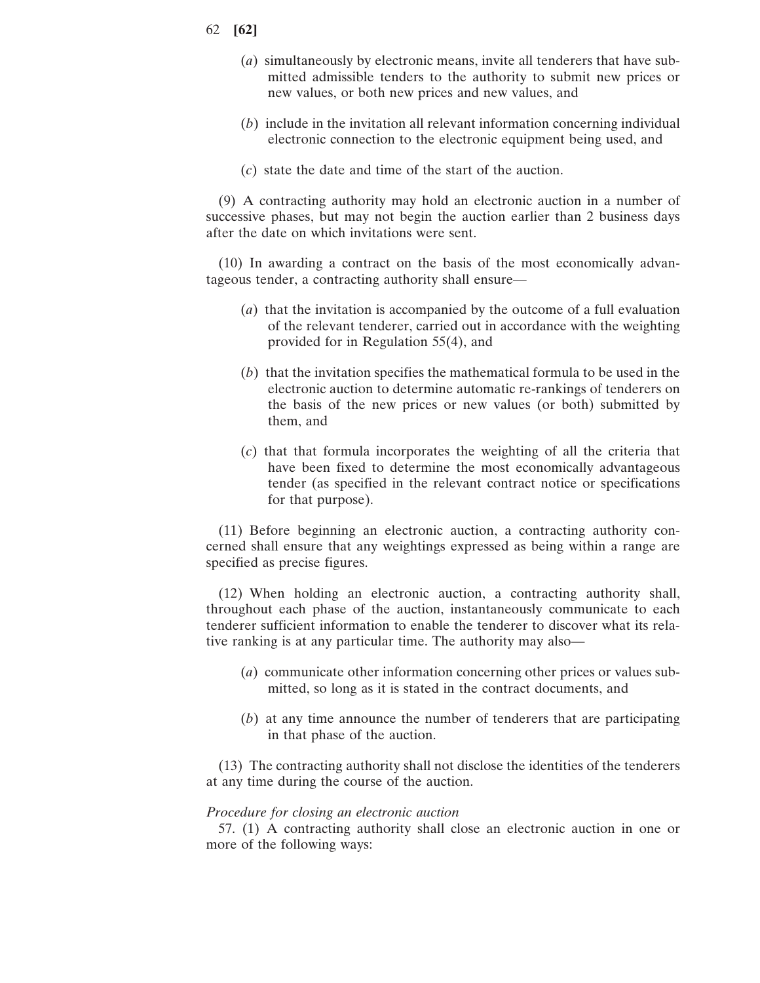- 62 **[62]**
	- (*a*) simultaneously by electronic means, invite all tenderers that have submitted admissible tenders to the authority to submit new prices or new values, or both new prices and new values, and
	- (*b*) include in the invitation all relevant information concerning individual electronic connection to the electronic equipment being used, and
	- (*c*) state the date and time of the start of the auction.

(9) A contracting authority may hold an electronic auction in a number of successive phases, but may not begin the auction earlier than 2 business days after the date on which invitations were sent.

(10) In awarding a contract on the basis of the most economically advantageous tender, a contracting authority shall ensure—

- (*a*) that the invitation is accompanied by the outcome of a full evaluation of the relevant tenderer, carried out in accordance with the weighting provided for in Regulation 55(4), and
- (*b*) that the invitation specifies the mathematical formula to be used in the electronic auction to determine automatic re-rankings of tenderers on the basis of the new prices or new values (or both) submitted by them, and
- (*c*) that that formula incorporates the weighting of all the criteria that have been fixed to determine the most economically advantageous tender (as specified in the relevant contract notice or specifications for that purpose).

(11) Before beginning an electronic auction, a contracting authority concerned shall ensure that any weightings expressed as being within a range are specified as precise figures.

(12) When holding an electronic auction, a contracting authority shall, throughout each phase of the auction, instantaneously communicate to each tenderer sufficient information to enable the tenderer to discover what its relative ranking is at any particular time. The authority may also—

- (*a*) communicate other information concerning other prices or values submitted, so long as it is stated in the contract documents, and
- (*b*) at any time announce the number of tenderers that are participating in that phase of the auction.

(13) The contracting authority shall not disclose the identities of the tenderers at any time during the course of the auction.

## *Procedure for closing an electronic auction*

57. (1) A contracting authority shall close an electronic auction in one or more of the following ways: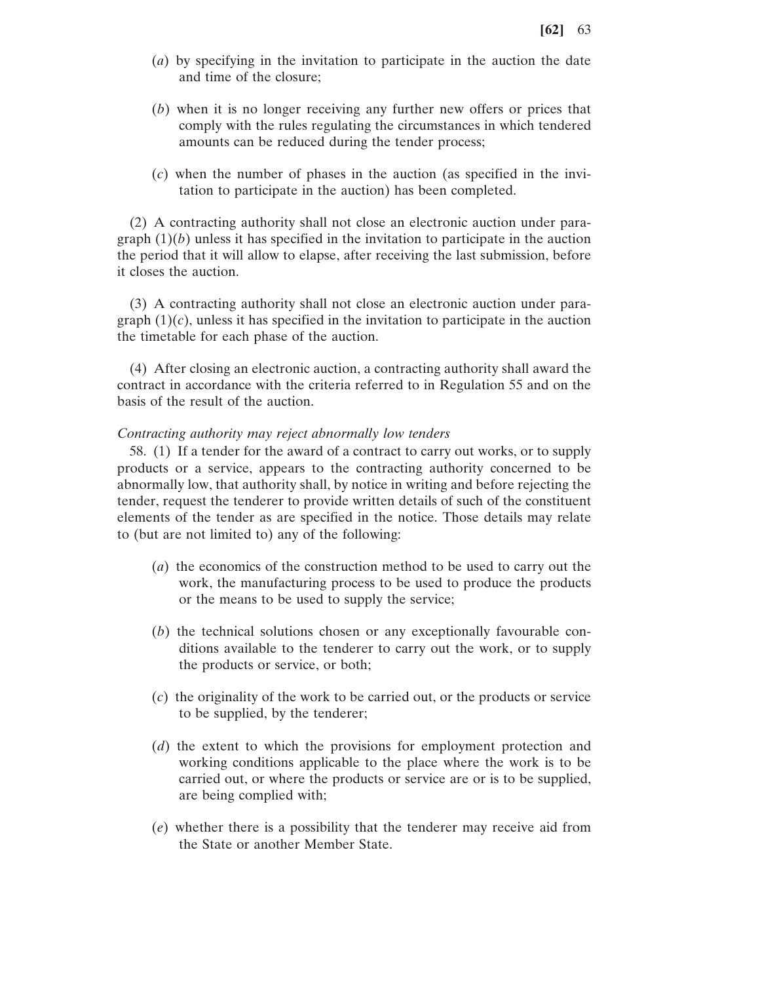- (*a*) by specifying in the invitation to participate in the auction the date and time of the closure;
- (*b*) when it is no longer receiving any further new offers or prices that comply with the rules regulating the circumstances in which tendered amounts can be reduced during the tender process;
- (*c*) when the number of phases in the auction (as specified in the invitation to participate in the auction) has been completed.

(2) A contracting authority shall not close an electronic auction under paragraph  $(1)(b)$  unless it has specified in the invitation to participate in the auction the period that it will allow to elapse, after receiving the last submission, before it closes the auction.

(3) A contracting authority shall not close an electronic auction under paragraph  $(1)(c)$ , unless it has specified in the invitation to participate in the auction the timetable for each phase of the auction.

(4) After closing an electronic auction, a contracting authority shall award the contract in accordance with the criteria referred to in Regulation 55 and on the basis of the result of the auction.

### *Contracting authority may reject abnormally low tenders*

58. (1) If a tender for the award of a contract to carry out works, or to supply products or a service, appears to the contracting authority concerned to be abnormally low, that authority shall, by notice in writing and before rejecting the tender, request the tenderer to provide written details of such of the constituent elements of the tender as are specified in the notice. Those details may relate to (but are not limited to) any of the following:

- (*a*) the economics of the construction method to be used to carry out the work, the manufacturing process to be used to produce the products or the means to be used to supply the service;
- (*b*) the technical solutions chosen or any exceptionally favourable conditions available to the tenderer to carry out the work, or to supply the products or service, or both;
- (*c*) the originality of the work to be carried out, or the products or service to be supplied, by the tenderer;
- (*d*) the extent to which the provisions for employment protection and working conditions applicable to the place where the work is to be carried out, or where the products or service are or is to be supplied, are being complied with;
- (*e*) whether there is a possibility that the tenderer may receive aid from the State or another Member State.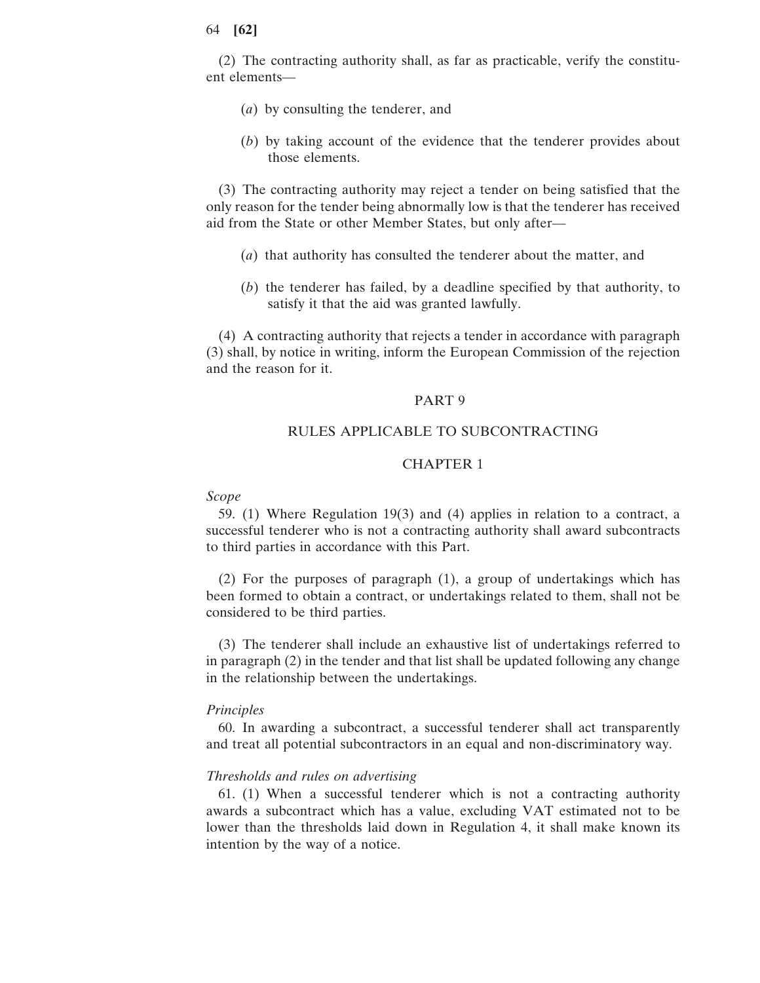(2) The contracting authority shall, as far as practicable, verify the constituent elements—

- (*a*) by consulting the tenderer, and
- (*b*) by taking account of the evidence that the tenderer provides about those elements.

(3) The contracting authority may reject a tender on being satisfied that the only reason for the tender being abnormally low is that the tenderer has received aid from the State or other Member States, but only after—

- (*a*) that authority has consulted the tenderer about the matter, and
- (*b*) the tenderer has failed, by a deadline specified by that authority, to satisfy it that the aid was granted lawfully.

(4) A contracting authority that rejects a tender in accordance with paragraph (3) shall, by notice in writing, inform the European Commission of the rejection and the reason for it.

### PART 9

# RULES APPLICABLE TO SUBCONTRACTING

# CHAPTER 1

#### *Scope*

59. (1) Where Regulation 19(3) and (4) applies in relation to a contract, a successful tenderer who is not a contracting authority shall award subcontracts to third parties in accordance with this Part.

(2) For the purposes of paragraph (1), a group of undertakings which has been formed to obtain a contract, or undertakings related to them, shall not be considered to be third parties.

(3) The tenderer shall include an exhaustive list of undertakings referred to in paragraph (2) in the tender and that list shall be updated following any change in the relationship between the undertakings.

## *Principles*

60. In awarding a subcontract, a successful tenderer shall act transparently and treat all potential subcontractors in an equal and non-discriminatory way.

### *Thresholds and rules on advertising*

61. (1) When a successful tenderer which is not a contracting authority awards a subcontract which has a value, excluding VAT estimated not to be lower than the thresholds laid down in Regulation 4, it shall make known its intention by the way of a notice.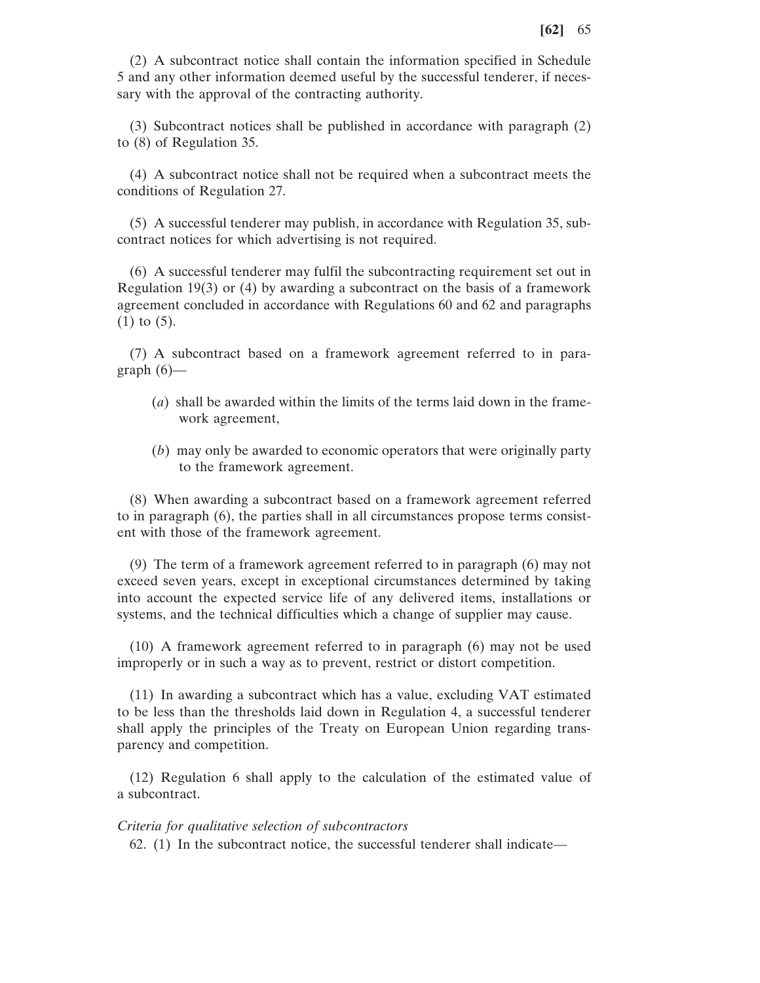(2) A subcontract notice shall contain the information specified in Schedule 5 and any other information deemed useful by the successful tenderer, if necessary with the approval of the contracting authority.

(3) Subcontract notices shall be published in accordance with paragraph (2) to (8) of Regulation 35.

(4) A subcontract notice shall not be required when a subcontract meets the conditions of Regulation 27.

(5) A successful tenderer may publish, in accordance with Regulation 35, subcontract notices for which advertising is not required.

(6) A successful tenderer may fulfil the subcontracting requirement set out in Regulation 19(3) or (4) by awarding a subcontract on the basis of a framework agreement concluded in accordance with Regulations 60 and 62 and paragraphs (1) to (5).

(7) A subcontract based on a framework agreement referred to in paragraph  $(6)$ —

- (*a*) shall be awarded within the limits of the terms laid down in the framework agreement,
- (*b*) may only be awarded to economic operators that were originally party to the framework agreement.

(8) When awarding a subcontract based on a framework agreement referred to in paragraph (6), the parties shall in all circumstances propose terms consistent with those of the framework agreement.

(9) The term of a framework agreement referred to in paragraph (6) may not exceed seven years, except in exceptional circumstances determined by taking into account the expected service life of any delivered items, installations or systems, and the technical difficulties which a change of supplier may cause.

(10) A framework agreement referred to in paragraph (6) may not be used improperly or in such a way as to prevent, restrict or distort competition.

(11) In awarding a subcontract which has a value, excluding VAT estimated to be less than the thresholds laid down in Regulation 4, a successful tenderer shall apply the principles of the Treaty on European Union regarding transparency and competition.

(12) Regulation 6 shall apply to the calculation of the estimated value of a subcontract.

#### *Criteria for qualitative selection of subcontractors*

62. (1) In the subcontract notice, the successful tenderer shall indicate—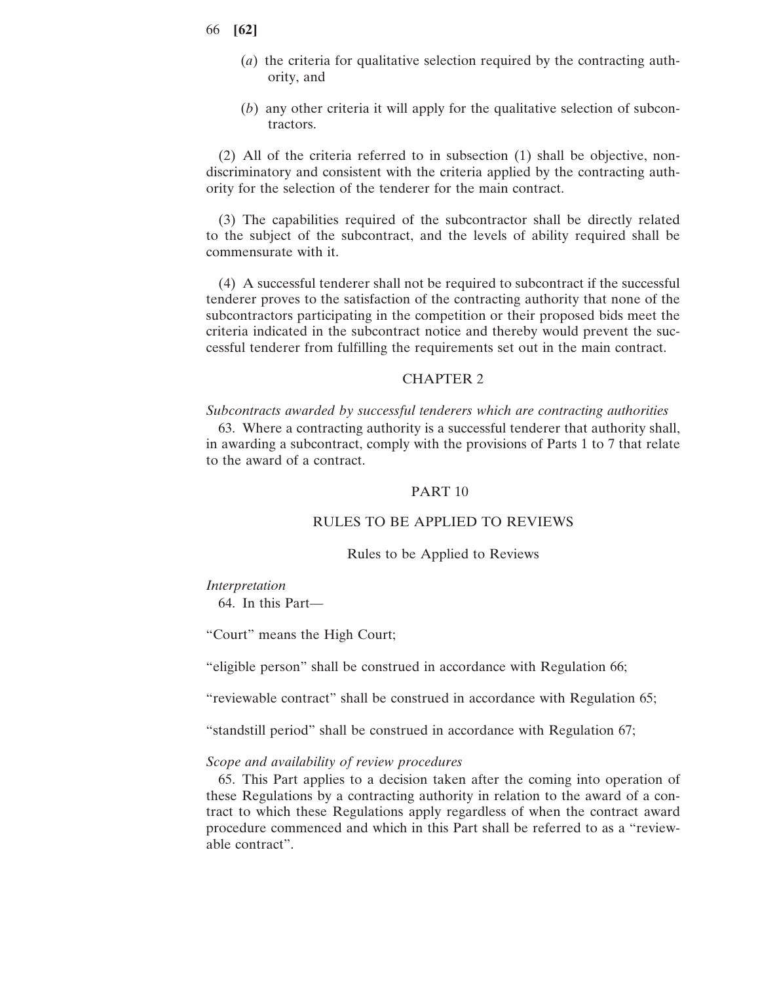- 66 **[62]**
	- (*a*) the criteria for qualitative selection required by the contracting authority, and
	- (*b*) any other criteria it will apply for the qualitative selection of subcontractors.

(2) All of the criteria referred to in subsection (1) shall be objective, nondiscriminatory and consistent with the criteria applied by the contracting authority for the selection of the tenderer for the main contract.

(3) The capabilities required of the subcontractor shall be directly related to the subject of the subcontract, and the levels of ability required shall be commensurate with it.

(4) A successful tenderer shall not be required to subcontract if the successful tenderer proves to the satisfaction of the contracting authority that none of the subcontractors participating in the competition or their proposed bids meet the criteria indicated in the subcontract notice and thereby would prevent the successful tenderer from fulfilling the requirements set out in the main contract.

# CHAPTER 2

*Subcontracts awarded by successful tenderers which are contracting authorities*

63. Where a contracting authority is a successful tenderer that authority shall, in awarding a subcontract, comply with the provisions of Parts 1 to 7 that relate to the award of a contract.

# PART 10

## RULES TO BE APPLIED TO REVIEWS

Rules to be Applied to Reviews

#### *Interpretation*

64. In this Part—

"Court" means the High Court;

"eligible person" shall be construed in accordance with Regulation 66;

"reviewable contract" shall be construed in accordance with Regulation 65;

"standstill period" shall be construed in accordance with Regulation 67;

#### *Scope and availability of review procedures*

65. This Part applies to a decision taken after the coming into operation of these Regulations by a contracting authority in relation to the award of a contract to which these Regulations apply regardless of when the contract award procedure commenced and which in this Part shall be referred to as a "reviewable contract".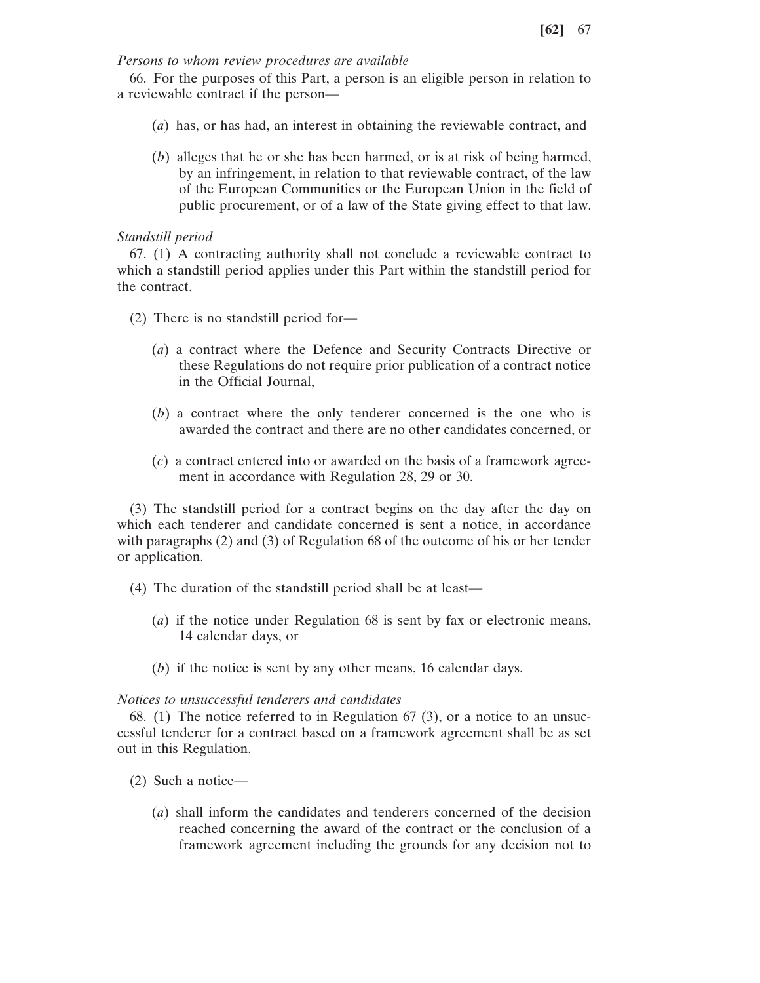# *Persons to whom review procedures are available*

66. For the purposes of this Part, a person is an eligible person in relation to a reviewable contract if the person—

- (*a*) has, or has had, an interest in obtaining the reviewable contract, and
- (*b*) alleges that he or she has been harmed, or is at risk of being harmed, by an infringement, in relation to that reviewable contract, of the law of the European Communities or the European Union in the field of public procurement, or of a law of the State giving effect to that law.

# *Standstill period*

67. (1) A contracting authority shall not conclude a reviewable contract to which a standstill period applies under this Part within the standstill period for the contract.

- (2) There is no standstill period for—
	- (*a*) a contract where the Defence and Security Contracts Directive or these Regulations do not require prior publication of a contract notice in the Official Journal,
	- (*b*) a contract where the only tenderer concerned is the one who is awarded the contract and there are no other candidates concerned, or
	- (*c*) a contract entered into or awarded on the basis of a framework agreement in accordance with Regulation 28, 29 or 30.

(3) The standstill period for a contract begins on the day after the day on which each tenderer and candidate concerned is sent a notice, in accordance with paragraphs (2) and (3) of Regulation 68 of the outcome of his or her tender or application.

- (4) The duration of the standstill period shall be at least—
	- (*a*) if the notice under Regulation 68 is sent by fax or electronic means, 14 calendar days, or
	- (*b*) if the notice is sent by any other means, 16 calendar days.

# *Notices to unsuccessful tenderers and candidates*

68. (1) The notice referred to in Regulation 67 (3), or a notice to an unsuccessful tenderer for a contract based on a framework agreement shall be as set out in this Regulation.

- (2) Such a notice—
	- (*a*) shall inform the candidates and tenderers concerned of the decision reached concerning the award of the contract or the conclusion of a framework agreement including the grounds for any decision not to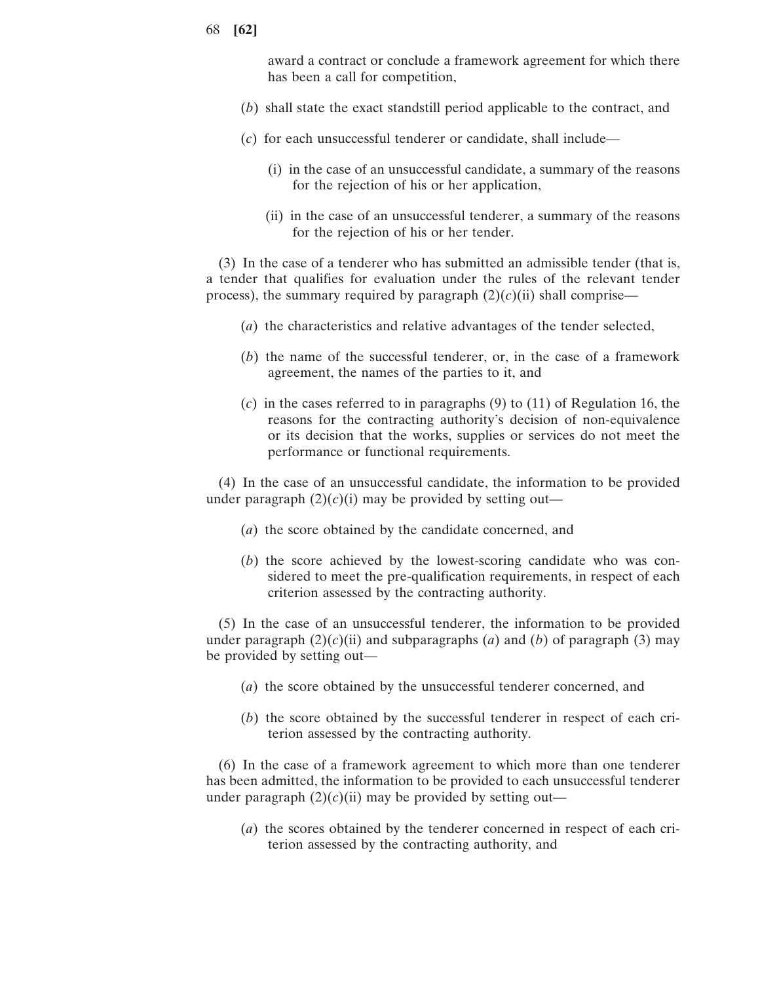award a contract or conclude a framework agreement for which there has been a call for competition,

- (*b*) shall state the exact standstill period applicable to the contract, and
- (*c*) for each unsuccessful tenderer or candidate, shall include—
	- (i) in the case of an unsuccessful candidate, a summary of the reasons for the rejection of his or her application,
	- (ii) in the case of an unsuccessful tenderer, a summary of the reasons for the rejection of his or her tender.

(3) In the case of a tenderer who has submitted an admissible tender (that is, a tender that qualifies for evaluation under the rules of the relevant tender process), the summary required by paragraph  $(2)(c)(ii)$  shall comprise—

- (*a*) the characteristics and relative advantages of the tender selected,
- (*b*) the name of the successful tenderer, or, in the case of a framework agreement, the names of the parties to it, and
- (*c*) in the cases referred to in paragraphs (9) to (11) of Regulation 16, the reasons for the contracting authority's decision of non-equivalence or its decision that the works, supplies or services do not meet the performance or functional requirements.

(4) In the case of an unsuccessful candidate, the information to be provided under paragraph  $(2)(c)(i)$  may be provided by setting out—

- (*a*) the score obtained by the candidate concerned, and
- (*b*) the score achieved by the lowest-scoring candidate who was considered to meet the pre-qualification requirements, in respect of each criterion assessed by the contracting authority.

(5) In the case of an unsuccessful tenderer, the information to be provided under paragraph  $(2)(c)(ii)$  and subparagraphs (*a*) and (*b*) of paragraph (3) may be provided by setting out—

- (*a*) the score obtained by the unsuccessful tenderer concerned, and
- (*b*) the score obtained by the successful tenderer in respect of each criterion assessed by the contracting authority.

(6) In the case of a framework agreement to which more than one tenderer has been admitted, the information to be provided to each unsuccessful tenderer under paragraph  $(2)(c)(ii)$  may be provided by setting out—

(*a*) the scores obtained by the tenderer concerned in respect of each criterion assessed by the contracting authority, and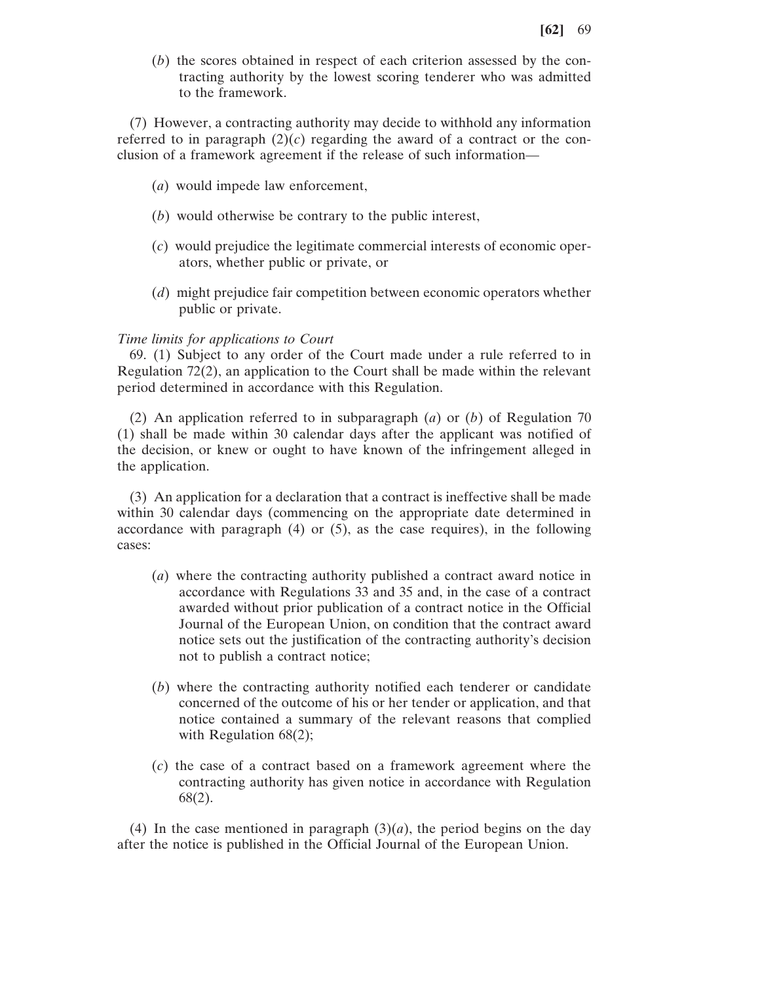(*b*) the scores obtained in respect of each criterion assessed by the contracting authority by the lowest scoring tenderer who was admitted to the framework.

(7) However, a contracting authority may decide to withhold any information referred to in paragraph  $(2)(c)$  regarding the award of a contract or the conclusion of a framework agreement if the release of such information—

- (*a*) would impede law enforcement,
- (*b*) would otherwise be contrary to the public interest,
- (*c*) would prejudice the legitimate commercial interests of economic operators, whether public or private, or
- (*d*) might prejudice fair competition between economic operators whether public or private.

#### *Time limits for applications to Court*

69. (1) Subject to any order of the Court made under a rule referred to in Regulation 72(2), an application to the Court shall be made within the relevant period determined in accordance with this Regulation.

(2) An application referred to in subparagraph (*a*) or (*b*) of Regulation 70 (1) shall be made within 30 calendar days after the applicant was notified of the decision, or knew or ought to have known of the infringement alleged in the application.

(3) An application for a declaration that a contract is ineffective shall be made within 30 calendar days (commencing on the appropriate date determined in accordance with paragraph (4) or (5), as the case requires), in the following cases:

- (*a*) where the contracting authority published a contract award notice in accordance with Regulations 33 and 35 and, in the case of a contract awarded without prior publication of a contract notice in the Official Journal of the European Union, on condition that the contract award notice sets out the justification of the contracting authority's decision not to publish a contract notice;
- (*b*) where the contracting authority notified each tenderer or candidate concerned of the outcome of his or her tender or application, and that notice contained a summary of the relevant reasons that complied with Regulation  $68(2)$ ;
- (*c*) the case of a contract based on a framework agreement where the contracting authority has given notice in accordance with Regulation 68(2).

(4) In the case mentioned in paragraph  $(3)(a)$ , the period begins on the day after the notice is published in the Official Journal of the European Union.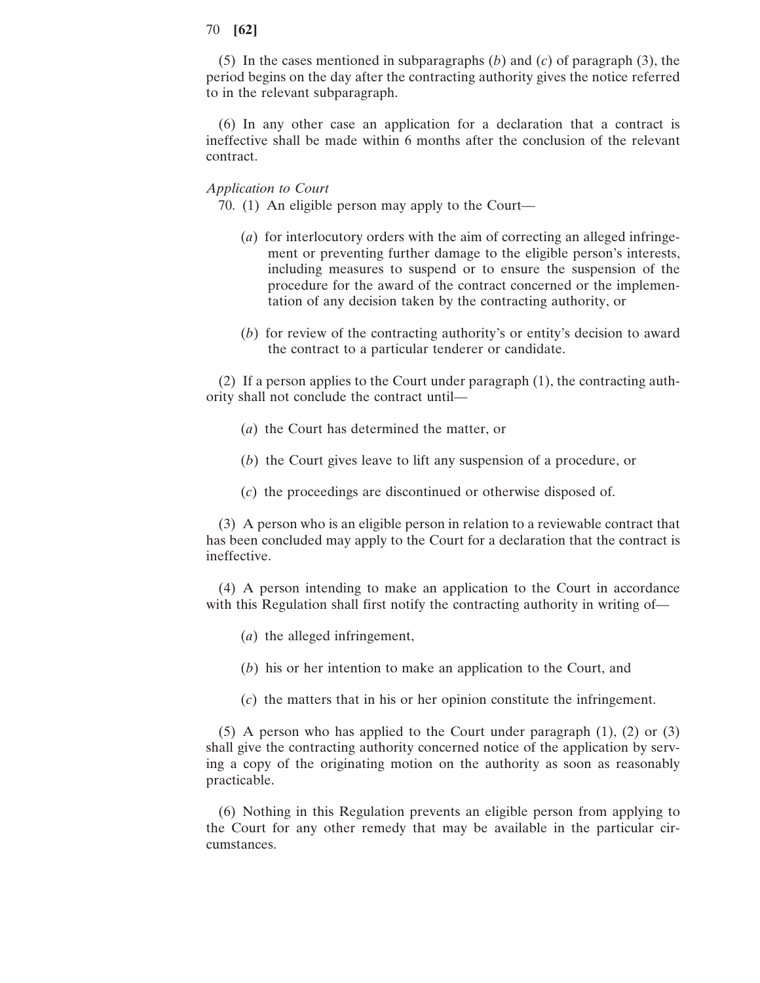(5) In the cases mentioned in subparagraphs (*b*) and (*c*) of paragraph (3), the period begins on the day after the contracting authority gives the notice referred to in the relevant subparagraph.

(6) In any other case an application for a declaration that a contract is ineffective shall be made within 6 months after the conclusion of the relevant contract.

### *Application to Court*

70. (1) An eligible person may apply to the Court—

- (*a*) for interlocutory orders with the aim of correcting an alleged infringement or preventing further damage to the eligible person's interests, including measures to suspend or to ensure the suspension of the procedure for the award of the contract concerned or the implementation of any decision taken by the contracting authority, or
- (*b*) for review of the contracting authority's or entity's decision to award the contract to a particular tenderer or candidate.

(2) If a person applies to the Court under paragraph (1), the contracting authority shall not conclude the contract until—

- (*a*) the Court has determined the matter, or
- (*b*) the Court gives leave to lift any suspension of a procedure, or
- (*c*) the proceedings are discontinued or otherwise disposed of.

(3) A person who is an eligible person in relation to a reviewable contract that has been concluded may apply to the Court for a declaration that the contract is ineffective.

(4) A person intending to make an application to the Court in accordance with this Regulation shall first notify the contracting authority in writing of—

- (*a*) the alleged infringement,
- (*b*) his or her intention to make an application to the Court, and
- (*c*) the matters that in his or her opinion constitute the infringement.

(5) A person who has applied to the Court under paragraph (1), (2) or (3) shall give the contracting authority concerned notice of the application by serving a copy of the originating motion on the authority as soon as reasonably practicable.

(6) Nothing in this Regulation prevents an eligible person from applying to the Court for any other remedy that may be available in the particular circumstances.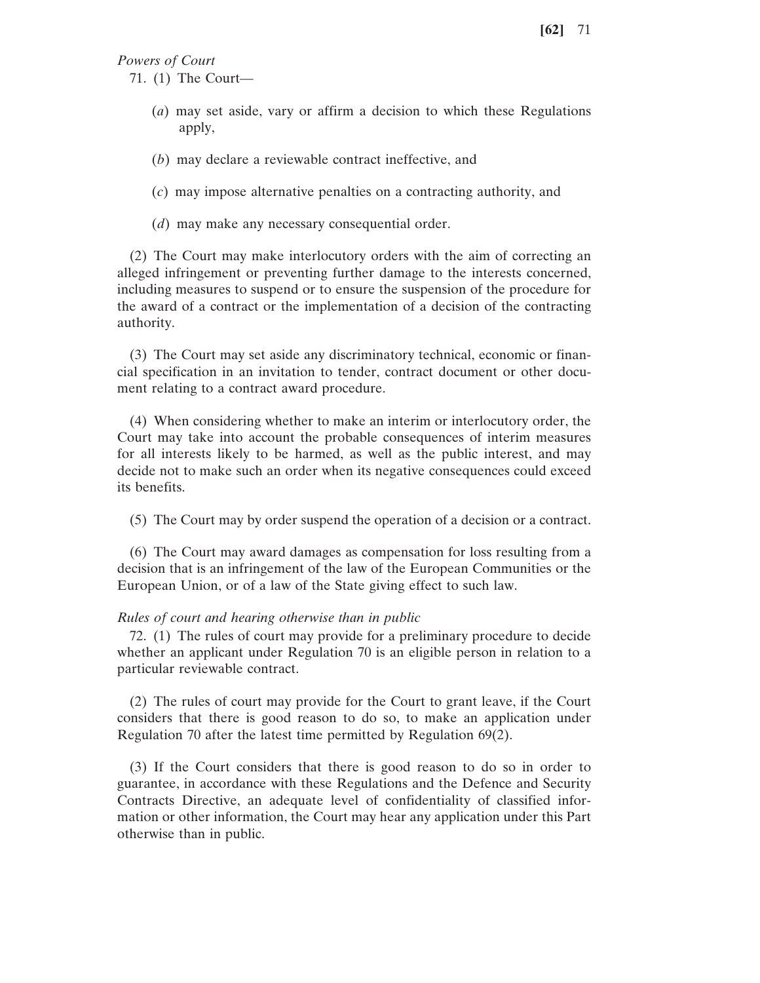*Powers of Court*

71. (1) The Court—

- (*a*) may set aside, vary or affirm a decision to which these Regulations apply,
- (*b*) may declare a reviewable contract ineffective, and
- (*c*) may impose alternative penalties on a contracting authority, and
- (*d*) may make any necessary consequential order.

(2) The Court may make interlocutory orders with the aim of correcting an alleged infringement or preventing further damage to the interests concerned, including measures to suspend or to ensure the suspension of the procedure for the award of a contract or the implementation of a decision of the contracting authority.

(3) The Court may set aside any discriminatory technical, economic or financial specification in an invitation to tender, contract document or other document relating to a contract award procedure.

(4) When considering whether to make an interim or interlocutory order, the Court may take into account the probable consequences of interim measures for all interests likely to be harmed, as well as the public interest, and may decide not to make such an order when its negative consequences could exceed its benefits.

(5) The Court may by order suspend the operation of a decision or a contract.

(6) The Court may award damages as compensation for loss resulting from a decision that is an infringement of the law of the European Communities or the European Union, or of a law of the State giving effect to such law.

#### *Rules of court and hearing otherwise than in public*

72. (1) The rules of court may provide for a preliminary procedure to decide whether an applicant under Regulation 70 is an eligible person in relation to a particular reviewable contract.

(2) The rules of court may provide for the Court to grant leave, if the Court considers that there is good reason to do so, to make an application under Regulation 70 after the latest time permitted by Regulation 69(2).

(3) If the Court considers that there is good reason to do so in order to guarantee, in accordance with these Regulations and the Defence and Security Contracts Directive, an adequate level of confidentiality of classified information or other information, the Court may hear any application under this Part otherwise than in public.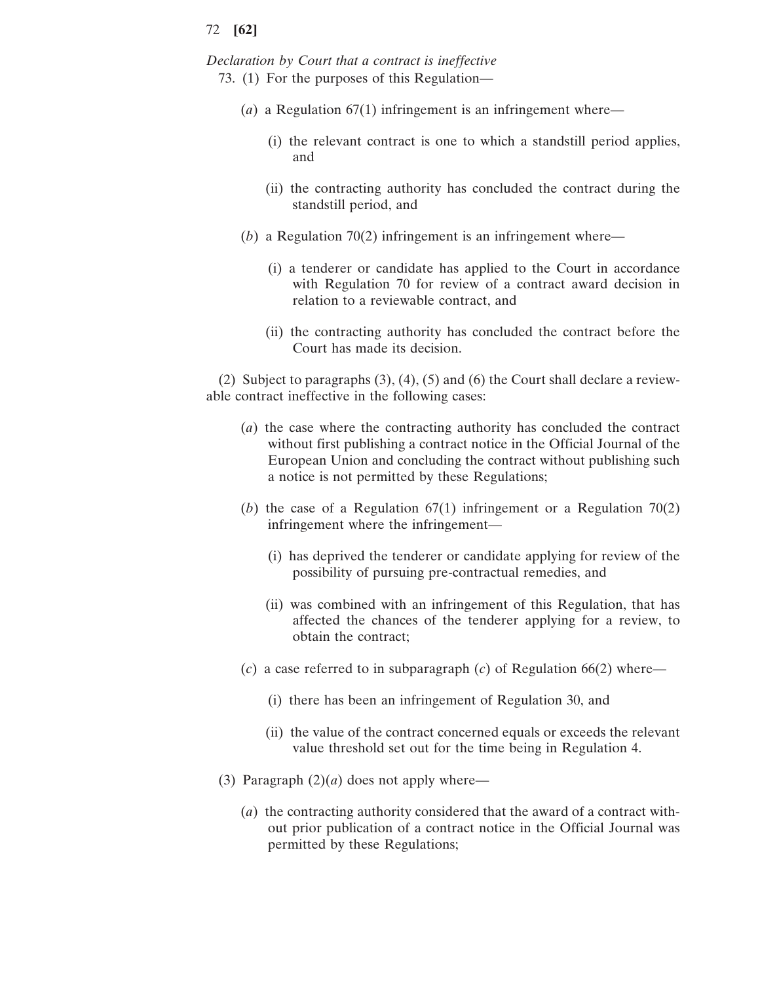*Declaration by Court that a contract is ineffective*

- 73. (1) For the purposes of this Regulation—
	- (*a*) a Regulation 67(1) infringement is an infringement where—
		- (i) the relevant contract is one to which a standstill period applies, and
		- (ii) the contracting authority has concluded the contract during the standstill period, and
	- (*b*) a Regulation 70(2) infringement is an infringement where—
		- (i) a tenderer or candidate has applied to the Court in accordance with Regulation 70 for review of a contract award decision in relation to a reviewable contract, and
		- (ii) the contracting authority has concluded the contract before the Court has made its decision.

(2) Subject to paragraphs (3), (4), (5) and (6) the Court shall declare a reviewable contract ineffective in the following cases:

- (*a*) the case where the contracting authority has concluded the contract without first publishing a contract notice in the Official Journal of the European Union and concluding the contract without publishing such a notice is not permitted by these Regulations;
- (*b*) the case of a Regulation 67(1) infringement or a Regulation 70(2) infringement where the infringement—
	- (i) has deprived the tenderer or candidate applying for review of the possibility of pursuing pre-contractual remedies, and
	- (ii) was combined with an infringement of this Regulation, that has affected the chances of the tenderer applying for a review, to obtain the contract;
- (*c*) a case referred to in subparagraph (*c*) of Regulation 66(2) where—
	- (i) there has been an infringement of Regulation 30, and
	- (ii) the value of the contract concerned equals or exceeds the relevant value threshold set out for the time being in Regulation 4.
- (3) Paragraph  $(2)(a)$  does not apply where—
	- (*a*) the contracting authority considered that the award of a contract without prior publication of a contract notice in the Official Journal was permitted by these Regulations;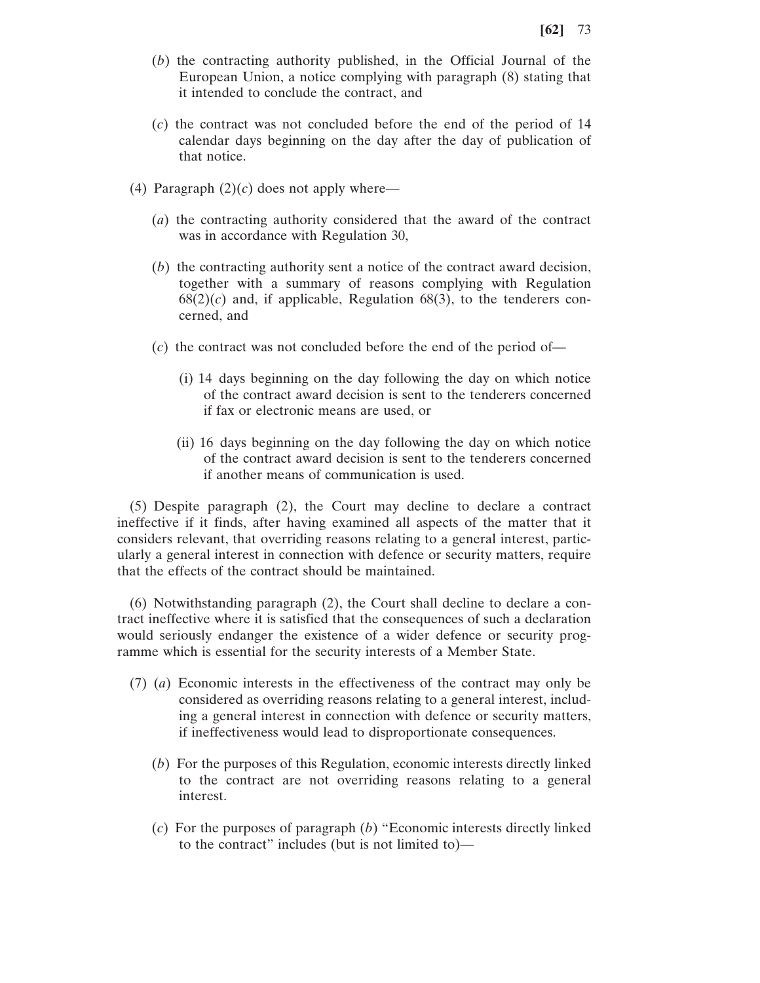- (*b*) the contracting authority published, in the Official Journal of the European Union, a notice complying with paragraph (8) stating that it intended to conclude the contract, and
- (*c*) the contract was not concluded before the end of the period of 14 calendar days beginning on the day after the day of publication of that notice.
- (4) Paragraph  $(2)(c)$  does not apply where—
	- (*a*) the contracting authority considered that the award of the contract was in accordance with Regulation 30,
	- (*b*) the contracting authority sent a notice of the contract award decision, together with a summary of reasons complying with Regulation  $68(2)(c)$  and, if applicable, Regulation  $68(3)$ , to the tenderers concerned, and
	- (*c*) the contract was not concluded before the end of the period of—
		- (i) 14 days beginning on the day following the day on which notice of the contract award decision is sent to the tenderers concerned if fax or electronic means are used, or
		- (ii) 16 days beginning on the day following the day on which notice of the contract award decision is sent to the tenderers concerned if another means of communication is used.

(5) Despite paragraph (2), the Court may decline to declare a contract ineffective if it finds, after having examined all aspects of the matter that it considers relevant, that overriding reasons relating to a general interest, particularly a general interest in connection with defence or security matters, require that the effects of the contract should be maintained.

(6) Notwithstanding paragraph (2), the Court shall decline to declare a contract ineffective where it is satisfied that the consequences of such a declaration would seriously endanger the existence of a wider defence or security programme which is essential for the security interests of a Member State.

- (7) (*a*) Economic interests in the effectiveness of the contract may only be considered as overriding reasons relating to a general interest, including a general interest in connection with defence or security matters, if ineffectiveness would lead to disproportionate consequences.
	- (*b*) For the purposes of this Regulation, economic interests directly linked to the contract are not overriding reasons relating to a general interest.
	- (*c*) For the purposes of paragraph (*b*) "Economic interests directly linked to the contract" includes (but is not limited to)—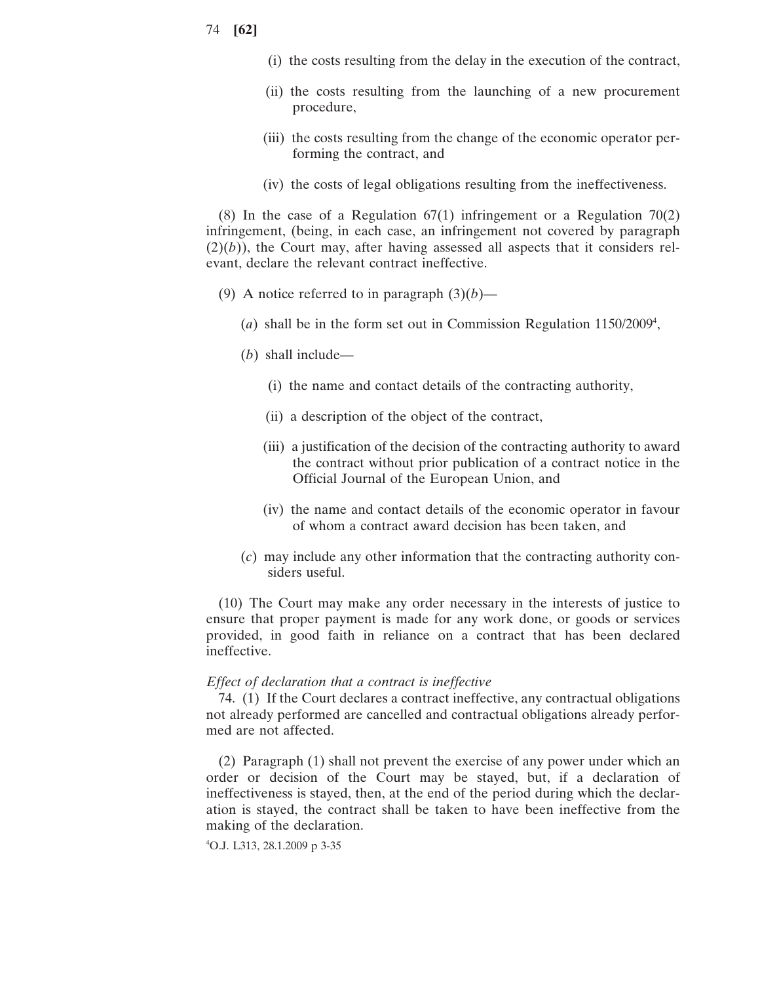- 74 **[62]**
- (i) the costs resulting from the delay in the execution of the contract,
- (ii) the costs resulting from the launching of a new procurement procedure,
- (iii) the costs resulting from the change of the economic operator performing the contract, and
- (iv) the costs of legal obligations resulting from the ineffectiveness.

(8) In the case of a Regulation 67(1) infringement or a Regulation 70(2) infringement, (being, in each case, an infringement not covered by paragraph  $(2)(b)$ ), the Court may, after having assessed all aspects that it considers relevant, declare the relevant contract ineffective.

- (9) A notice referred to in paragraph  $(3)(b)$ 
	- (*a*) shall be in the form set out in Commission Regulation  $1150/2009^4$ ,
	- (*b*) shall include—
		- (i) the name and contact details of the contracting authority,
		- (ii) a description of the object of the contract,
		- (iii) a justification of the decision of the contracting authority to award the contract without prior publication of a contract notice in the Official Journal of the European Union, and
		- (iv) the name and contact details of the economic operator in favour of whom a contract award decision has been taken, and
	- (*c*) may include any other information that the contracting authority considers useful.

(10) The Court may make any order necessary in the interests of justice to ensure that proper payment is made for any work done, or goods or services provided, in good faith in reliance on a contract that has been declared ineffective.

## *Effect of declaration that a contract is ineffective*

74. (1) If the Court declares a contract ineffective, any contractual obligations not already performed are cancelled and contractual obligations already performed are not affected.

(2) Paragraph (1) shall not prevent the exercise of any power under which an order or decision of the Court may be stayed, but, if a declaration of ineffectiveness is stayed, then, at the end of the period during which the declaration is stayed, the contract shall be taken to have been ineffective from the making of the declaration.

4 O.J. L313, 28.1.2009 p 3-35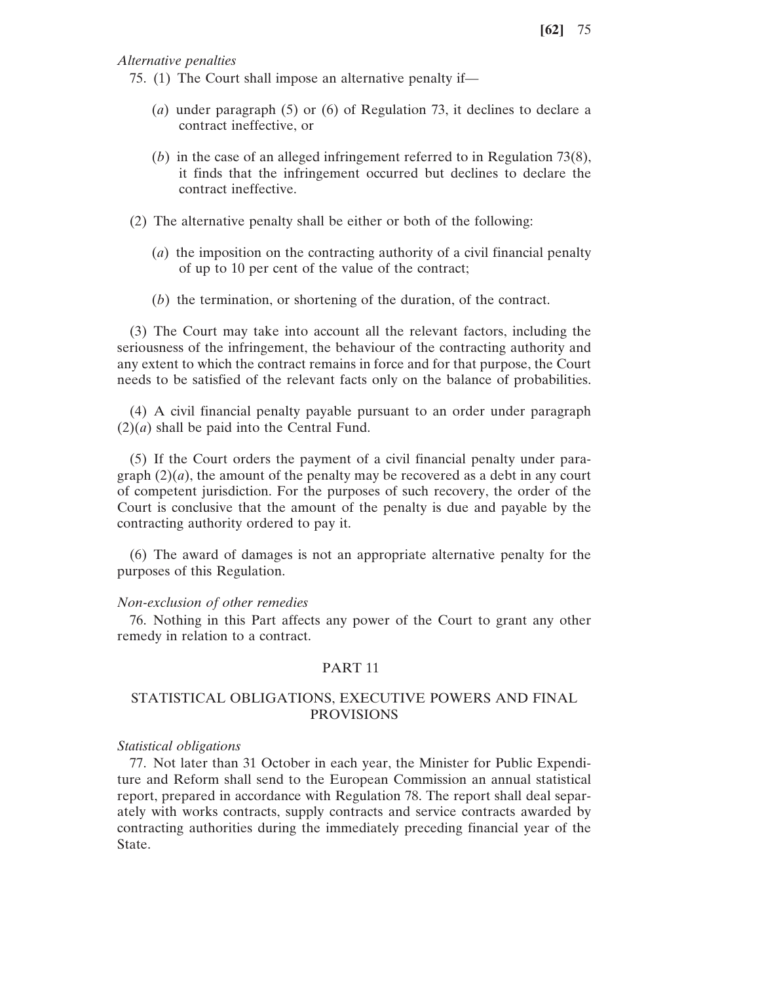*Alternative penalties*

- 75. (1) The Court shall impose an alternative penalty if—
	- (*a*) under paragraph (5) or (6) of Regulation 73, it declines to declare a contract ineffective, or
	- (*b*) in the case of an alleged infringement referred to in Regulation 73(8), it finds that the infringement occurred but declines to declare the contract ineffective.
- (2) The alternative penalty shall be either or both of the following:
	- (*a*) the imposition on the contracting authority of a civil financial penalty of up to 10 per cent of the value of the contract;
	- (*b*) the termination, or shortening of the duration, of the contract.

(3) The Court may take into account all the relevant factors, including the seriousness of the infringement, the behaviour of the contracting authority and any extent to which the contract remains in force and for that purpose, the Court needs to be satisfied of the relevant facts only on the balance of probabilities.

(4) A civil financial penalty payable pursuant to an order under paragraph  $(2)(a)$  shall be paid into the Central Fund.

(5) If the Court orders the payment of a civil financial penalty under paragraph  $(2)(a)$ , the amount of the penalty may be recovered as a debt in any court of competent jurisdiction. For the purposes of such recovery, the order of the Court is conclusive that the amount of the penalty is due and payable by the contracting authority ordered to pay it.

(6) The award of damages is not an appropriate alternative penalty for the purposes of this Regulation.

#### *Non-exclusion of other remedies*

76. Nothing in this Part affects any power of the Court to grant any other remedy in relation to a contract.

## PART 11

## STATISTICAL OBLIGATIONS, EXECUTIVE POWERS AND FINAL PROVISIONS

#### *Statistical obligations*

77. Not later than 31 October in each year, the Minister for Public Expenditure and Reform shall send to the European Commission an annual statistical report, prepared in accordance with Regulation 78. The report shall deal separately with works contracts, supply contracts and service contracts awarded by contracting authorities during the immediately preceding financial year of the State.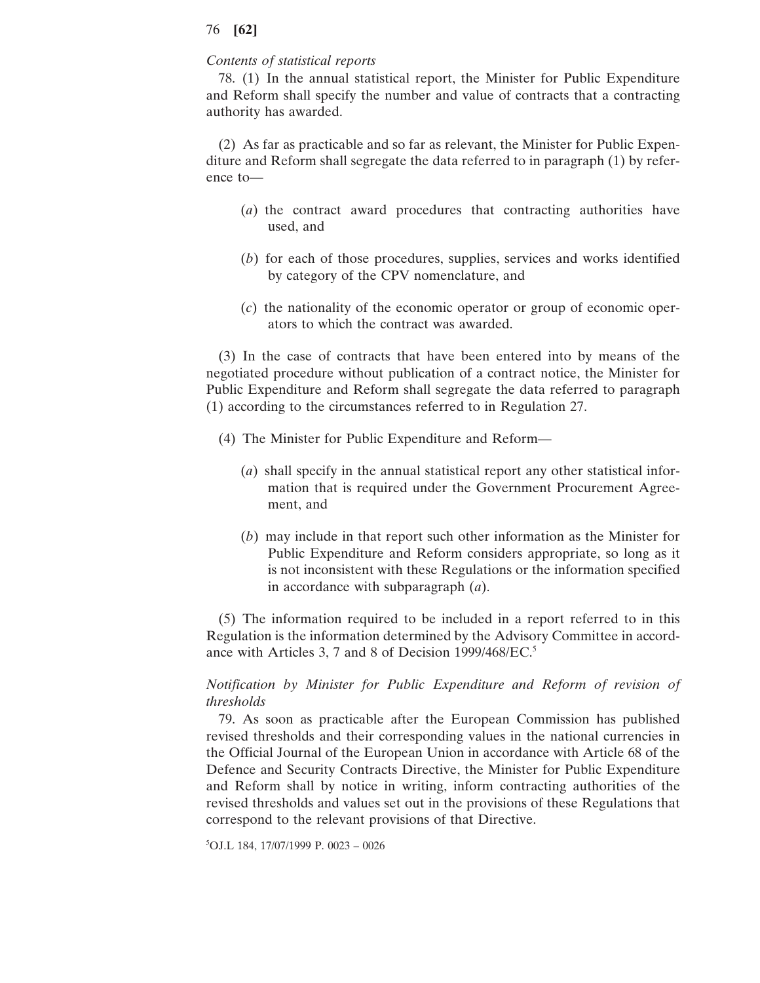## *Contents of statistical reports*

78. (1) In the annual statistical report, the Minister for Public Expenditure and Reform shall specify the number and value of contracts that a contracting authority has awarded.

(2) As far as practicable and so far as relevant, the Minister for Public Expenditure and Reform shall segregate the data referred to in paragraph (1) by reference to—

- (*a*) the contract award procedures that contracting authorities have used, and
- (*b*) for each of those procedures, supplies, services and works identified by category of the CPV nomenclature, and
- (*c*) the nationality of the economic operator or group of economic operators to which the contract was awarded.

(3) In the case of contracts that have been entered into by means of the negotiated procedure without publication of a contract notice, the Minister for Public Expenditure and Reform shall segregate the data referred to paragraph (1) according to the circumstances referred to in Regulation 27.

- (4) The Minister for Public Expenditure and Reform—
	- (*a*) shall specify in the annual statistical report any other statistical information that is required under the Government Procurement Agreement, and
	- (*b*) may include in that report such other information as the Minister for Public Expenditure and Reform considers appropriate, so long as it is not inconsistent with these Regulations or the information specified in accordance with subparagraph (*a*).

(5) The information required to be included in a report referred to in this Regulation is the information determined by the Advisory Committee in accordance with Articles 3, 7 and 8 of Decision 1999/468/EC.<sup>5</sup>

# *Notification by Minister for Public Expenditure and Reform of revision of thresholds*

79. As soon as practicable after the European Commission has published revised thresholds and their corresponding values in the national currencies in the Official Journal of the European Union in accordance with Article 68 of the Defence and Security Contracts Directive, the Minister for Public Expenditure and Reform shall by notice in writing, inform contracting authorities of the revised thresholds and values set out in the provisions of these Regulations that correspond to the relevant provisions of that Directive.

5 OJ.L 184, 17/07/1999 P. 0023 – 0026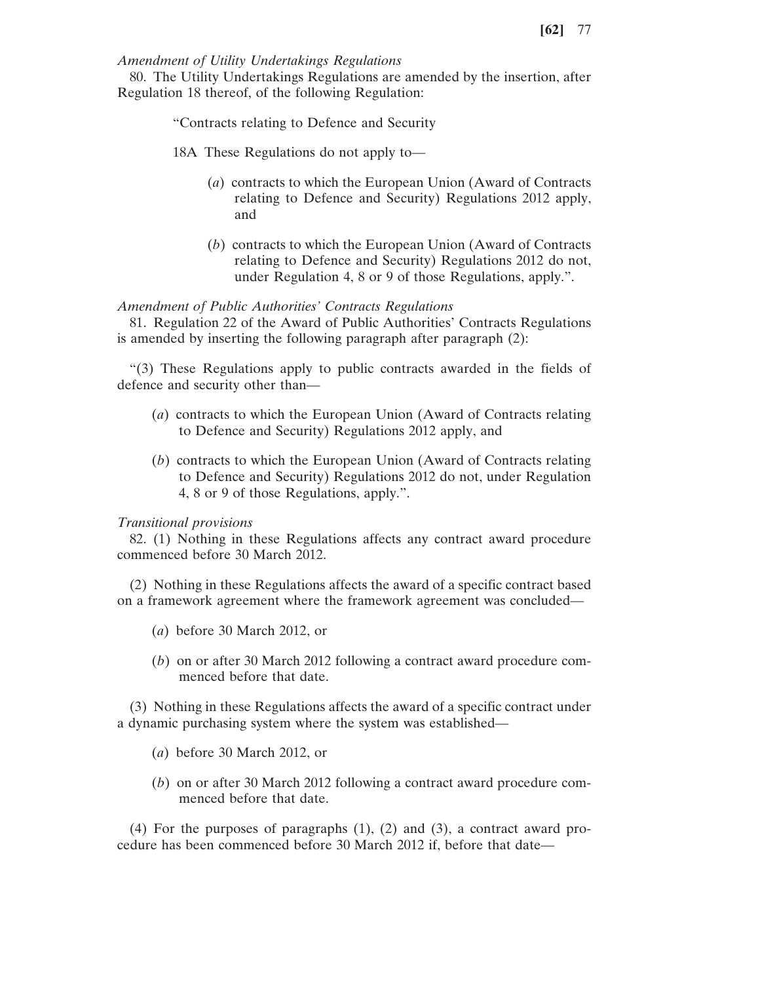## *Amendment of Utility Undertakings Regulations*

80. The Utility Undertakings Regulations are amended by the insertion, after Regulation 18 thereof, of the following Regulation:

"Contracts relating to Defence and Security

- 18A These Regulations do not apply to—
	- (*a*) contracts to which the European Union (Award of Contracts relating to Defence and Security) Regulations 2012 apply, and
	- (*b*) contracts to which the European Union (Award of Contracts relating to Defence and Security) Regulations 2012 do not, under Regulation 4, 8 or 9 of those Regulations, apply.".

## *Amendment of Public Authorities' Contracts Regulations*

81. Regulation 22 of the Award of Public Authorities' Contracts Regulations is amended by inserting the following paragraph after paragraph (2):

"(3) These Regulations apply to public contracts awarded in the fields of defence and security other than—

- (*a*) contracts to which the European Union (Award of Contracts relating to Defence and Security) Regulations 2012 apply, and
- (*b*) contracts to which the European Union (Award of Contracts relating to Defence and Security) Regulations 2012 do not, under Regulation 4, 8 or 9 of those Regulations, apply.".

#### *Transitional provisions*

82. (1) Nothing in these Regulations affects any contract award procedure commenced before 30 March 2012.

(2) Nothing in these Regulations affects the award of a specific contract based on a framework agreement where the framework agreement was concluded—

- (*a*) before 30 March 2012, or
- (*b*) on or after 30 March 2012 following a contract award procedure commenced before that date.

(3) Nothing in these Regulations affects the award of a specific contract under a dynamic purchasing system where the system was established—

- (*a*) before 30 March 2012, or
- (*b*) on or after 30 March 2012 following a contract award procedure commenced before that date.

(4) For the purposes of paragraphs (1), (2) and (3), a contract award procedure has been commenced before 30 March 2012 if, before that date—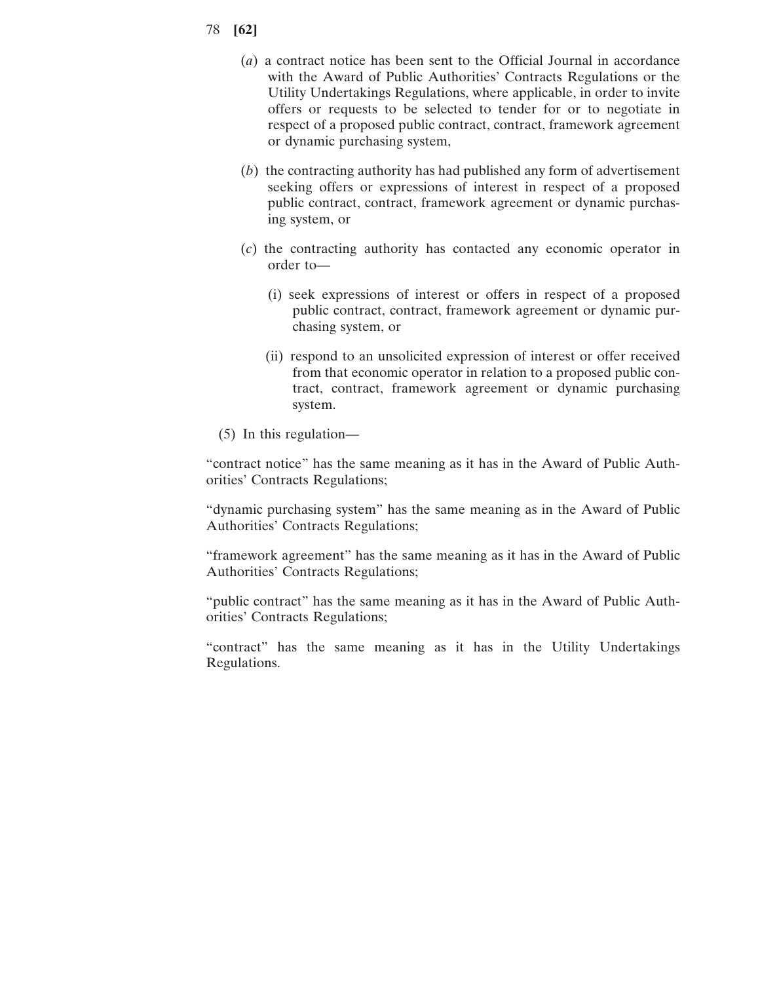- 78 **[62]**
	- (*a*) a contract notice has been sent to the Official Journal in accordance with the Award of Public Authorities' Contracts Regulations or the Utility Undertakings Regulations, where applicable, in order to invite offers or requests to be selected to tender for or to negotiate in respect of a proposed public contract, contract, framework agreement or dynamic purchasing system,
	- (*b*) the contracting authority has had published any form of advertisement seeking offers or expressions of interest in respect of a proposed public contract, contract, framework agreement or dynamic purchasing system, or
	- (*c*) the contracting authority has contacted any economic operator in order to—
		- (i) seek expressions of interest or offers in respect of a proposed public contract, contract, framework agreement or dynamic purchasing system, or
		- (ii) respond to an unsolicited expression of interest or offer received from that economic operator in relation to a proposed public contract, contract, framework agreement or dynamic purchasing system.
	- (5) In this regulation—

"contract notice" has the same meaning as it has in the Award of Public Authorities' Contracts Regulations;

"dynamic purchasing system" has the same meaning as in the Award of Public Authorities' Contracts Regulations;

"framework agreement" has the same meaning as it has in the Award of Public Authorities' Contracts Regulations;

"public contract" has the same meaning as it has in the Award of Public Authorities' Contracts Regulations;

"contract" has the same meaning as it has in the Utility Undertakings Regulations.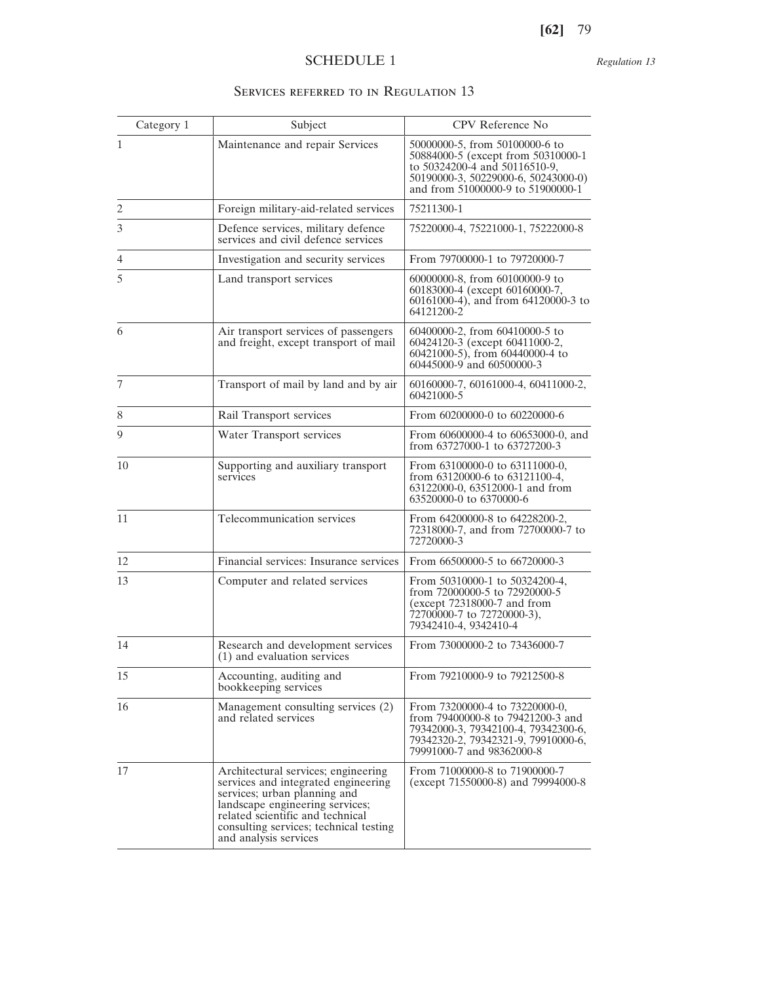*Regulation 13*

# SERVICES REFERRED TO IN REGULATION 13

| Category 1     | Subject                                                                                                                                                                                                                                              | CPV Reference No                                                                                                                                                                  |
|----------------|------------------------------------------------------------------------------------------------------------------------------------------------------------------------------------------------------------------------------------------------------|-----------------------------------------------------------------------------------------------------------------------------------------------------------------------------------|
| $\mathbf{1}$   | Maintenance and repair Services                                                                                                                                                                                                                      | 50000000-5, from 50100000-6 to<br>50884000-5 (except from 50310000-1<br>to 50324200-4 and 50116510-9,<br>50190000-3, 50229000-6, 50243000-0)<br>and from 51000000-9 to 51900000-1 |
| $\overline{c}$ | Foreign military-aid-related services                                                                                                                                                                                                                | 75211300-1                                                                                                                                                                        |
| 3              | Defence services, military defence<br>services and civil defence services                                                                                                                                                                            | 75220000-4, 75221000-1, 75222000-8                                                                                                                                                |
| 4              | Investigation and security services                                                                                                                                                                                                                  | From 79700000-1 to 79720000-7                                                                                                                                                     |
| 5              | Land transport services                                                                                                                                                                                                                              | 60000000-8, from 60100000-9 to<br>60183000-4 (except 60160000-7,<br>60161000-4), and from 64120000-3 to<br>64121200-2                                                             |
| 6              | Air transport services of passengers<br>and freight, except transport of mail                                                                                                                                                                        | 60400000-2, from 60410000-5 to<br>60424120-3 (except 60411000-2,<br>60421000-5), from 60440000-4 to<br>60445000-9 and 60500000-3                                                  |
| 7              | Transport of mail by land and by air                                                                                                                                                                                                                 | 60160000-7, 60161000-4, 60411000-2,<br>60421000-5                                                                                                                                 |
| 8              | Rail Transport services                                                                                                                                                                                                                              | From 60200000-0 to 60220000-6                                                                                                                                                     |
| 9              | Water Transport services                                                                                                                                                                                                                             | From 60600000-4 to 60653000-0, and<br>from 63727000-1 to 63727200-3                                                                                                               |
| 10             | Supporting and auxiliary transport<br>services                                                                                                                                                                                                       | From 63100000-0 to 63111000-0,<br>from 63120000-6 to 63121100-4,<br>63122000-0, 63512000-1 and from<br>63520000-0 to 6370000-6                                                    |
| 11             | Telecommunication services                                                                                                                                                                                                                           | From 64200000-8 to 64228200-2,<br>72318000-7, and from 72700000-7 to<br>72720000-3                                                                                                |
| 12             | Financial services: Insurance services                                                                                                                                                                                                               | From 66500000-5 to 66720000-3                                                                                                                                                     |
| 13             | Computer and related services                                                                                                                                                                                                                        | From 50310000-1 to 50324200-4,<br>from 72000000-5 to 72920000-5<br>$(except 72318000-7 and from$<br>72700000-7 to 72720000-3),<br>79342410-4, 9342410-4                           |
| 14             | Research and development services<br>(1) and evaluation services                                                                                                                                                                                     | From 73000000-2 to 73436000-7                                                                                                                                                     |
| 15             | Accounting, auditing and<br>bookkeeping services                                                                                                                                                                                                     | From 79210000-9 to 79212500-8                                                                                                                                                     |
| 16             | Management consulting services (2)<br>and related services                                                                                                                                                                                           | From 73200000-4 to 73220000-0,<br>from 79400000-8 to 79421200-3 and<br>79342000-3, 79342100-4, 79342300-6,<br>79342320-2, 79342321-9, 79910000-6,<br>79991000-7 and 98362000-8    |
| 17             | Architectural services; engineering<br>services and integrated engineering<br>services; urban planning and<br>landscape engineering services;<br>related scientific and technical<br>consulting services; technical testing<br>and analysis services | From 71000000-8 to 71900000-7<br>(except 71550000-8) and 79994000-8                                                                                                               |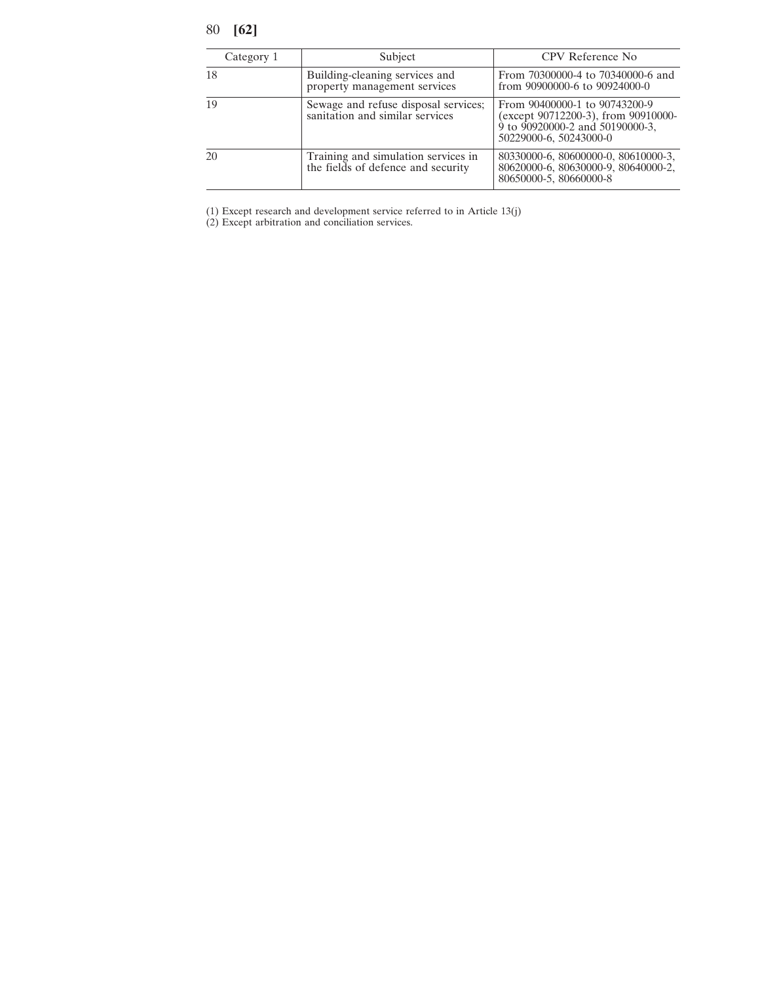| Category 1 | Subject                                                                   | CPV Reference No.                                                                                                                 |
|------------|---------------------------------------------------------------------------|-----------------------------------------------------------------------------------------------------------------------------------|
| 18         | Building-cleaning services and<br>property management services            | From 70300000-4 to 70340000-6 and<br>from 90900000-6 to 90924000-0                                                                |
| 19         | Sewage and refuse disposal services;<br>sanitation and similar services   | From 90400000-1 to 90743200-9<br>(except 90712200-3), from 90910000-<br>9 to 90920000-2 and 50190000-3,<br>50229000-6, 50243000-0 |
| 20         | Training and simulation services in<br>the fields of defence and security | 80330000-6, 80600000-0, 80610000-3,<br>80620000-6, 80630000-9, 80640000-2,<br>80650000-5, 80660000-8                              |

(1) Except research and development service referred to in Article 13(j)

(2) Except arbitration and conciliation services.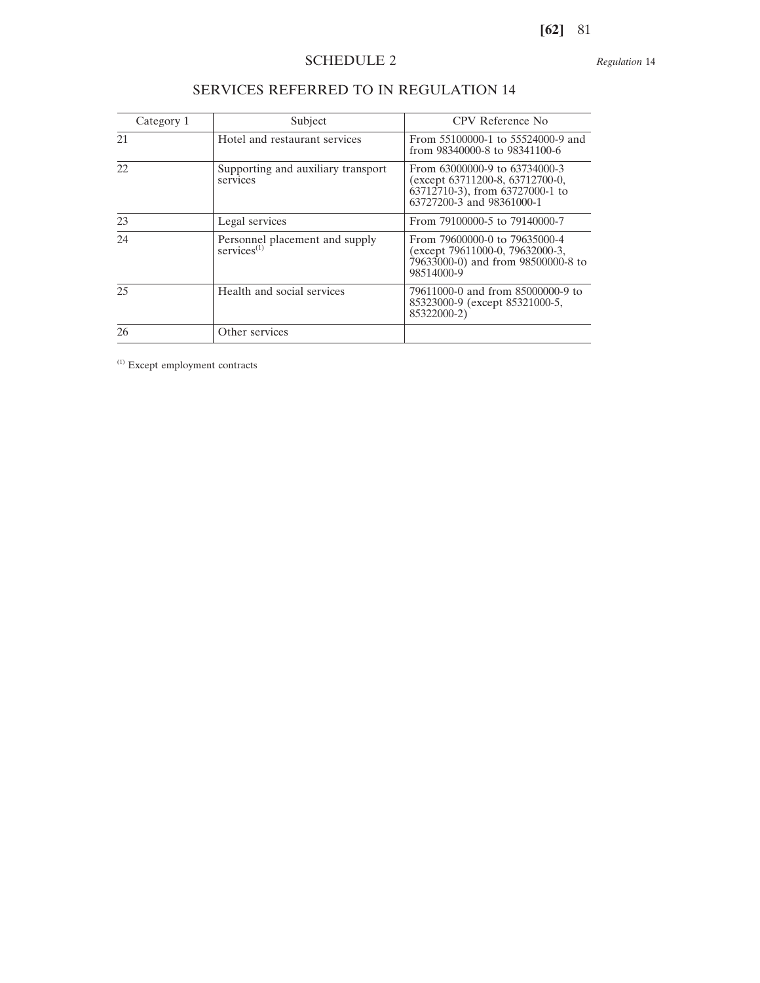*Regulation* 14

| Category 1 | Subject                                                   | CPV Reference No                                                                                                                         |
|------------|-----------------------------------------------------------|------------------------------------------------------------------------------------------------------------------------------------------|
| 21         | Hotel and restaurant services                             | From 55100000-1 to 55524000-9 and<br>from 98340000-8 to 98341100-6                                                                       |
| 22.        | Supporting and auxiliary transport<br>services            | From 63000000-9 to 63734000-3<br>(except 63711200-8, 63712700-0,<br>$\dot{6}3712710-3$ , from 63727000-1 to<br>63727200-3 and 98361000-1 |
| 23         | Legal services                                            | From 79100000-5 to 79140000-7                                                                                                            |
| 24         | Personnel placement and supply<br>services <sup>(1)</sup> | From 79600000-0 to 79635000-4<br>(except 79611000-0, 79632000-3,<br>79633000-0) and from 98500000-8 to<br>98514000-9                     |
| 25         | Health and social services                                | 79611000-0 and from 85000000-9 to<br>85323000-9 (except 85321000-5,<br>85322000-2)                                                       |
| 26         | Other services                                            |                                                                                                                                          |

# SERVICES REFERRED TO IN REGULATION 14

(1) Except employment contracts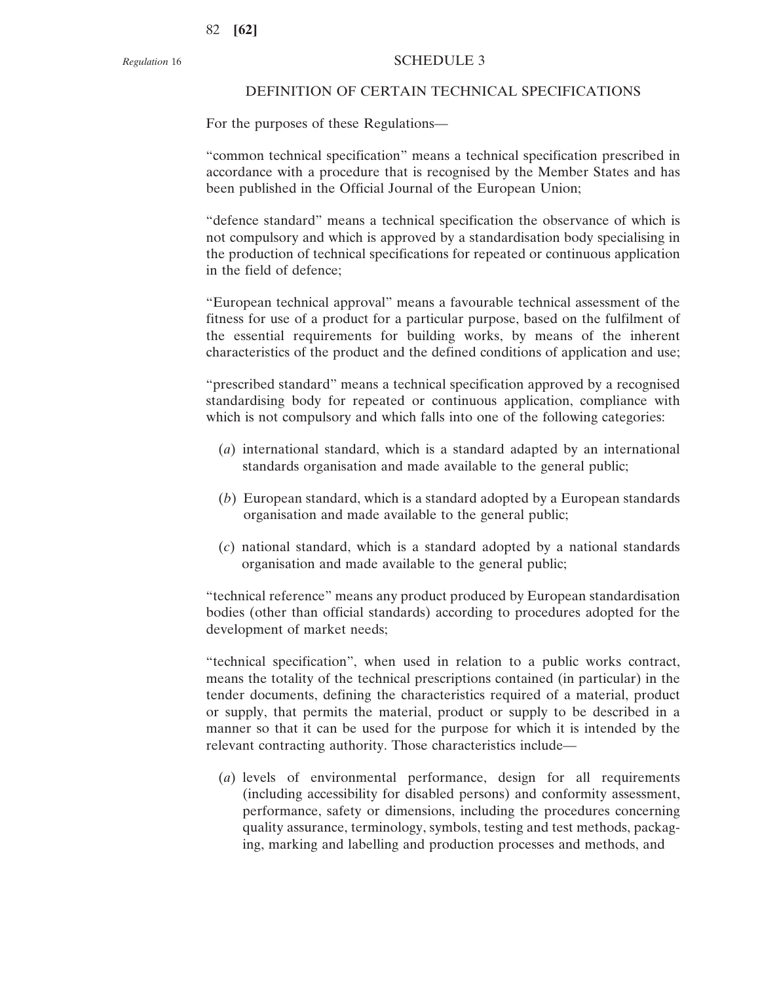#### DEFINITION OF CERTAIN TECHNICAL SPECIFICATIONS

For the purposes of these Regulations—

"common technical specification" means a technical specification prescribed in accordance with a procedure that is recognised by the Member States and has been published in the Official Journal of the European Union;

"defence standard" means a technical specification the observance of which is not compulsory and which is approved by a standardisation body specialising in the production of technical specifications for repeated or continuous application in the field of defence;

"European technical approval" means a favourable technical assessment of the fitness for use of a product for a particular purpose, based on the fulfilment of the essential requirements for building works, by means of the inherent characteristics of the product and the defined conditions of application and use;

"prescribed standard" means a technical specification approved by a recognised standardising body for repeated or continuous application, compliance with which is not compulsory and which falls into one of the following categories:

- (*a*) international standard, which is a standard adapted by an international standards organisation and made available to the general public;
- (*b*) European standard, which is a standard adopted by a European standards organisation and made available to the general public;
- (*c*) national standard, which is a standard adopted by a national standards organisation and made available to the general public;

"technical reference" means any product produced by European standardisation bodies (other than official standards) according to procedures adopted for the development of market needs;

"technical specification", when used in relation to a public works contract, means the totality of the technical prescriptions contained (in particular) in the tender documents, defining the characteristics required of a material, product or supply, that permits the material, product or supply to be described in a manner so that it can be used for the purpose for which it is intended by the relevant contracting authority. Those characteristics include—

(*a*) levels of environmental performance, design for all requirements (including accessibility for disabled persons) and conformity assessment, performance, safety or dimensions, including the procedures concerning quality assurance, terminology, symbols, testing and test methods, packaging, marking and labelling and production processes and methods, and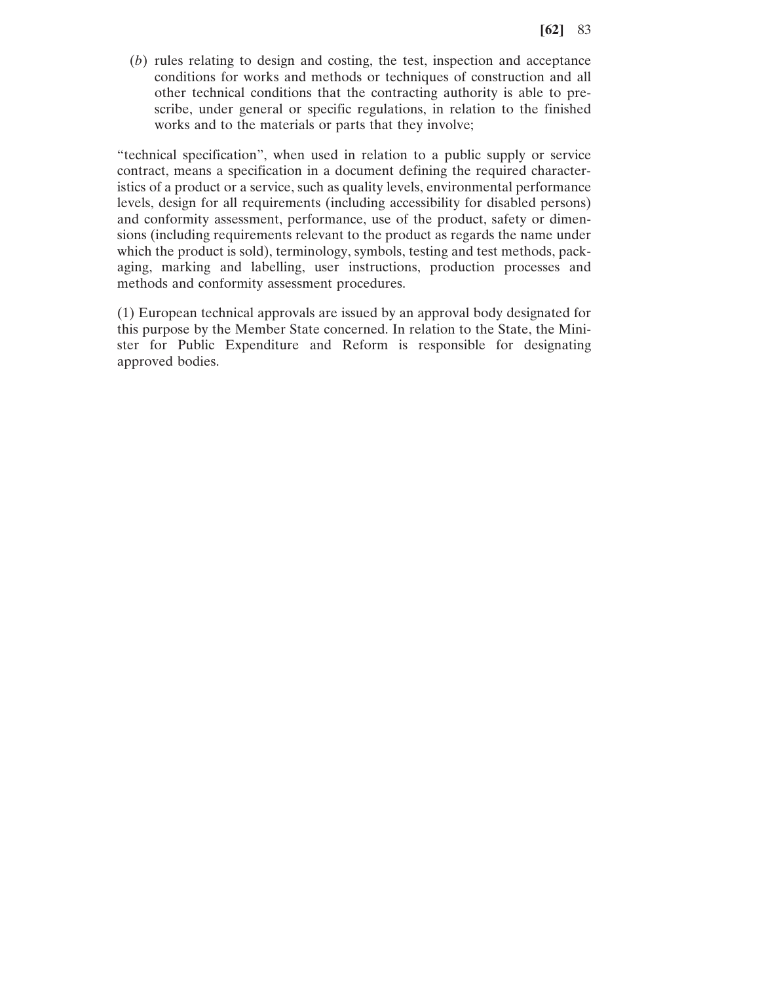(*b*) rules relating to design and costing, the test, inspection and acceptance conditions for works and methods or techniques of construction and all other technical conditions that the contracting authority is able to prescribe, under general or specific regulations, in relation to the finished works and to the materials or parts that they involve;

"technical specification", when used in relation to a public supply or service contract, means a specification in a document defining the required characteristics of a product or a service, such as quality levels, environmental performance levels, design for all requirements (including accessibility for disabled persons) and conformity assessment, performance, use of the product, safety or dimensions (including requirements relevant to the product as regards the name under which the product is sold), terminology, symbols, testing and test methods, packaging, marking and labelling, user instructions, production processes and methods and conformity assessment procedures.

(1) European technical approvals are issued by an approval body designated for this purpose by the Member State concerned. In relation to the State, the Minister for Public Expenditure and Reform is responsible for designating approved bodies.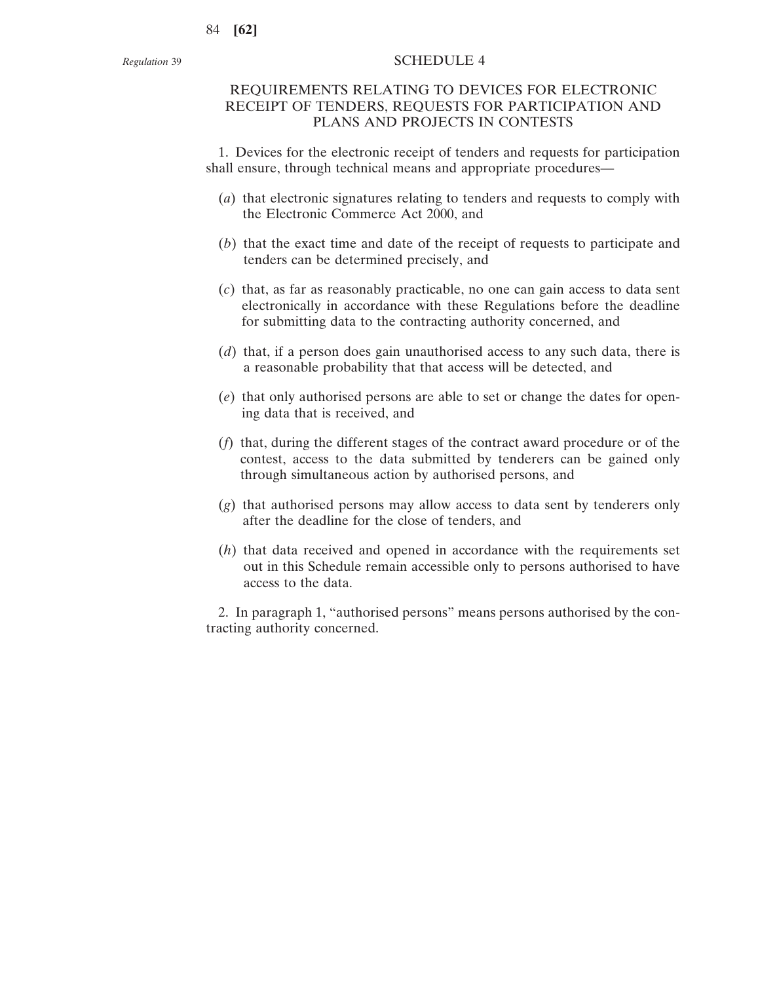# REQUIREMENTS RELATING TO DEVICES FOR ELECTRONIC RECEIPT OF TENDERS, REQUESTS FOR PARTICIPATION AND PLANS AND PROJECTS IN CONTESTS

1. Devices for the electronic receipt of tenders and requests for participation shall ensure, through technical means and appropriate procedures—

- (*a*) that electronic signatures relating to tenders and requests to comply with the Electronic Commerce Act 2000, and
- (*b*) that the exact time and date of the receipt of requests to participate and tenders can be determined precisely, and
- (*c*) that, as far as reasonably practicable, no one can gain access to data sent electronically in accordance with these Regulations before the deadline for submitting data to the contracting authority concerned, and
- (*d*) that, if a person does gain unauthorised access to any such data, there is a reasonable probability that that access will be detected, and
- (*e*) that only authorised persons are able to set or change the dates for opening data that is received, and
- (*f*) that, during the different stages of the contract award procedure or of the contest, access to the data submitted by tenderers can be gained only through simultaneous action by authorised persons, and
- (*g*) that authorised persons may allow access to data sent by tenderers only after the deadline for the close of tenders, and
- (*h*) that data received and opened in accordance with the requirements set out in this Schedule remain accessible only to persons authorised to have access to the data.

2. In paragraph 1, "authorised persons" means persons authorised by the contracting authority concerned.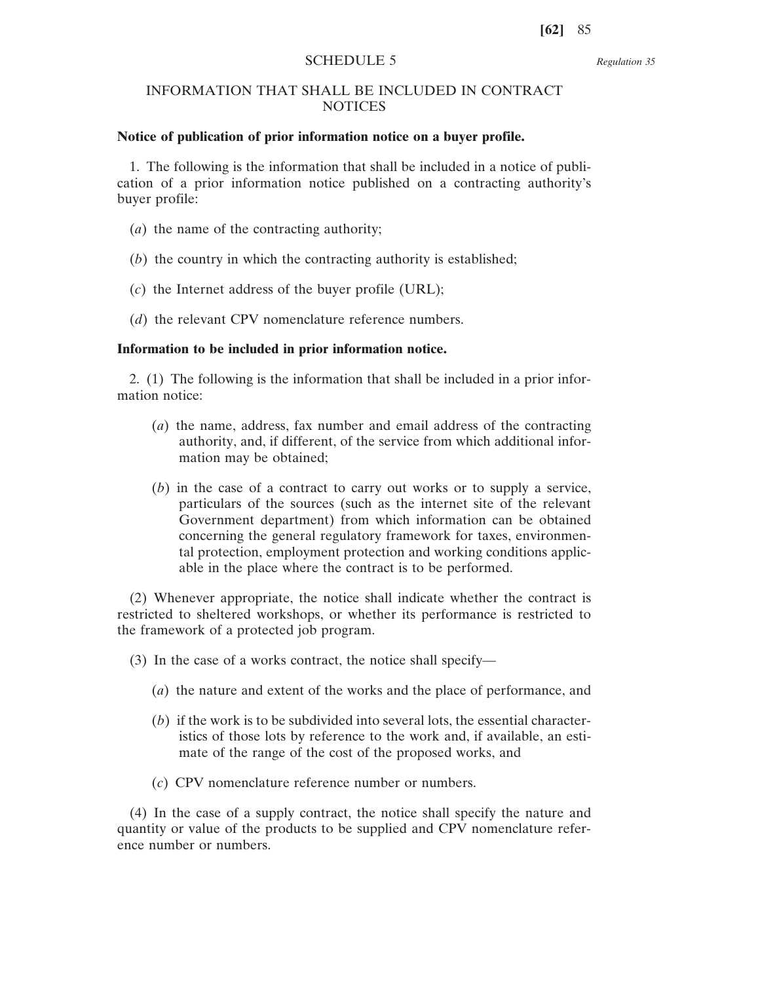*Regulation 35*

# INFORMATION THAT SHALL BE INCLUDED IN CONTRACT NOTICES

## **Notice of publication of prior information notice on a buyer profile.**

1. The following is the information that shall be included in a notice of publication of a prior information notice published on a contracting authority's buyer profile:

- (*a*) the name of the contracting authority;
- (*b*) the country in which the contracting authority is established;
- (*c*) the Internet address of the buyer profile (URL);
- (*d*) the relevant CPV nomenclature reference numbers.

#### **Information to be included in prior information notice.**

2. (1) The following is the information that shall be included in a prior information notice:

- (*a*) the name, address, fax number and email address of the contracting authority, and, if different, of the service from which additional information may be obtained;
- (*b*) in the case of a contract to carry out works or to supply a service, particulars of the sources (such as the internet site of the relevant Government department) from which information can be obtained concerning the general regulatory framework for taxes, environmental protection, employment protection and working conditions applicable in the place where the contract is to be performed.

(2) Whenever appropriate, the notice shall indicate whether the contract is restricted to sheltered workshops, or whether its performance is restricted to the framework of a protected job program.

(3) In the case of a works contract, the notice shall specify—

- (*a*) the nature and extent of the works and the place of performance, and
- (*b*) if the work is to be subdivided into several lots, the essential characteristics of those lots by reference to the work and, if available, an estimate of the range of the cost of the proposed works, and
- (*c*) CPV nomenclature reference number or numbers.

(4) In the case of a supply contract, the notice shall specify the nature and quantity or value of the products to be supplied and CPV nomenclature reference number or numbers.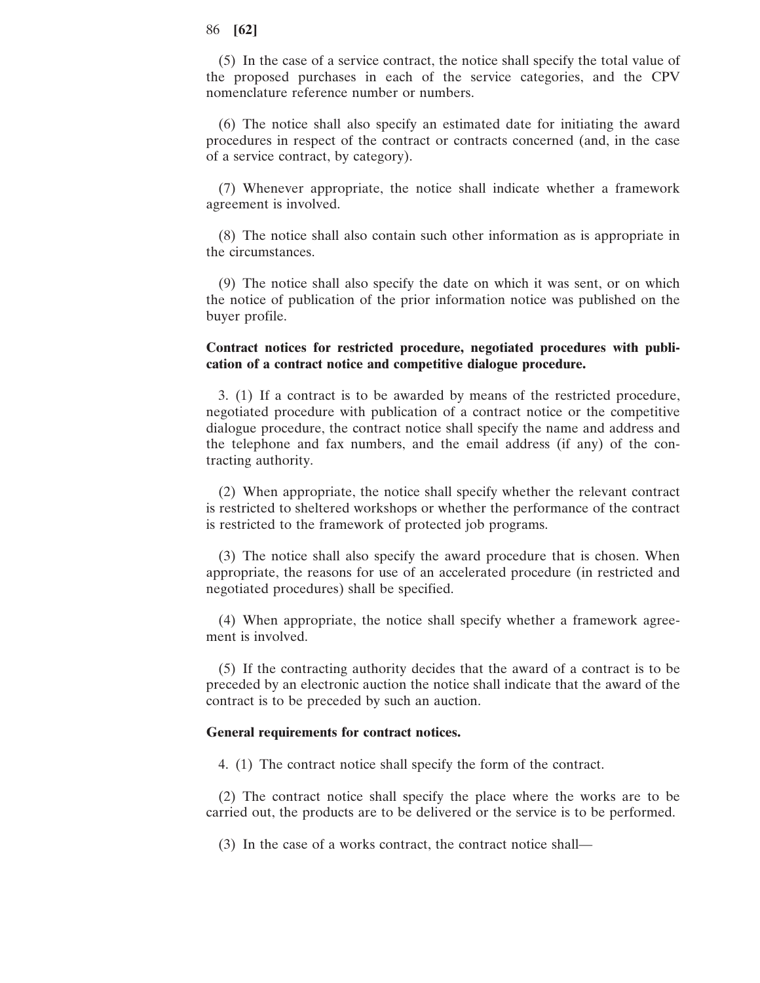(5) In the case of a service contract, the notice shall specify the total value of the proposed purchases in each of the service categories, and the CPV nomenclature reference number or numbers.

(6) The notice shall also specify an estimated date for initiating the award procedures in respect of the contract or contracts concerned (and, in the case of a service contract, by category).

(7) Whenever appropriate, the notice shall indicate whether a framework agreement is involved.

(8) The notice shall also contain such other information as is appropriate in the circumstances.

(9) The notice shall also specify the date on which it was sent, or on which the notice of publication of the prior information notice was published on the buyer profile.

## **Contract notices for restricted procedure, negotiated procedures with publication of a contract notice and competitive dialogue procedure.**

3. (1) If a contract is to be awarded by means of the restricted procedure, negotiated procedure with publication of a contract notice or the competitive dialogue procedure, the contract notice shall specify the name and address and the telephone and fax numbers, and the email address (if any) of the contracting authority.

(2) When appropriate, the notice shall specify whether the relevant contract is restricted to sheltered workshops or whether the performance of the contract is restricted to the framework of protected job programs.

(3) The notice shall also specify the award procedure that is chosen. When appropriate, the reasons for use of an accelerated procedure (in restricted and negotiated procedures) shall be specified.

(4) When appropriate, the notice shall specify whether a framework agreement is involved.

(5) If the contracting authority decides that the award of a contract is to be preceded by an electronic auction the notice shall indicate that the award of the contract is to be preceded by such an auction.

## **General requirements for contract notices.**

4. (1) The contract notice shall specify the form of the contract.

(2) The contract notice shall specify the place where the works are to be carried out, the products are to be delivered or the service is to be performed.

(3) In the case of a works contract, the contract notice shall—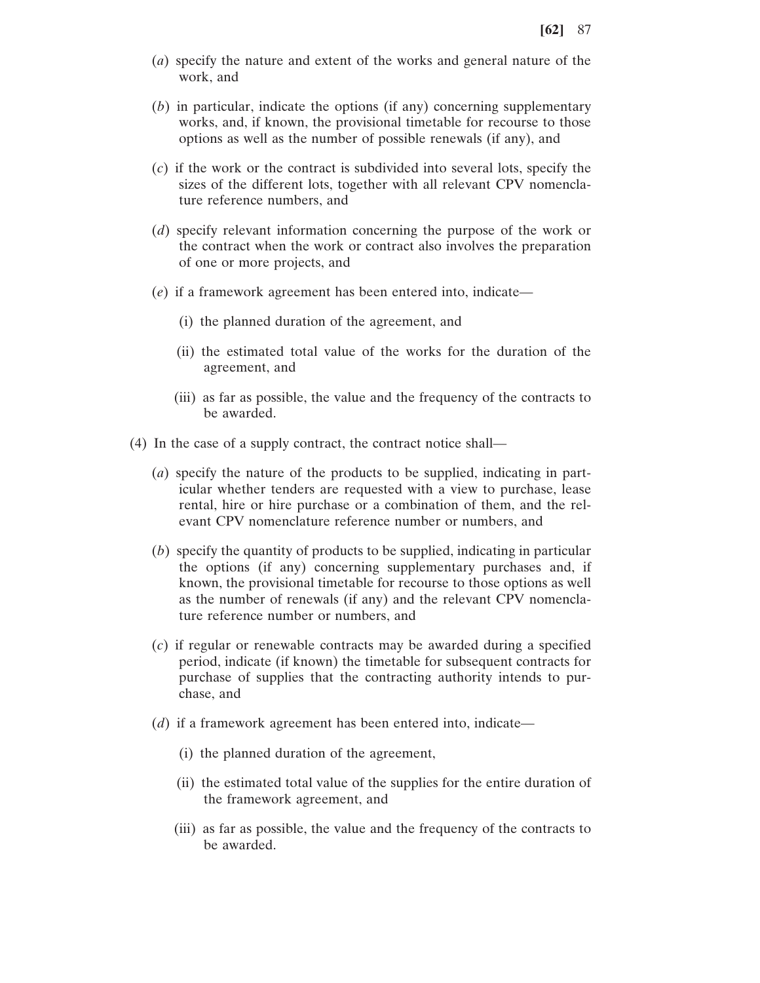- (*a*) specify the nature and extent of the works and general nature of the work, and
- (*b*) in particular, indicate the options (if any) concerning supplementary works, and, if known, the provisional timetable for recourse to those options as well as the number of possible renewals (if any), and
- (*c*) if the work or the contract is subdivided into several lots, specify the sizes of the different lots, together with all relevant CPV nomenclature reference numbers, and
- (*d*) specify relevant information concerning the purpose of the work or the contract when the work or contract also involves the preparation of one or more projects, and
- (*e*) if a framework agreement has been entered into, indicate—
	- (i) the planned duration of the agreement, and
	- (ii) the estimated total value of the works for the duration of the agreement, and
	- (iii) as far as possible, the value and the frequency of the contracts to be awarded.
- (4) In the case of a supply contract, the contract notice shall—
	- (*a*) specify the nature of the products to be supplied, indicating in particular whether tenders are requested with a view to purchase, lease rental, hire or hire purchase or a combination of them, and the relevant CPV nomenclature reference number or numbers, and
	- (*b*) specify the quantity of products to be supplied, indicating in particular the options (if any) concerning supplementary purchases and, if known, the provisional timetable for recourse to those options as well as the number of renewals (if any) and the relevant CPV nomenclature reference number or numbers, and
	- (*c*) if regular or renewable contracts may be awarded during a specified period, indicate (if known) the timetable for subsequent contracts for purchase of supplies that the contracting authority intends to purchase, and
	- (*d*) if a framework agreement has been entered into, indicate—
		- (i) the planned duration of the agreement,
		- (ii) the estimated total value of the supplies for the entire duration of the framework agreement, and
		- (iii) as far as possible, the value and the frequency of the contracts to be awarded.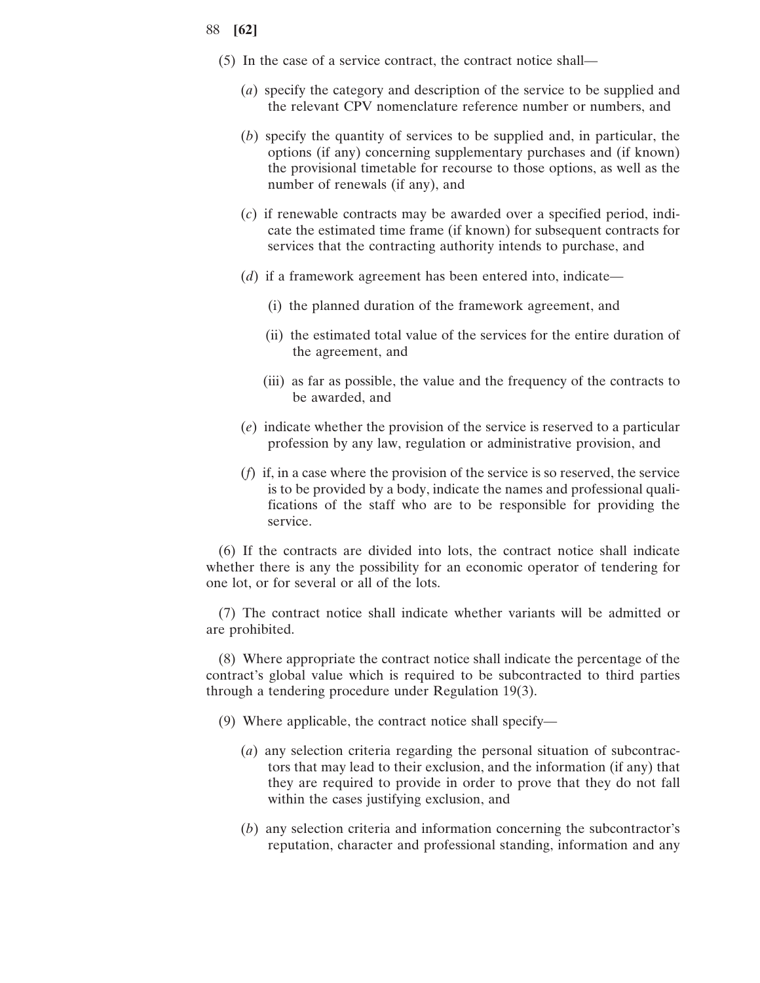- (5) In the case of a service contract, the contract notice shall—
	- (*a*) specify the category and description of the service to be supplied and the relevant CPV nomenclature reference number or numbers, and
	- (*b*) specify the quantity of services to be supplied and, in particular, the options (if any) concerning supplementary purchases and (if known) the provisional timetable for recourse to those options, as well as the number of renewals (if any), and
	- (*c*) if renewable contracts may be awarded over a specified period, indicate the estimated time frame (if known) for subsequent contracts for services that the contracting authority intends to purchase, and
	- (*d*) if a framework agreement has been entered into, indicate—
		- (i) the planned duration of the framework agreement, and
		- (ii) the estimated total value of the services for the entire duration of the agreement, and
		- (iii) as far as possible, the value and the frequency of the contracts to be awarded, and
	- (*e*) indicate whether the provision of the service is reserved to a particular profession by any law, regulation or administrative provision, and
	- (*f*) if, in a case where the provision of the service is so reserved, the service is to be provided by a body, indicate the names and professional qualifications of the staff who are to be responsible for providing the service.

(6) If the contracts are divided into lots, the contract notice shall indicate whether there is any the possibility for an economic operator of tendering for one lot, or for several or all of the lots.

(7) The contract notice shall indicate whether variants will be admitted or are prohibited.

(8) Where appropriate the contract notice shall indicate the percentage of the contract's global value which is required to be subcontracted to third parties through a tendering procedure under Regulation 19(3).

- (9) Where applicable, the contract notice shall specify—
	- (*a*) any selection criteria regarding the personal situation of subcontractors that may lead to their exclusion, and the information (if any) that they are required to provide in order to prove that they do not fall within the cases justifying exclusion, and
	- (*b*) any selection criteria and information concerning the subcontractor's reputation, character and professional standing, information and any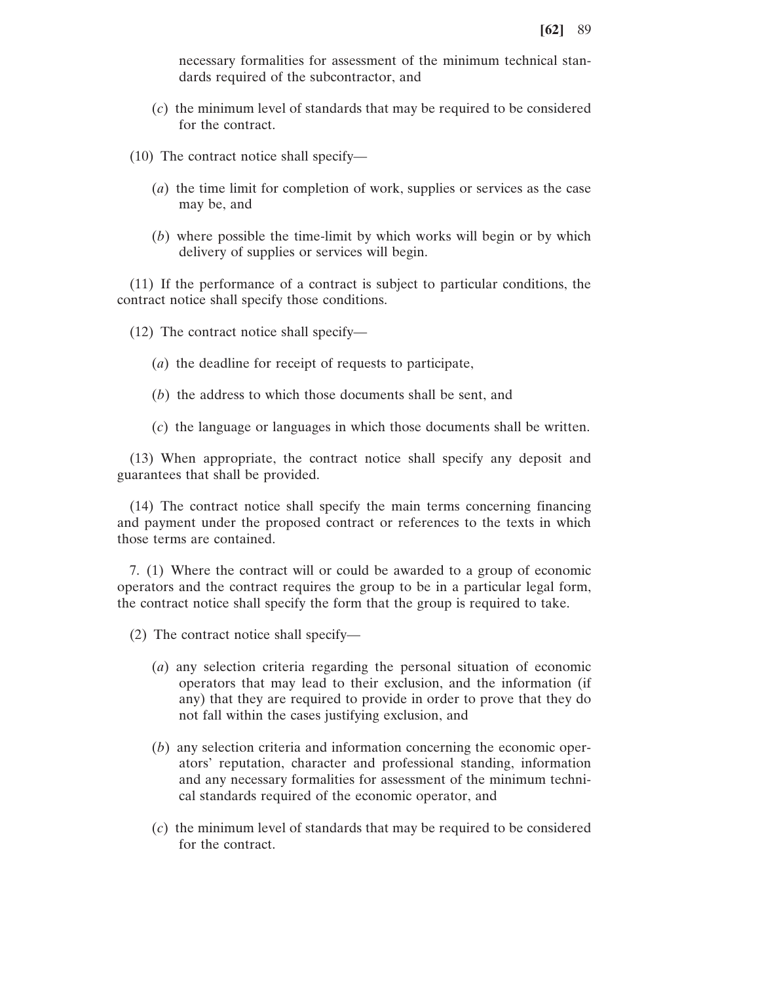necessary formalities for assessment of the minimum technical standards required of the subcontractor, and

- (*c*) the minimum level of standards that may be required to be considered for the contract.
- (10) The contract notice shall specify—
	- (*a*) the time limit for completion of work, supplies or services as the case may be, and
	- (*b*) where possible the time-limit by which works will begin or by which delivery of supplies or services will begin.

(11) If the performance of a contract is subject to particular conditions, the contract notice shall specify those conditions.

(12) The contract notice shall specify—

- (*a*) the deadline for receipt of requests to participate,
- (*b*) the address to which those documents shall be sent, and
- (*c*) the language or languages in which those documents shall be written.

(13) When appropriate, the contract notice shall specify any deposit and guarantees that shall be provided.

(14) The contract notice shall specify the main terms concerning financing and payment under the proposed contract or references to the texts in which those terms are contained.

7. (1) Where the contract will or could be awarded to a group of economic operators and the contract requires the group to be in a particular legal form, the contract notice shall specify the form that the group is required to take.

(2) The contract notice shall specify—

- (*a*) any selection criteria regarding the personal situation of economic operators that may lead to their exclusion, and the information (if any) that they are required to provide in order to prove that they do not fall within the cases justifying exclusion, and
- (*b*) any selection criteria and information concerning the economic operators' reputation, character and professional standing, information and any necessary formalities for assessment of the minimum technical standards required of the economic operator, and
- (*c*) the minimum level of standards that may be required to be considered for the contract.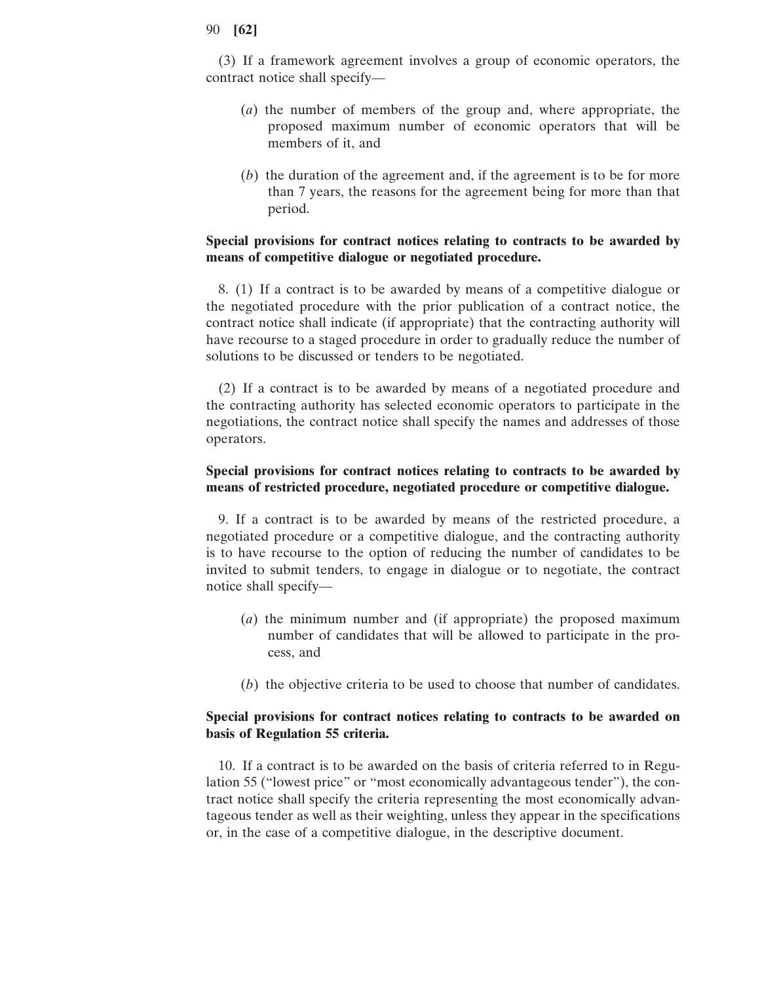(3) If a framework agreement involves a group of economic operators, the contract notice shall specify—

- (*a*) the number of members of the group and, where appropriate, the proposed maximum number of economic operators that will be members of it, and
- (*b*) the duration of the agreement and, if the agreement is to be for more than 7 years, the reasons for the agreement being for more than that period.

# **Special provisions for contract notices relating to contracts to be awarded by means of competitive dialogue or negotiated procedure.**

8. (1) If a contract is to be awarded by means of a competitive dialogue or the negotiated procedure with the prior publication of a contract notice, the contract notice shall indicate (if appropriate) that the contracting authority will have recourse to a staged procedure in order to gradually reduce the number of solutions to be discussed or tenders to be negotiated.

(2) If a contract is to be awarded by means of a negotiated procedure and the contracting authority has selected economic operators to participate in the negotiations, the contract notice shall specify the names and addresses of those operators.

## **Special provisions for contract notices relating to contracts to be awarded by means of restricted procedure, negotiated procedure or competitive dialogue.**

9. If a contract is to be awarded by means of the restricted procedure, a negotiated procedure or a competitive dialogue, and the contracting authority is to have recourse to the option of reducing the number of candidates to be invited to submit tenders, to engage in dialogue or to negotiate, the contract notice shall specify—

- (*a*) the minimum number and (if appropriate) the proposed maximum number of candidates that will be allowed to participate in the process, and
- (*b*) the objective criteria to be used to choose that number of candidates.

## **Special provisions for contract notices relating to contracts to be awarded on basis of Regulation 55 criteria.**

10. If a contract is to be awarded on the basis of criteria referred to in Regulation 55 ("lowest price" or "most economically advantageous tender"), the contract notice shall specify the criteria representing the most economically advantageous tender as well as their weighting, unless they appear in the specifications or, in the case of a competitive dialogue, in the descriptive document.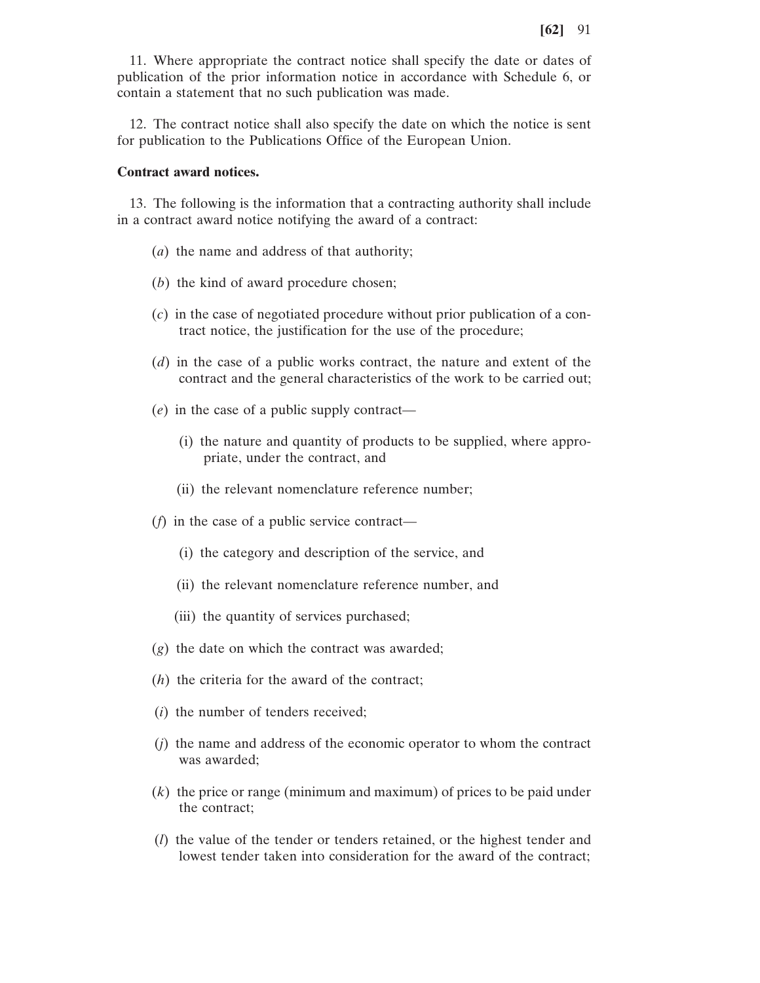11. Where appropriate the contract notice shall specify the date or dates of publication of the prior information notice in accordance with Schedule 6, or contain a statement that no such publication was made.

12. The contract notice shall also specify the date on which the notice is sent for publication to the Publications Office of the European Union.

## **Contract award notices.**

13. The following is the information that a contracting authority shall include in a contract award notice notifying the award of a contract:

- (*a*) the name and address of that authority;
- (*b*) the kind of award procedure chosen;
- (*c*) in the case of negotiated procedure without prior publication of a contract notice, the justification for the use of the procedure;
- (*d*) in the case of a public works contract, the nature and extent of the contract and the general characteristics of the work to be carried out;
- (*e*) in the case of a public supply contract—
	- (i) the nature and quantity of products to be supplied, where appropriate, under the contract, and
	- (ii) the relevant nomenclature reference number;
- (*f*) in the case of a public service contract—
	- (i) the category and description of the service, and
	- (ii) the relevant nomenclature reference number, and
	- (iii) the quantity of services purchased;
- (*g*) the date on which the contract was awarded;
- (*h*) the criteria for the award of the contract;
- (*i*) the number of tenders received;
- (*j*) the name and address of the economic operator to whom the contract was awarded;
- (*k*) the price or range (minimum and maximum) of prices to be paid under the contract;
- (*l*) the value of the tender or tenders retained, or the highest tender and lowest tender taken into consideration for the award of the contract;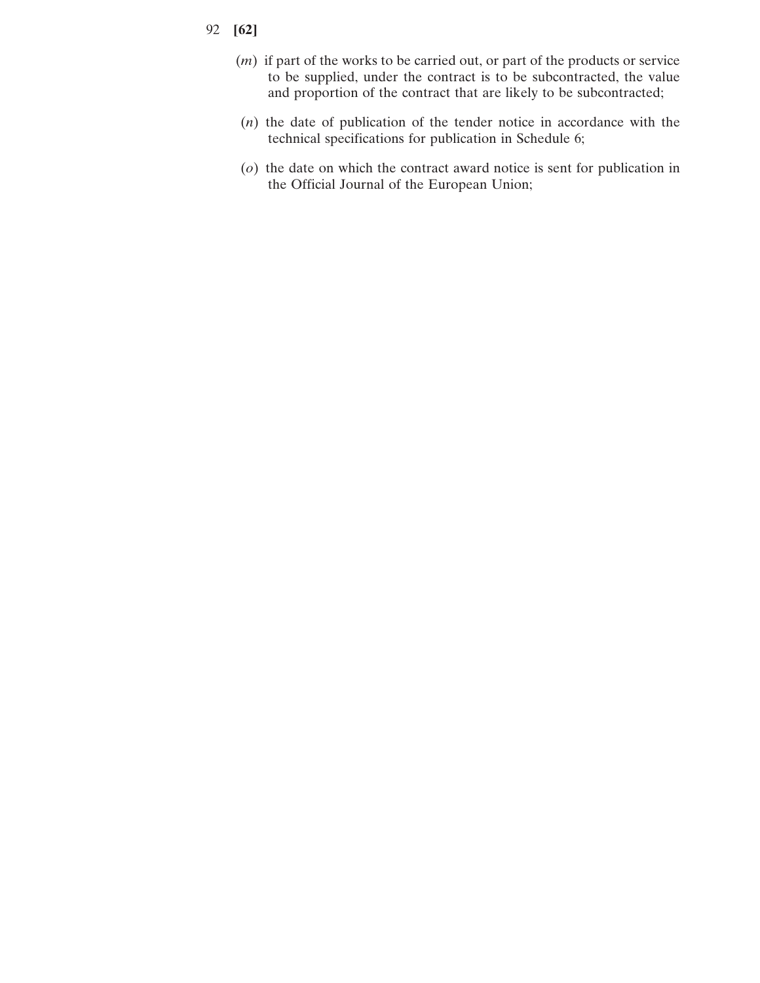- 92 **[62]**
	- (*m*) if part of the works to be carried out, or part of the products or service to be supplied, under the contract is to be subcontracted, the value and proportion of the contract that are likely to be subcontracted;
	- (*n*) the date of publication of the tender notice in accordance with the technical specifications for publication in Schedule 6;
	- (*o*) the date on which the contract award notice is sent for publication in the Official Journal of the European Union;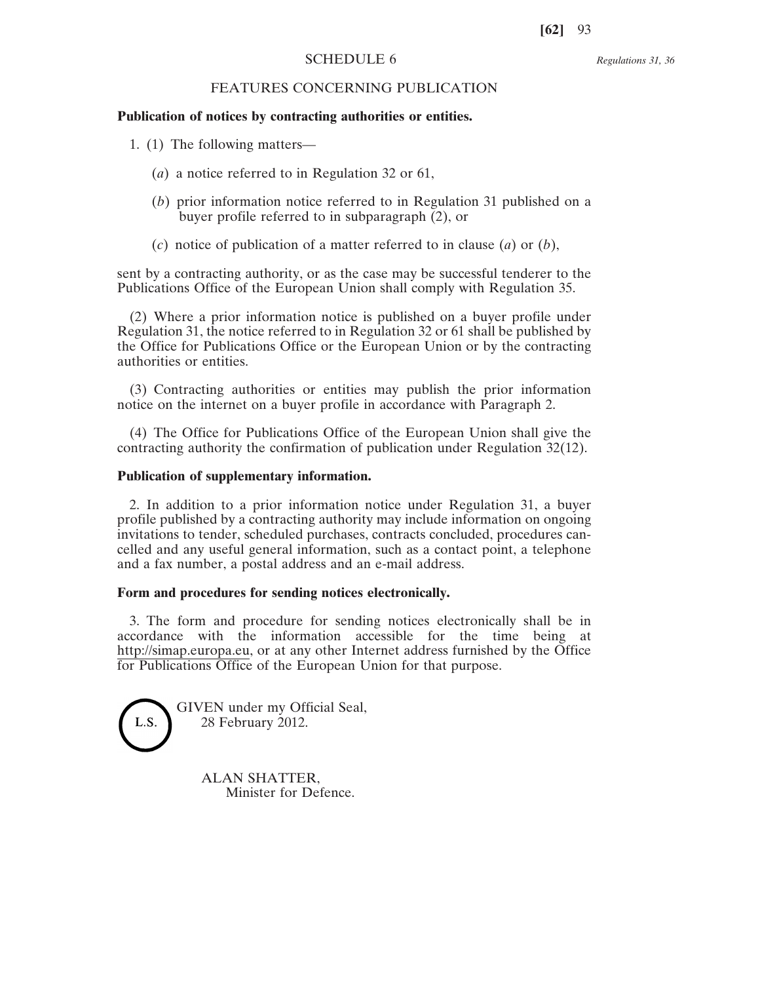#### *Regulations 31, 36*

# FEATURES CONCERNING PUBLICATION

#### **Publication of notices by contracting authorities or entities.**

- 1. (1) The following matters—
	- (*a*) a notice referred to in Regulation 32 or 61,
	- (*b*) prior information notice referred to in Regulation 31 published on a buyer profile referred to in subparagraph (2), or
	- (*c*) notice of publication of a matter referred to in clause (*a*) or (*b*),

sent by a contracting authority, or as the case may be successful tenderer to the Publications Office of the European Union shall comply with Regulation 35.

(2) Where a prior information notice is published on a buyer profile under Regulation 31, the notice referred to in Regulation 32 or 61 shall be published by the Office for Publications Office or the European Union or by the contracting authorities or entities.

(3) Contracting authorities or entities may publish the prior information notice on the internet on a buyer profile in accordance with Paragraph 2.

(4) The Office for Publications Office of the European Union shall give the contracting authority the confirmation of publication under Regulation 32(12).

## **Publication of supplementary information.**

2. In addition to a prior information notice under Regulation 31, a buyer profile published by a contracting authority may include information on ongoing invitations to tender, scheduled purchases, contracts concluded, procedures cancelled and any useful general information, such as a contact point, a telephone and a fax number, a postal address and an e-mail address.

#### **Form and procedures for sending notices electronically.**

3. The form and procedure for sending notices electronically shall be in accordance with the information accessible for the time being at http://simap.europa.eu, or at any other Internet address furnished by the Office for Publications Office of the European Union for that purpose.



GIVEN under my Official Seal, 28 February 2012.

> ALAN SHATTER, Minister for Defence.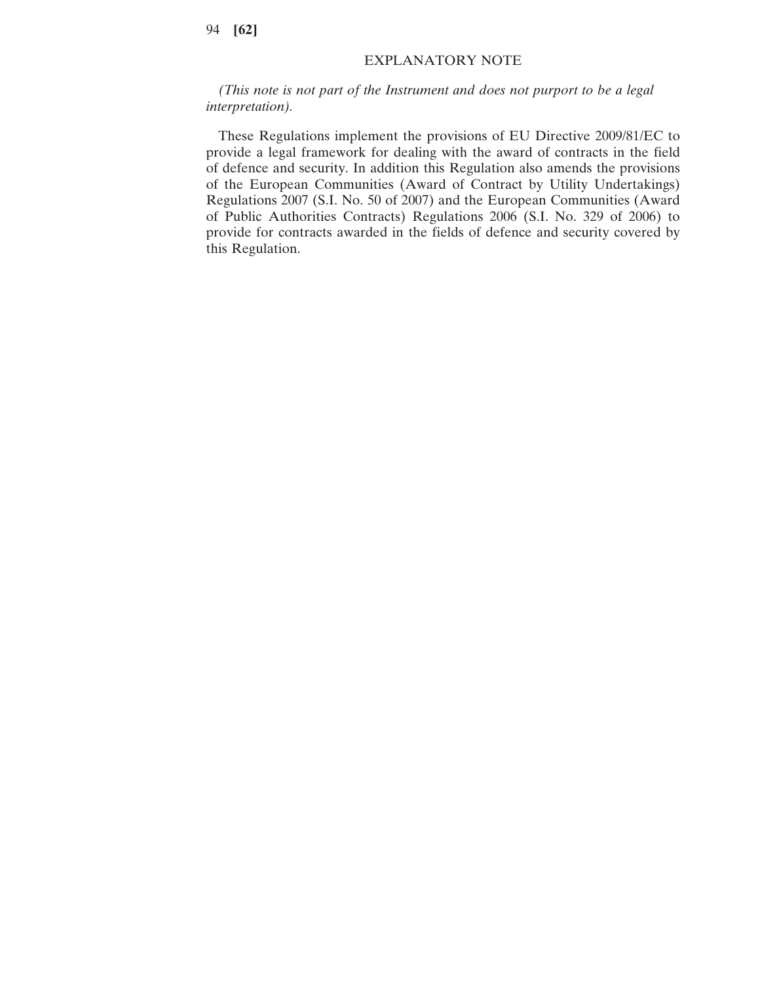## EXPLANATORY NOTE

*(This note is not part of the Instrument and does not purport to be a legal interpretation).*

These Regulations implement the provisions of EU Directive 2009/81/EC to provide a legal framework for dealing with the award of contracts in the field of defence and security. In addition this Regulation also amends the provisions of the European Communities (Award of Contract by Utility Undertakings) Regulations 2007 (S.I. No. 50 of 2007) and the European Communities (Award of Public Authorities Contracts) Regulations 2006 (S.I. No. 329 of 2006) to provide for contracts awarded in the fields of defence and security covered by this Regulation.